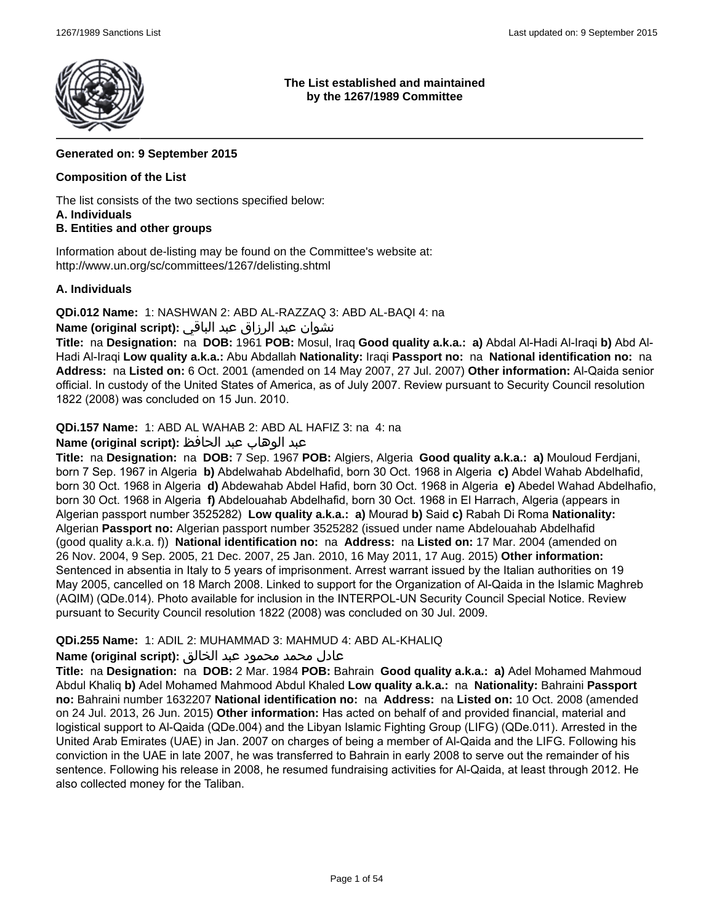

### **The List established and maintained by the 1267/1989 Committee**

# **Generated on: 9 September 2015**

# **Composition of the List**

The list consists of the two sections specified below:

### **A. Individuals**

# **B. Entities and other groups**

Information about de-listing may be found on the Committee's website at: http://www.un.org/sc/committees/1267/delisting.shtml

### **A. Individuals**

**QDi.012 Name:** 1: NASHWAN 2: ABD AL-RAZZAQ 3: ABD AL-BAQI 4: na

# نشوان عبد الرزاق عبد الباقي **:(script original (Name**

**Title:** na **Designation:** na **DOB:** 1961 **POB:** Mosul, Iraq **Good quality a.k.a.: a)** Abdal Al-Hadi Al-Iraqi **b)** Abd Al-Hadi Al-Iraqi **Low quality a.k.a.:** Abu Abdallah **Nationality:** Iraqi **Passport no:** na **National identification no:** na **Address:** na **Listed on:** 6 Oct. 2001 (amended on 14 May 2007, 27 Jul. 2007) **Other information:** Al-Qaida senior official. In custody of the United States of America, as of July 2007. Review pursuant to Security Council resolution 1822 (2008) was concluded on 15 Jun. 2010.

**QDi.157 Name:** 1: ABD AL WAHAB 2: ABD AL HAFIZ 3: na 4: na

# عبد الوهاب عبد الحافظ **:(script original (Name**

**Title:** na **Designation:** na **DOB:** 7 Sep. 1967 **POB:** Algiers, Algeria **Good quality a.k.a.: a)** Mouloud Ferdjani, born 7 Sep. 1967 in Algeria **b)** Abdelwahab Abdelhafid, born 30 Oct. 1968 in Algeria **c)** Abdel Wahab Abdelhafid, born 30 Oct. 1968 in Algeria **d)** Abdewahab Abdel Hafid, born 30 Oct. 1968 in Algeria **e)** Abedel Wahad Abdelhafio, born 30 Oct. 1968 in Algeria **f)** Abdelouahab Abdelhafid, born 30 Oct. 1968 in El Harrach, Algeria (appears in Algerian passport number 3525282) **Low quality a.k.a.: a)** Mourad **b)** Said **c)** Rabah Di Roma **Nationality:** Algerian **Passport no:** Algerian passport number 3525282 (issued under name Abdelouahab Abdelhafid (good quality a.k.a. f)) **National identification no:** na **Address:** na **Listed on:** 17 Mar. 2004 (amended on 26 Nov. 2004, 9 Sep. 2005, 21 Dec. 2007, 25 Jan. 2010, 16 May 2011, 17 Aug. 2015) **Other information:** Sentenced in absentia in Italy to 5 years of imprisonment. Arrest warrant issued by the Italian authorities on 19 May 2005, cancelled on 18 March 2008. Linked to support for the Organization of Al-Qaida in the Islamic Maghreb (AQIM) (QDe.014). Photo available for inclusion in the INTERPOL-UN Security Council Special Notice. Review pursuant to Security Council resolution 1822 (2008) was concluded on 30 Jul. 2009.

# **QDi.255 Name:** 1: ADIL 2: MUHAMMAD 3: MAHMUD 4: ABD AL-KHALIQ

# عادل محمد محمود عبد الخالق **:(script original (Name**

**Title:** na **Designation:** na **DOB:** 2 Mar. 1984 **POB:** Bahrain **Good quality a.k.a.: a)** Adel Mohamed Mahmoud Abdul Khaliq **b)** Adel Mohamed Mahmood Abdul Khaled **Low quality a.k.a.:** na **Nationality:** Bahraini **Passport no:** Bahraini number 1632207 **National identification no:** na **Address:** na **Listed on:** 10 Oct. 2008 (amended on 24 Jul. 2013, 26 Jun. 2015) **Other information:** Has acted on behalf of and provided financial, material and logistical support to Al-Qaida (QDe.004) and the Libyan Islamic Fighting Group (LIFG) (QDe.011). Arrested in the United Arab Emirates (UAE) in Jan. 2007 on charges of being a member of Al-Qaida and the LIFG. Following his conviction in the UAE in late 2007, he was transferred to Bahrain in early 2008 to serve out the remainder of his sentence. Following his release in 2008, he resumed fundraising activities for Al-Qaida, at least through 2012. He also collected money for the Taliban.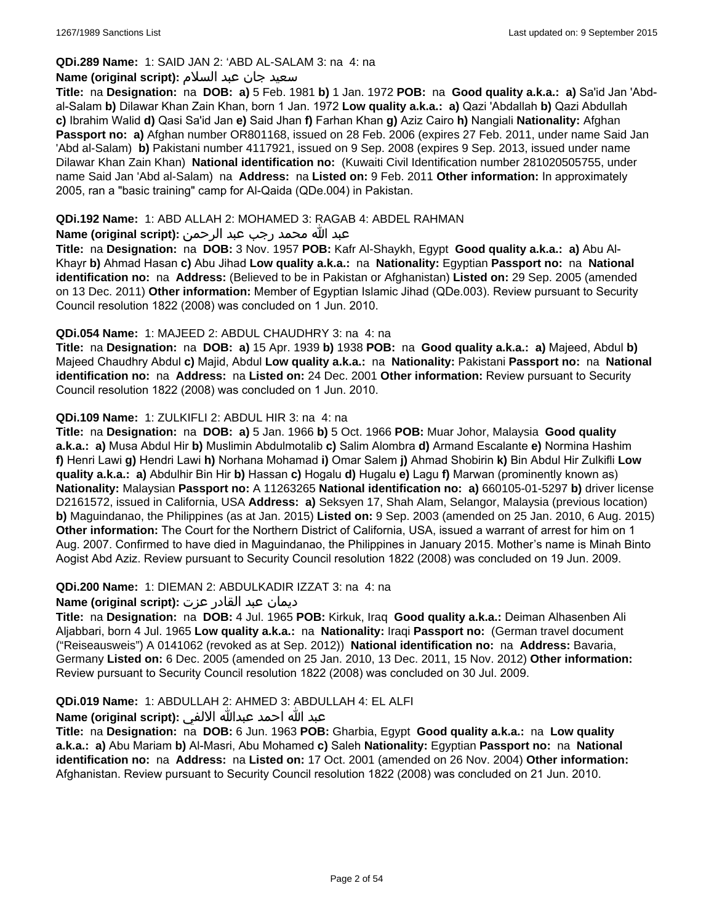# **QDi.289 Name:** 1: SAID JAN 2: 'ABD AL-SALAM 3: na 4: na

### سعید جان عبد السلام **:(script original (Name**

**Title:** na **Designation:** na **DOB: a)** 5 Feb. 1981 **b)** 1 Jan. 1972 **POB:** na **Good quality a.k.a.: a)** Sa'id Jan 'Abdal-Salam **b)** Dilawar Khan Zain Khan, born 1 Jan. 1972 **Low quality a.k.a.: a)** Qazi 'Abdallah **b)** Qazi Abdullah **c)** Ibrahim Walid **d)** Qasi Sa'id Jan **e)** Said Jhan **f)** Farhan Khan **g)** Aziz Cairo **h)** Nangiali **Nationality:** Afghan **Passport no: a)** Afghan number OR801168, issued on 28 Feb. 2006 (expires 27 Feb. 2011, under name Said Jan 'Abd al-Salam) **b)** Pakistani number 4117921, issued on 9 Sep. 2008 (expires 9 Sep. 2013, issued under name Dilawar Khan Zain Khan) **National identification no:** (Kuwaiti Civil Identification number 281020505755, under name Said Jan 'Abd al-Salam) na **Address:** na **Listed on:** 9 Feb. 2011 **Other information:** In approximately 2005, ran a "basic training" camp for Al-Qaida (QDe.004) in Pakistan.

## **QDi.192 Name:** 1: ABD ALLAH 2: MOHAMED 3: RAGAB 4: ABDEL RAHMAN

# عبد الله محمد رجب عبد الرحمن **:(script original (Name**

**Title:** na **Designation:** na **DOB:** 3 Nov. 1957 **POB:** Kafr Al-Shaykh, Egypt **Good quality a.k.a.: a)** Abu Al-Khayr **b)** Ahmad Hasan **c)** Abu Jihad **Low quality a.k.a.:** na **Nationality:** Egyptian **Passport no:** na **National identification no:** na **Address:** (Believed to be in Pakistan or Afghanistan) **Listed on:** 29 Sep. 2005 (amended on 13 Dec. 2011) **Other information:** Member of Egyptian Islamic Jihad (QDe.003). Review pursuant to Security Council resolution 1822 (2008) was concluded on 1 Jun. 2010.

### **QDi.054 Name:** 1: MAJEED 2: ABDUL CHAUDHRY 3: na 4: na

**Title:** na **Designation:** na **DOB: a)** 15 Apr. 1939 **b)** 1938 **POB:** na **Good quality a.k.a.: a)** Majeed, Abdul **b)** Majeed Chaudhry Abdul **c)** Majid, Abdul **Low quality a.k.a.:** na **Nationality:** Pakistani **Passport no:** na **National identification no:** na **Address:** na **Listed on:** 24 Dec. 2001 **Other information:** Review pursuant to Security Council resolution 1822 (2008) was concluded on 1 Jun. 2010.

### **QDi.109 Name:** 1: ZULKIFLI 2: ABDUL HIR 3: na 4: na

**Title:** na **Designation:** na **DOB: a)** 5 Jan. 1966 **b)** 5 Oct. 1966 **POB:** Muar Johor, Malaysia **Good quality a.k.a.: a)** Musa Abdul Hir **b)** Muslimin Abdulmotalib **c)** Salim Alombra **d)** Armand Escalante **e)** Normina Hashim **f)** Henri Lawi **g)** Hendri Lawi **h)** Norhana Mohamad **i)** Omar Salem **j)** Ahmad Shobirin **k)** Bin Abdul Hir Zulkifli **Low quality a.k.a.: a)** Abdulhir Bin Hir **b)** Hassan **c)** Hogalu **d)** Hugalu **e)** Lagu **f)** Marwan (prominently known as) **Nationality:** Malaysian **Passport no:** A 11263265 **National identification no: a)** 660105-01-5297 **b)** driver license D2161572, issued in California, USA **Address: a)** Seksyen 17, Shah Alam, Selangor, Malaysia (previous location) **b)** Maguindanao, the Philippines (as at Jan. 2015) **Listed on:** 9 Sep. 2003 (amended on 25 Jan. 2010, 6 Aug. 2015) **Other information:** The Court for the Northern District of California, USA, issued a warrant of arrest for him on 1 Aug. 2007. Confirmed to have died in Maguindanao, the Philippines in January 2015. Mother's name is Minah Binto Aogist Abd Aziz. Review pursuant to Security Council resolution 1822 (2008) was concluded on 19 Jun. 2009.

# **QDi.200 Name:** 1: DIEMAN 2: ABDULKADIR IZZAT 3: na 4: na

# ديمان عبد القادر عزت **:(script original (Name**

**Title:** na **Designation:** na **DOB:** 4 Jul. 1965 **POB:** Kirkuk, Iraq **Good quality a.k.a.:** Deiman Alhasenben Ali Aljabbari, born 4 Jul. 1965 **Low quality a.k.a.:** na **Nationality:** Iraqi **Passport no:** (German travel document ("Reiseausweis") A 0141062 (revoked as at Sep. 2012)) **National identification no:** na **Address:** Bavaria, Germany **Listed on:** 6 Dec. 2005 (amended on 25 Jan. 2010, 13 Dec. 2011, 15 Nov. 2012) **Other information:** Review pursuant to Security Council resolution 1822 (2008) was concluded on 30 Jul. 2009.

# **QDi.019 Name:** 1: ABDULLAH 2: AHMED 3: ABDULLAH 4: EL ALFI

# عبد الله احمد عبدالله الالفي **:(script original (Name**

**Title:** na **Designation:** na **DOB:** 6 Jun. 1963 **POB:** Gharbia, Egypt **Good quality a.k.a.:** na **Low quality a.k.a.: a)** Abu Mariam **b)** Al-Masri, Abu Mohamed **c)** Saleh **Nationality:** Egyptian **Passport no:** na **National identification no:** na **Address:** na **Listed on:** 17 Oct. 2001 (amended on 26 Nov. 2004) **Other information:** Afghanistan. Review pursuant to Security Council resolution 1822 (2008) was concluded on 21 Jun. 2010.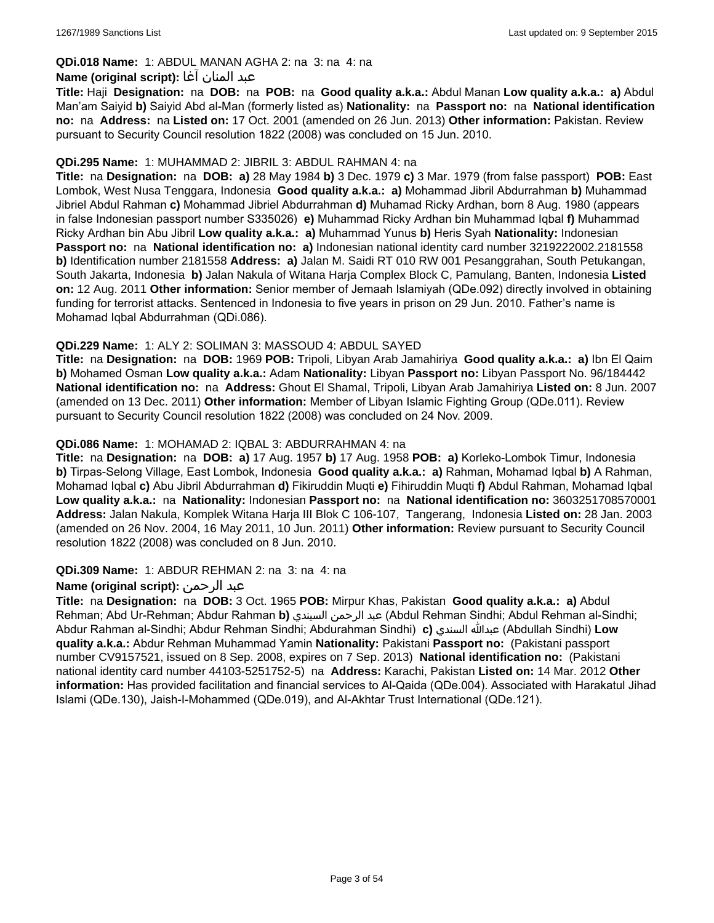# **QDi.018 Name:** 1: ABDUL MANAN AGHA 2: na 3: na 4: na

## عبد المنان آغا **:(script original (Name**

**Title:** Haji **Designation:** na **DOB:** na **POB:** na **Good quality a.k.a.:** Abdul Manan **Low quality a.k.a.: a)** Abdul Man'am Saiyid **b)** Saiyid Abd al-Man (formerly listed as) **Nationality:** na **Passport no:** na **National identification no:** na **Address:** na **Listed on:** 17 Oct. 2001 (amended on 26 Jun. 2013) **Other information:** Pakistan. Review pursuant to Security Council resolution 1822 (2008) was concluded on 15 Jun. 2010.

### **QDi.295 Name:** 1: MUHAMMAD 2: JIBRIL 3: ABDUL RAHMAN 4: na

**Title:** na **Designation:** na **DOB: a)** 28 May 1984 **b)** 3 Dec. 1979 **c)** 3 Mar. 1979 (from false passport) **POB:** East Lombok, West Nusa Tenggara, Indonesia **Good quality a.k.a.: a)** Mohammad Jibril Abdurrahman **b)** Muhammad Jibriel Abdul Rahman **c)** Mohammad Jibriel Abdurrahman **d)** Muhamad Ricky Ardhan, born 8 Aug. 1980 (appears in false Indonesian passport number S335026) **e)** Muhammad Ricky Ardhan bin Muhammad Iqbal **f)** Muhammad Ricky Ardhan bin Abu Jibril **Low quality a.k.a.: a)** Muhammad Yunus **b)** Heris Syah **Nationality:** Indonesian **Passport no:** na **National identification no: a)** Indonesian national identity card number 3219222002.2181558 **b)** Identification number 2181558 **Address: a)** Jalan M. Saidi RT 010 RW 001 Pesanggrahan, South Petukangan, South Jakarta, Indonesia **b)** Jalan Nakula of Witana Harja Complex Block C, Pamulang, Banten, Indonesia **Listed on:** 12 Aug. 2011 **Other information:** Senior member of Jemaah Islamiyah (QDe.092) directly involved in obtaining funding for terrorist attacks. Sentenced in Indonesia to five years in prison on 29 Jun. 2010. Father's name is Mohamad Iqbal Abdurrahman (QDi.086).

# **QDi.229 Name:** 1: ALY 2: SOLIMAN 3: MASSOUD 4: ABDUL SAYED

**Title:** na **Designation:** na **DOB:** 1969 **POB:** Tripoli, Libyan Arab Jamahiriya **Good quality a.k.a.: a)** Ibn El Qaim **b)** Mohamed Osman **Low quality a.k.a.:** Adam **Nationality:** Libyan **Passport no:** Libyan Passport No. 96/184442 **National identification no:** na **Address:** Ghout El Shamal, Tripoli, Libyan Arab Jamahiriya **Listed on:** 8 Jun. 2007 (amended on 13 Dec. 2011) **Other information:** Member of Libyan Islamic Fighting Group (QDe.011). Review pursuant to Security Council resolution 1822 (2008) was concluded on 24 Nov. 2009.

### **QDi.086 Name:** 1: MOHAMAD 2: IQBAL 3: ABDURRAHMAN 4: na

**Title:** na **Designation:** na **DOB: a)** 17 Aug. 1957 **b)** 17 Aug. 1958 **POB: a)** Korleko-Lombok Timur, Indonesia **b)** Tirpas-Selong Village, East Lombok, Indonesia **Good quality a.k.a.: a)** Rahman, Mohamad Iqbal **b)** A Rahman, Mohamad Iqbal **c)** Abu Jibril Abdurrahman **d)** Fikiruddin Muqti **e)** Fihiruddin Muqti **f)** Abdul Rahman, Mohamad Iqbal **Low quality a.k.a.:** na **Nationality:** Indonesian **Passport no:** na **National identification no:** 3603251708570001 **Address:** Jalan Nakula, Komplek Witana Harja III Blok C 106-107, Tangerang, Indonesia **Listed on:** 28 Jan. 2003 (amended on 26 Nov. 2004, 16 May 2011, 10 Jun. 2011) **Other information:** Review pursuant to Security Council resolution 1822 (2008) was concluded on 8 Jun. 2010.

#### **QDi.309 Name:** 1: ABDUR REHMAN 2: na 3: na 4: na

# **Name (original script):** الرحمن عبد

**Title:** na **Designation:** na **DOB:** 3 Oct. 1965 **POB:** Mirpur Khas, Pakistan **Good quality a.k.a.: a)** Abdul Rehman; Abd Ur-Rehman; Abdur Rahman **b)** السيندي الرحمن عبد) Abdul Rehman Sindhi; Abdul Rehman al-Sindhi; Abdur Rahman al-Sindhi; Abdur Rehman Sindhi; Abdurahman Sindhi) **c)** السندي عبدالله) Abdullah Sindhi) **Low quality a.k.a.:** Abdur Rehman Muhammad Yamin **Nationality:** Pakistani **Passport no:** (Pakistani passport number CV9157521, issued on 8 Sep. 2008, expires on 7 Sep. 2013) **National identification no:** (Pakistani national identity card number 44103-5251752-5) na **Address:** Karachi, Pakistan **Listed on:** 14 Mar. 2012 **Other information:** Has provided facilitation and financial services to Al-Qaida (QDe.004). Associated with Harakatul Jihad Islami (QDe.130), Jaish-I-Mohammed (QDe.019), and Al-Akhtar Trust International (QDe.121).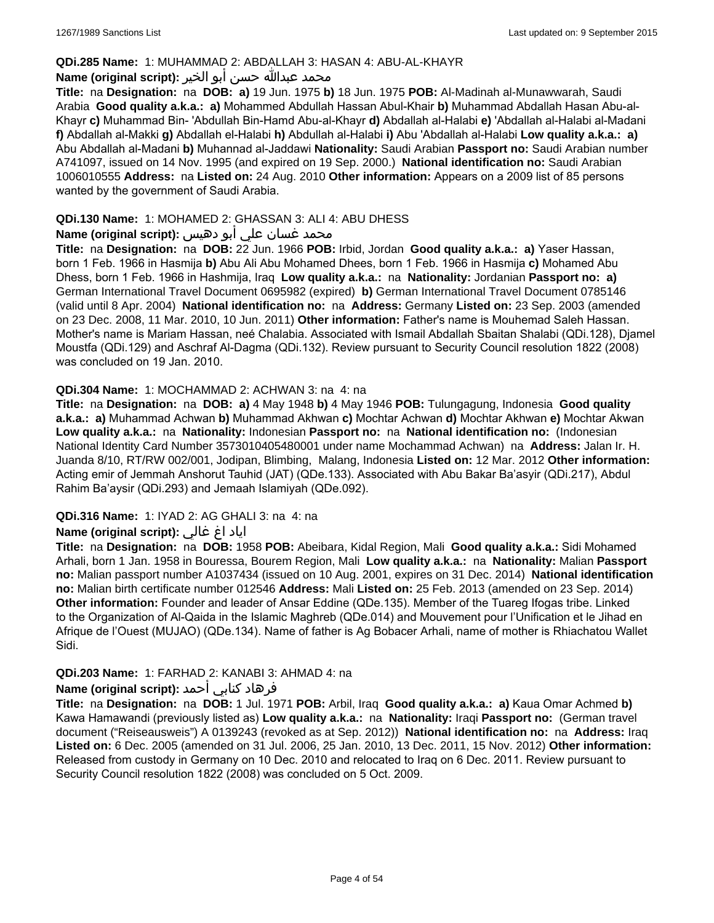### **QDi.285 Name:** 1: MUHAMMAD 2: ABDALLAH 3: HASAN 4: ABU-AL-KHAYR

### محمد عبدالله حسن أبو الخير **:Name (original script**)

**Title:** na **Designation:** na **DOB: a)** 19 Jun. 1975 **b)** 18 Jun. 1975 **POB:** Al-Madinah al-Munawwarah, Saudi Arabia **Good quality a.k.a.: a)** Mohammed Abdullah Hassan Abul-Khair **b)** Muhammad Abdallah Hasan Abu-al-Khayr **c)** Muhammad Bin- 'Abdullah Bin-Hamd Abu-al-Khayr **d)** Abdallah al-Halabi **e)** 'Abdallah al-Halabi al-Madani **f)** Abdallah al-Makki **g)** Abdallah el-Halabi **h)** Abdullah al-Halabi **i)** Abu 'Abdallah al-Halabi **Low quality a.k.a.: a)** Abu Abdallah al-Madani **b)** Muhannad al-Jaddawi **Nationality:** Saudi Arabian **Passport no:** Saudi Arabian number A741097, issued on 14 Nov. 1995 (and expired on 19 Sep. 2000.) **National identification no:** Saudi Arabian 1006010555 **Address:** na **Listed on:** 24 Aug. 2010 **Other information:** Appears on a 2009 list of 85 persons wanted by the government of Saudi Arabia.

## **QDi.130 Name:** 1: MOHAMED 2: GHASSAN 3: ALI 4: ABU DHESS

# محمد غسان علي أبو دهيس **:Name (original script**)

**Title:** na **Designation:** na **DOB:** 22 Jun. 1966 **POB:** Irbid, Jordan **Good quality a.k.a.: a)** Yaser Hassan, born 1 Feb. 1966 in Hasmija **b)** Abu Ali Abu Mohamed Dhees, born 1 Feb. 1966 in Hasmija **c)** Mohamed Abu Dhess, born 1 Feb. 1966 in Hashmija, Iraq **Low quality a.k.a.:** na **Nationality:** Jordanian **Passport no: a)** German International Travel Document 0695982 (expired) **b)** German International Travel Document 0785146 (valid until 8 Apr. 2004) **National identification no:** na **Address:** Germany **Listed on:** 23 Sep. 2003 (amended on 23 Dec. 2008, 11 Mar. 2010, 10 Jun. 2011) **Other information:** Father's name is Mouhemad Saleh Hassan. Mother's name is Mariam Hassan, neé Chalabia. Associated with Ismail Abdallah Sbaitan Shalabi (QDi.128), Djamel Moustfa (QDi.129) and Aschraf Al-Dagma (QDi.132). Review pursuant to Security Council resolution 1822 (2008) was concluded on 19 Jan. 2010.

### **QDi.304 Name:** 1: MOCHAMMAD 2: ACHWAN 3: na 4: na

**Title:** na **Designation:** na **DOB: a)** 4 May 1948 **b)** 4 May 1946 **POB:** Tulungagung, Indonesia **Good quality a.k.a.: a)** Muhammad Achwan **b)** Muhammad Akhwan **c)** Mochtar Achwan **d)** Mochtar Akhwan **e)** Mochtar Akwan **Low quality a.k.a.:** na **Nationality:** Indonesian **Passport no:** na **National identification no:** (Indonesian National Identity Card Number 3573010405480001 under name Mochammad Achwan) na **Address:** Jalan Ir. H. Juanda 8/10, RT/RW 002/001, Jodipan, Blimbing, Malang, Indonesia **Listed on:** 12 Mar. 2012 **Other information:** Acting emir of Jemmah Anshorut Tauhid (JAT) (QDe.133). Associated with Abu Bakar Ba'asyir (QDi.217), Abdul Rahim Ba'aysir (QDi.293) and Jemaah Islamiyah (QDe.092).

# **QDi.316 Name:** 1: IYAD 2: AG GHALI 3: na 4: na

# اياد اغ غالي **:(script original (Name**

**Title:** na **Designation:** na **DOB:** 1958 **POB:** Abeibara, Kidal Region, Mali **Good quality a.k.a.:** Sidi Mohamed Arhali, born 1 Jan. 1958 in Bouressa, Bourem Region, Mali **Low quality a.k.a.:** na **Nationality:** Malian **Passport no:** Malian passport number A1037434 (issued on 10 Aug. 2001, expires on 31 Dec. 2014) **National identification no:** Malian birth certificate number 012546 **Address:** Mali **Listed on:** 25 Feb. 2013 (amended on 23 Sep. 2014) **Other information:** Founder and leader of Ansar Eddine (QDe.135). Member of the Tuareg Ifogas tribe. Linked to the Organization of Al-Qaida in the Islamic Maghreb (QDe.014) and Mouvement pour l'Unification et le Jihad en Afrique de l'Ouest (MUJAO) (QDe.134). Name of father is Ag Bobacer Arhali, name of mother is Rhiachatou Wallet Sidi.

# **QDi.203 Name:** 1: FARHAD 2: KANABI 3: AHMAD 4: na

# فرهاد كنابي أحمد :Name (original script)

**Title:** na **Designation:** na **DOB:** 1 Jul. 1971 **POB:** Arbil, Iraq **Good quality a.k.a.: a)** Kaua Omar Achmed **b)** Kawa Hamawandi (previously listed as) **Low quality a.k.a.:** na **Nationality:** Iraqi **Passport no:** (German travel document ("Reiseausweis") A 0139243 (revoked as at Sep. 2012)) **National identification no:** na **Address:** Iraq **Listed on:** 6 Dec. 2005 (amended on 31 Jul. 2006, 25 Jan. 2010, 13 Dec. 2011, 15 Nov. 2012) **Other information:** Released from custody in Germany on 10 Dec. 2010 and relocated to Iraq on 6 Dec. 2011. Review pursuant to Security Council resolution 1822 (2008) was concluded on 5 Oct. 2009.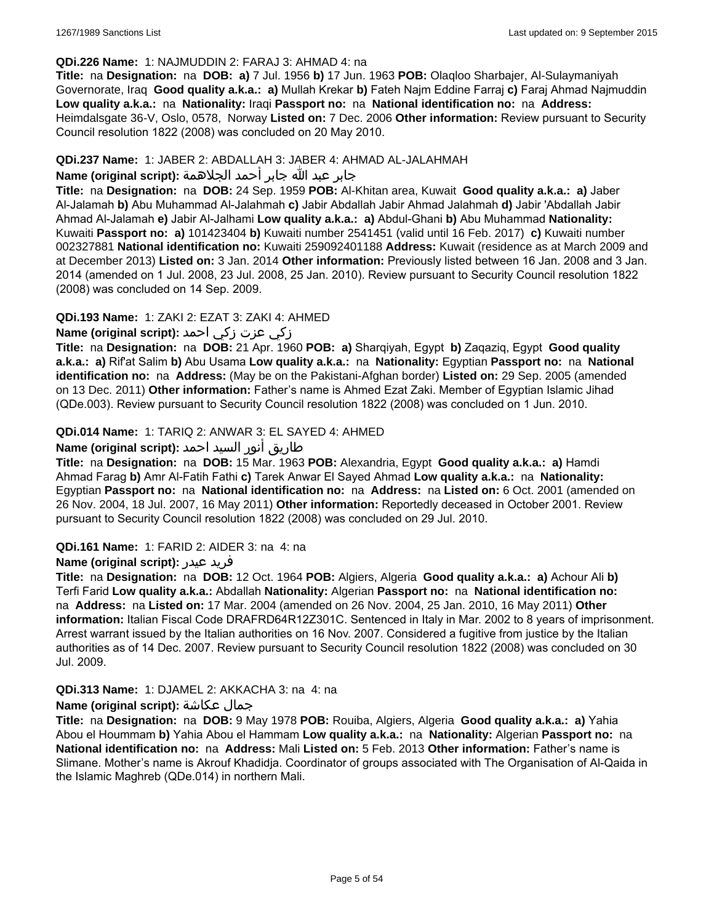### **QDi.226 Name:** 1: NAJMUDDIN 2: FARAJ 3: AHMAD 4: na

**Title:** na **Designation:** na **DOB: a)** 7 Jul. 1956 **b)** 17 Jun. 1963 **POB:** Olaqloo Sharbajer, Al-Sulaymaniyah Governorate, Iraq **Good quality a.k.a.: a)** Mullah Krekar **b)** Fateh Najm Eddine Farraj **c)** Faraj Ahmad Najmuddin **Low quality a.k.a.:** na **Nationality:** Iraqi **Passport no:** na **National identification no:** na **Address:** Heimdalsgate 36-V, Oslo, 0578, Norway **Listed on:** 7 Dec. 2006 **Other information:** Review pursuant to Security Council resolution 1822 (2008) was concluded on 20 May 2010.

## **QDi.237 Name:** 1: JABER 2: ABDALLAH 3: JABER 4: AHMAD AL-JALAHMAH

## جابر عبد الله جابر أحمد الجلاهمة **:(script original (Name**

**Title:** na **Designation:** na **DOB:** 24 Sep. 1959 **POB:** Al-Khitan area, Kuwait **Good quality a.k.a.: a)** Jaber Al-Jalamah **b)** Abu Muhammad Al-Jalahmah **c)** Jabir Abdallah Jabir Ahmad Jalahmah **d)** Jabir 'Abdallah Jabir Ahmad Al-Jalamah **e)** Jabir Al-Jalhami **Low quality a.k.a.: a)** Abdul-Ghani **b)** Abu Muhammad **Nationality:** Kuwaiti **Passport no: a)** 101423404 **b)** Kuwaiti number 2541451 (valid until 16 Feb. 2017) **c)** Kuwaiti number 002327881 **National identification no:** Kuwaiti 259092401188 **Address:** Kuwait (residence as at March 2009 and at December 2013) **Listed on:** 3 Jan. 2014 **Other information:** Previously listed between 16 Jan. 2008 and 3 Jan. 2014 (amended on 1 Jul. 2008, 23 Jul. 2008, 25 Jan. 2010). Review pursuant to Security Council resolution 1822 (2008) was concluded on 14 Sep. 2009.

# **QDi.193 Name:** 1: ZAKI 2: EZAT 3: ZAKI 4: AHMED

# زكي عزت زكي احمد **:(script original (Name**

**Title:** na **Designation:** na **DOB:** 21 Apr. 1960 **POB: a)** Sharqiyah, Egypt **b)** Zaqaziq, Egypt **Good quality a.k.a.: a)** Rif'at Salim **b)** Abu Usama **Low quality a.k.a.:** na **Nationality:** Egyptian **Passport no:** na **National identification no:** na **Address:** (May be on the Pakistani-Afghan border) **Listed on:** 29 Sep. 2005 (amended on 13 Dec. 2011) **Other information:** Father's name is Ahmed Ezat Zaki. Member of Egyptian Islamic Jihad (QDe.003). Review pursuant to Security Council resolution 1822 (2008) was concluded on 1 Jun. 2010.

# **QDi.014 Name:** 1: TARIQ 2: ANWAR 3: EL SAYED 4: AHMED

# طاريق أنور السيد احمد **:(script original (Name**

**Title:** na **Designation:** na **DOB:** 15 Mar. 1963 **POB:** Alexandria, Egypt **Good quality a.k.a.: a)** Hamdi Ahmad Farag **b)** Amr Al-Fatih Fathi **c)** Tarek Anwar El Sayed Ahmad **Low quality a.k.a.:** na **Nationality:** Egyptian **Passport no:** na **National identification no:** na **Address:** na **Listed on:** 6 Oct. 2001 (amended on 26 Nov. 2004, 18 Jul. 2007, 16 May 2011) **Other information:** Reportedly deceased in October 2001. Review pursuant to Security Council resolution 1822 (2008) was concluded on 29 Jul. 2010.

# **QDi.161 Name:** 1: FARID 2: AIDER 3: na 4: na

# **Name (original script):** عيدر فريد

**Title:** na **Designation:** na **DOB:** 12 Oct. 1964 **POB:** Algiers, Algeria **Good quality a.k.a.: a)** Achour Ali **b)** Terfi Farid **Low quality a.k.a.:** Abdallah **Nationality:** Algerian **Passport no:** na **National identification no:**  na **Address:** na **Listed on:** 17 Mar. 2004 (amended on 26 Nov. 2004, 25 Jan. 2010, 16 May 2011) **Other information:** Italian Fiscal Code DRAFRD64R12Z301C. Sentenced in Italy in Mar. 2002 to 8 years of imprisonment. Arrest warrant issued by the Italian authorities on 16 Nov. 2007. Considered a fugitive from justice by the Italian authorities as of 14 Dec. 2007. Review pursuant to Security Council resolution 1822 (2008) was concluded on 30 Jul. 2009.

# **QDi.313 Name:** 1: DJAMEL 2: AKKACHA 3: na 4: na

# **Name (original script):** عكاشة جمال

**Title:** na **Designation:** na **DOB:** 9 May 1978 **POB:** Rouiba, Algiers, Algeria **Good quality a.k.a.: a)** Yahia Abou el Hoummam **b)** Yahia Abou el Hammam **Low quality a.k.a.:** na **Nationality:** Algerian **Passport no:** na **National identification no:** na **Address:** Mali **Listed on:** 5 Feb. 2013 **Other information:** Father's name is Slimane. Mother's name is Akrouf Khadidja. Coordinator of groups associated with The Organisation of Al-Qaida in the Islamic Maghreb (QDe.014) in northern Mali.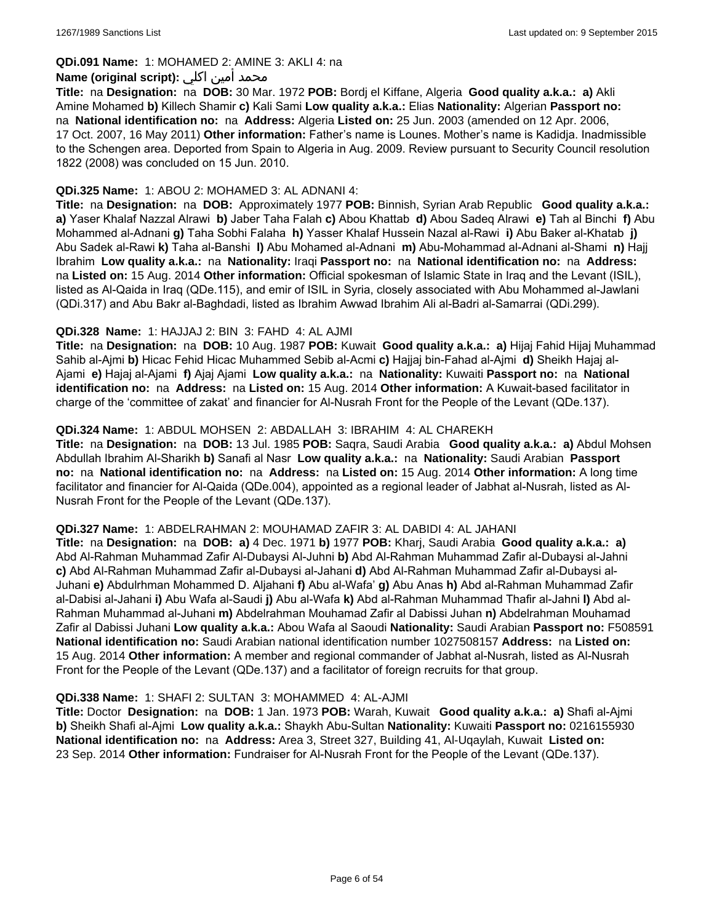### **QDi.091 Name:** 1: MOHAMED 2: AMINE 3: AKLI 4: na

### محمد أمين اكلي :**Name (original script)**

**Title:** na **Designation:** na **DOB:** 30 Mar. 1972 **POB:** Bordj el Kiffane, Algeria **Good quality a.k.a.: a)** Akli Amine Mohamed **b)** Killech Shamir **c)** Kali Sami **Low quality a.k.a.:** Elias **Nationality:** Algerian **Passport no:**  na **National identification no:** na **Address:** Algeria **Listed on:** 25 Jun. 2003 (amended on 12 Apr. 2006, 17 Oct. 2007, 16 May 2011) **Other information:** Father's name is Lounes. Mother's name is Kadidja. Inadmissible to the Schengen area. Deported from Spain to Algeria in Aug. 2009. Review pursuant to Security Council resolution 1822 (2008) was concluded on 15 Jun. 2010.

### **QDi.325 Name:** 1: ABOU 2: MOHAMED 3: AL ADNANI 4:

**Title:** na **Designation:** na **DOB:** Approximately 1977 **POB:** Binnish, Syrian Arab Republic **Good quality a.k.a.: a)** Yaser Khalaf Nazzal Alrawi **b)** Jaber Taha Falah **c)** Abou Khattab **d)** Abou Sadeq Alrawi **e)** Tah al Binchi **f)** Abu Mohammed al-Adnani **g)** Taha Sobhi Falaha **h)** Yasser Khalaf Hussein Nazal al-Rawi **i)** Abu Baker al-Khatab **j)** Abu Sadek al-Rawi **k)** Taha al-Banshi **l)** Abu Mohamed al-Adnani **m)** Abu-Mohammad al-Adnani al-Shami **n)** Hajj Ibrahim **Low quality a.k.a.:** na **Nationality:** Iraqi **Passport no:** na **National identification no:** na **Address:**  na **Listed on:** 15 Aug. 2014 **Other information:** Official spokesman of Islamic State in Iraq and the Levant (ISIL), listed as Al-Qaida in Iraq (QDe.115), and emir of ISIL in Syria, closely associated with Abu Mohammed al-Jawlani (QDi.317) and Abu Bakr al-Baghdadi, listed as Ibrahim Awwad Ibrahim Ali al-Badri al-Samarrai (QDi.299).

### **QDi.328 Name:** 1: HAJJAJ 2: BIN 3: FAHD 4: AL AJMI

**Title:** na **Designation:** na **DOB:** 10 Aug. 1987 **POB:** Kuwait **Good quality a.k.a.: a)** Hijaj Fahid Hijaj Muhammad Sahib al-Ajmi **b)** Hicac Fehid Hicac Muhammed Sebib al-Acmi **c)** Hajjaj bin-Fahad al-Ajmi **d)** Sheikh Hajaj al-Ajami **e)** Hajaj al-Ajami **f)** Ajaj Ajami **Low quality a.k.a.:** na **Nationality:** Kuwaiti **Passport no:** na **National identification no:** na **Address:** na **Listed on:** 15 Aug. 2014 **Other information:** A Kuwait-based facilitator in charge of the 'committee of zakat' and financier for Al-Nusrah Front for the People of the Levant (QDe.137).

### **QDi.324 Name:** 1: ABDUL MOHSEN 2: ABDALLAH 3: IBRAHIM 4: AL CHAREKH

**Title:** na **Designation:** na **DOB:** 13 Jul. 1985 **POB:** Saqra, Saudi Arabia **Good quality a.k.a.: a)** Abdul Mohsen Abdullah Ibrahim Al-Sharikh **b)** Sanafi al Nasr **Low quality a.k.a.:** na **Nationality:** Saudi Arabian **Passport no:** na **National identification no:** na **Address:** na **Listed on:** 15 Aug. 2014 **Other information:** A long time facilitator and financier for Al-Qaida (QDe.004), appointed as a regional leader of Jabhat al-Nusrah, listed as Al-Nusrah Front for the People of the Levant (QDe.137).

#### **QDi.327 Name:** 1: ABDELRAHMAN 2: MOUHAMAD ZAFIR 3: AL DABIDI 4: AL JAHANI

**Title:** na **Designation:** na **DOB: a)** 4 Dec. 1971 **b)** 1977 **POB:** Kharj, Saudi Arabia **Good quality a.k.a.: a)** Abd Al-Rahman Muhammad Zafir Al-Dubaysi Al-Juhni **b)** Abd Al-Rahman Muhammad Zafir al-Dubaysi al-Jahni **c)** Abd Al-Rahman Muhammad Zafir al-Dubaysi al-Jahani **d)** Abd Al-Rahman Muhammad Zafir al-Dubaysi al-Juhani **e)** Abdulrhman Mohammed D. Aljahani **f)** Abu al-Wafa' **g)** Abu Anas **h)** Abd al-Rahman Muhammad Zafir al-Dabisi al-Jahani **i)** Abu Wafa al-Saudi **j)** Abu al-Wafa **k)** Abd al-Rahman Muhammad Thafir al-Jahni **l)** Abd al-Rahman Muhammad al-Juhani **m)** Abdelrahman Mouhamad Zafir al Dabissi Juhan **n)** Abdelrahman Mouhamad Zafir al Dabissi Juhani **Low quality a.k.a.:** Abou Wafa al Saoudi **Nationality:** Saudi Arabian **Passport no:** F508591 **National identification no:** Saudi Arabian national identification number 1027508157 **Address:** na **Listed on:** 15 Aug. 2014 **Other information:** A member and regional commander of Jabhat al-Nusrah, listed as Al-Nusrah Front for the People of the Levant (QDe.137) and a facilitator of foreign recruits for that group.

#### **QDi.338 Name:** 1: SHAFI 2: SULTAN 3: MOHAMMED 4: AL-AJMI

**Title:** Doctor **Designation:** na **DOB:** 1 Jan. 1973 **POB:** Warah, Kuwait **Good quality a.k.a.: a)** Shafi al-Ajmi **b)** Sheikh Shafi al-Ajmi **Low quality a.k.a.:** Shaykh Abu-Sultan **Nationality:** Kuwaiti **Passport no:** 0216155930 **National identification no:** na **Address:** Area 3, Street 327, Building 41, Al-Uqaylah, Kuwait **Listed on:** 23 Sep. 2014 **Other information:** Fundraiser for Al-Nusrah Front for the People of the Levant (QDe.137).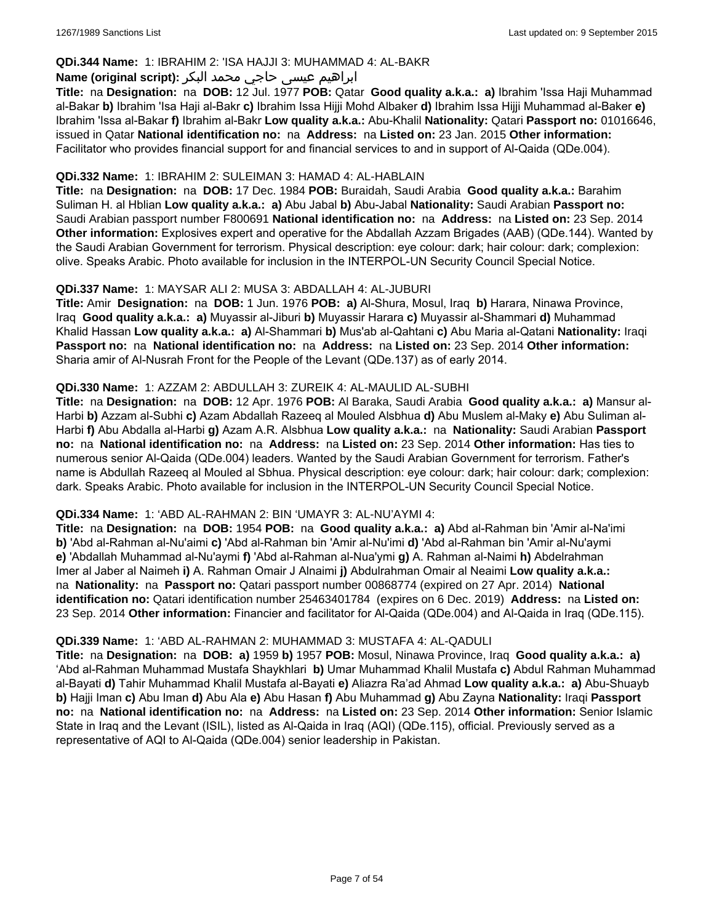### **QDi.344 Name:** 1: IBRAHIM 2: 'ISA HAJJI 3: MUHAMMAD 4: AL-BAKR

# ابراهیم عیسی حاجي محمد البکر **:(script original (Name**

**Title:** na **Designation:** na **DOB:** 12 Jul. 1977 **POB:** Qatar **Good quality a.k.a.: a)** Ibrahim 'Issa Haji Muhammad al-Bakar **b)** Ibrahim 'Isa Haji al-Bakr **c)** Ibrahim Issa Hijji Mohd Albaker **d)** Ibrahim Issa Hijji Muhammad al-Baker **e)** Ibrahim 'Issa al-Bakar **f)** Ibrahim al-Bakr **Low quality a.k.a.:** Abu-Khalil **Nationality:** Qatari **Passport no:** 01016646, issued in Qatar **National identification no:** na **Address:** na **Listed on:** 23 Jan. 2015 **Other information:** Facilitator who provides financial support for and financial services to and in support of Al-Qaida (QDe.004).

### **QDi.332 Name:** 1: IBRAHIM 2: SULEIMAN 3: HAMAD 4: AL-HABLAIN

**Title:** na **Designation:** na **DOB:** 17 Dec. 1984 **POB:** Buraidah, Saudi Arabia **Good quality a.k.a.:** Barahim Suliman H. al Hblian **Low quality a.k.a.: a)** Abu Jabal **b)** Abu-Jabal **Nationality:** Saudi Arabian **Passport no:** Saudi Arabian passport number F800691 **National identification no:** na **Address:** na **Listed on:** 23 Sep. 2014 **Other information:** Explosives expert and operative for the Abdallah Azzam Brigades (AAB) (QDe.144). Wanted by the Saudi Arabian Government for terrorism. Physical description: eye colour: dark; hair colour: dark; complexion: olive. Speaks Arabic. Photo available for inclusion in the INTERPOL-UN Security Council Special Notice.

### **QDi.337 Name:** 1: MAYSAR ALI 2: MUSA 3: ABDALLAH 4: AL-JUBURI

**Title:** Amir **Designation:** na **DOB:** 1 Jun. 1976 **POB: a)** Al-Shura, Mosul, Iraq **b)** Harara, Ninawa Province, Iraq **Good quality a.k.a.: a)** Muyassir al-Jiburi **b)** Muyassir Harara **c)** Muyassir al-Shammari **d)** Muhammad Khalid Hassan **Low quality a.k.a.: a)** Al-Shammari **b)** Mus'ab al-Qahtani **c)** Abu Maria al-Qatani **Nationality:** Iraqi **Passport no:** na **National identification no:** na **Address:** na **Listed on:** 23 Sep. 2014 **Other information:** Sharia amir of Al-Nusrah Front for the People of the Levant (QDe.137) as of early 2014.

### **QDi.330 Name:** 1: AZZAM 2: ABDULLAH 3: ZUREIK 4: AL-MAULID AL-SUBHI

**Title:** na **Designation:** na **DOB:** 12 Apr. 1976 **POB:** Al Baraka, Saudi Arabia **Good quality a.k.a.: a)** Mansur al-Harbi **b)** Azzam al-Subhi **c)** Azam Abdallah Razeeq al Mouled Alsbhua **d)** Abu Muslem al-Maky **e)** Abu Suliman al-Harbi **f)** Abu Abdalla al-Harbi **g)** Azam A.R. Alsbhua **Low quality a.k.a.:** na **Nationality:** Saudi Arabian **Passport no:** na **National identification no:** na **Address:** na **Listed on:** 23 Sep. 2014 **Other information:** Has ties to numerous senior Al-Qaida (QDe.004) leaders. Wanted by the Saudi Arabian Government for terrorism. Father's name is Abdullah Razeeq al Mouled al Sbhua. Physical description: eye colour: dark; hair colour: dark; complexion: dark. Speaks Arabic. Photo available for inclusion in the INTERPOL-UN Security Council Special Notice.

#### **QDi.334 Name:** 1: 'ABD AL-RAHMAN 2: BIN 'UMAYR 3: AL-NU'AYMI 4:

**Title:** na **Designation:** na **DOB:** 1954 **POB:** na **Good quality a.k.a.: a)** Abd al-Rahman bin 'Amir al-Na'imi **b)** 'Abd al-Rahman al-Nu'aimi **c)** 'Abd al-Rahman bin 'Amir al-Nu'imi **d)** 'Abd al-Rahman bin 'Amir al-Nu'aymi **e)** 'Abdallah Muhammad al-Nu'aymi **f)** 'Abd al-Rahman al-Nua'ymi **g)** A. Rahman al-Naimi **h)** Abdelrahman Imer al Jaber al Naimeh **i)** A. Rahman Omair J Alnaimi **j)** Abdulrahman Omair al Neaimi **Low quality a.k.a.:**  na **Nationality:** na **Passport no:** Qatari passport number 00868774 (expired on 27 Apr. 2014) **National identification no:** Qatari identification number 25463401784 (expires on 6 Dec. 2019) **Address:** na **Listed on:** 23 Sep. 2014 **Other information:** Financier and facilitator for Al-Qaida (QDe.004) and Al-Qaida in Iraq (QDe.115).

#### **QDi.339 Name:** 1: 'ABD AL-RAHMAN 2: MUHAMMAD 3: MUSTAFA 4: AL-QADULI

**Title:** na **Designation:** na **DOB: a)** 1959 **b)** 1957 **POB:** Mosul, Ninawa Province, Iraq **Good quality a.k.a.: a)** 'Abd al-Rahman Muhammad Mustafa Shaykhlari **b)** Umar Muhammad Khalil Mustafa **c)** Abdul Rahman Muhammad al-Bayati **d)** Tahir Muhammad Khalil Mustafa al-Bayati **e)** Aliazra Ra'ad Ahmad **Low quality a.k.a.: a)** Abu-Shuayb **b)** Hajji Iman **c)** Abu Iman **d)** Abu Ala **e)** Abu Hasan **f)** Abu Muhammad **g)** Abu Zayna **Nationality:** Iraqi **Passport no:** na **National identification no:** na **Address:** na **Listed on:** 23 Sep. 2014 **Other information:** Senior Islamic State in Iraq and the Levant (ISIL), listed as Al-Qaida in Iraq (AQI) (QDe.115), official. Previously served as a representative of AQI to Al-Qaida (QDe.004) senior leadership in Pakistan.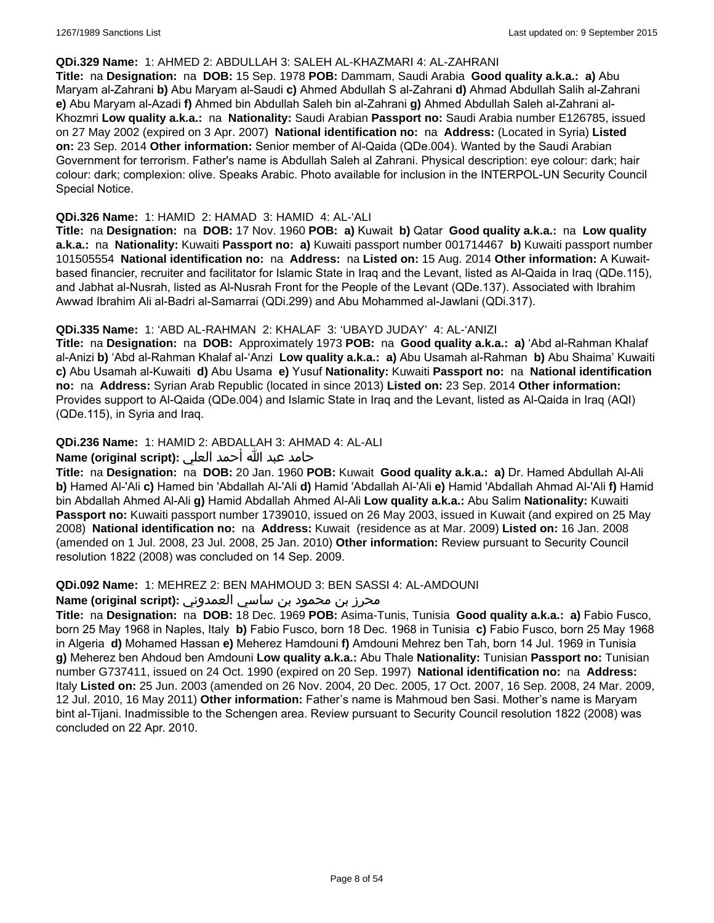#### **QDi.329 Name:** 1: AHMED 2: ABDULLAH 3: SALEH AL-KHAZMARI 4: AL-ZAHRANI

**Title:** na **Designation:** na **DOB:** 15 Sep. 1978 **POB:** Dammam, Saudi Arabia **Good quality a.k.a.: a)** Abu Maryam al-Zahrani **b)** Abu Maryam al-Saudi **c)** Ahmed Abdullah S al-Zahrani **d)** Ahmad Abdullah Salih al-Zahrani **e)** Abu Maryam al-Azadi **f)** Ahmed bin Abdullah Saleh bin al-Zahrani **g)** Ahmed Abdullah Saleh al-Zahrani al-Khozmri **Low quality a.k.a.:** na **Nationality:** Saudi Arabian **Passport no:** Saudi Arabia number E126785, issued on 27 May 2002 (expired on 3 Apr. 2007) **National identification no:** na **Address:** (Located in Syria) **Listed on:** 23 Sep. 2014 **Other information:** Senior member of Al-Qaida (QDe.004). Wanted by the Saudi Arabian Government for terrorism. Father's name is Abdullah Saleh al Zahrani. Physical description: eye colour: dark; hair colour: dark; complexion: olive. Speaks Arabic. Photo available for inclusion in the INTERPOL-UN Security Council Special Notice.

### **QDi.326 Name:** 1: HAMID 2: HAMAD 3: HAMID 4: AL-'ALI

**Title:** na **Designation:** na **DOB:** 17 Nov. 1960 **POB: a)** Kuwait **b)** Qatar **Good quality a.k.a.:** na **Low quality a.k.a.:** na **Nationality:** Kuwaiti **Passport no: a)** Kuwaiti passport number 001714467 **b)** Kuwaiti passport number 101505554 **National identification no:** na **Address:** na **Listed on:** 15 Aug. 2014 **Other information:** A Kuwaitbased financier, recruiter and facilitator for Islamic State in Iraq and the Levant, listed as Al-Qaida in Iraq (QDe.115), and Jabhat al-Nusrah, listed as Al-Nusrah Front for the People of the Levant (QDe.137). Associated with Ibrahim Awwad Ibrahim Ali al-Badri al-Samarrai (QDi.299) and Abu Mohammed al-Jawlani (QDi.317).

# **QDi.335 Name:** 1: 'ABD AL-RAHMAN 2: KHALAF 3: 'UBAYD JUDAY' 4: AL-'ANIZI

**Title:** na **Designation:** na **DOB:** Approximately 1973 **POB:** na **Good quality a.k.a.: a)** 'Abd al-Rahman Khalaf al-Anizi **b)** 'Abd al-Rahman Khalaf al-'Anzi **Low quality a.k.a.: a)** Abu Usamah al-Rahman **b)** Abu Shaima' Kuwaiti **c)** Abu Usamah al-Kuwaiti **d)** Abu Usama **e)** Yusuf **Nationality:** Kuwaiti **Passport no:** na **National identification no:** na **Address:** Syrian Arab Republic (located in since 2013) **Listed on:** 23 Sep. 2014 **Other information:** Provides support to Al-Qaida (QDe.004) and Islamic State in Iraq and the Levant, listed as Al-Qaida in Iraq (AQI) (QDe.115), in Syria and Iraq.

# **QDi.236 Name:** 1: HAMID 2: ABDALLAH 3: AHMAD 4: AL-ALI

# حامد عبد الله أحمد العلي **:(script original (Name**

**Title:** na **Designation:** na **DOB:** 20 Jan. 1960 **POB:** Kuwait **Good quality a.k.a.: a)** Dr. Hamed Abdullah Al-Ali **b)** Hamed Al-'Ali **c)** Hamed bin 'Abdallah Al-'Ali **d)** Hamid 'Abdallah Al-'Ali **e)** Hamid 'Abdallah Ahmad Al-'Ali **f)** Hamid bin Abdallah Ahmed Al-Ali **g)** Hamid Abdallah Ahmed Al-Ali **Low quality a.k.a.:** Abu Salim **Nationality:** Kuwaiti **Passport no:** Kuwaiti passport number 1739010, issued on 26 May 2003, issued in Kuwait (and expired on 25 May 2008) **National identification no:** na **Address:** Kuwait (residence as at Mar. 2009) **Listed on:** 16 Jan. 2008 (amended on 1 Jul. 2008, 23 Jul. 2008, 25 Jan. 2010) **Other information:** Review pursuant to Security Council resolution 1822 (2008) was concluded on 14 Sep. 2009.

#### **QDi.092 Name:** 1: MEHREZ 2: BEN MAHMOUD 3: BEN SASSI 4: AL-AMDOUNI

# محرز بن محمود بن ساسي العمدوني **:Name (original script**)

**Title:** na **Designation:** na **DOB:** 18 Dec. 1969 **POB:** Asima-Tunis, Tunisia **Good quality a.k.a.: a)** Fabio Fusco, born 25 May 1968 in Naples, Italy **b)** Fabio Fusco, born 18 Dec. 1968 in Tunisia **c)** Fabio Fusco, born 25 May 1968 in Algeria **d)** Mohamed Hassan **e)** Meherez Hamdouni **f)** Amdouni Mehrez ben Tah, born 14 Jul. 1969 in Tunisia **g)** Meherez ben Ahdoud ben Amdouni **Low quality a.k.a.:** Abu Thale **Nationality:** Tunisian **Passport no:** Tunisian number G737411, issued on 24 Oct. 1990 (expired on 20 Sep. 1997) **National identification no:** na **Address:** Italy **Listed on:** 25 Jun. 2003 (amended on 26 Nov. 2004, 20 Dec. 2005, 17 Oct. 2007, 16 Sep. 2008, 24 Mar. 2009, 12 Jul. 2010, 16 May 2011) **Other information:** Father's name is Mahmoud ben Sasi. Mother's name is Maryam bint al-Tijani. Inadmissible to the Schengen area. Review pursuant to Security Council resolution 1822 (2008) was concluded on 22 Apr. 2010.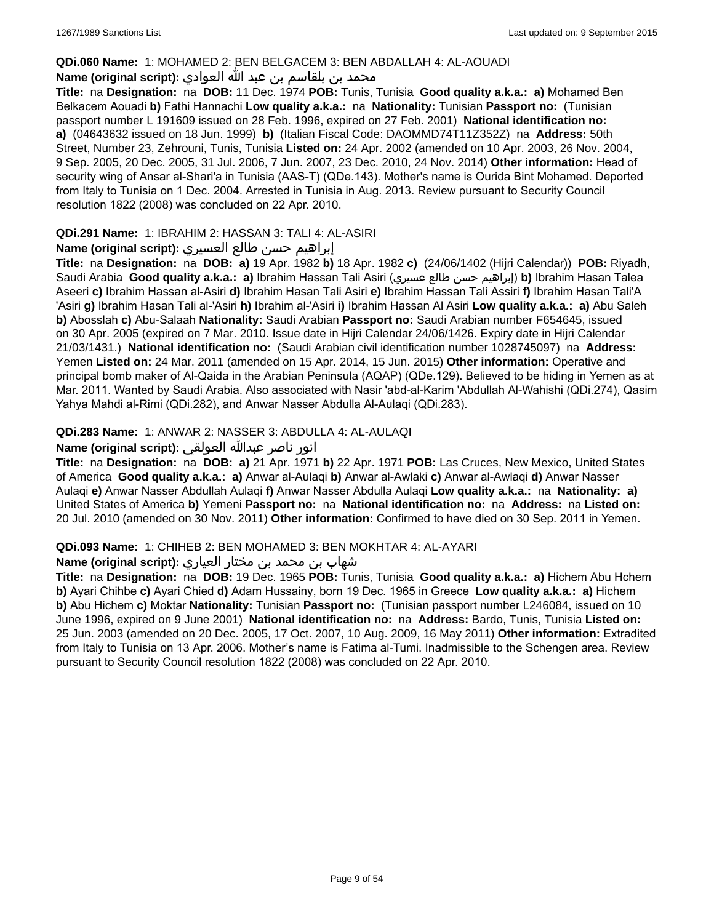#### **QDi.060 Name:** 1: MOHAMED 2: BEN BELGACEM 3: BEN ABDALLAH 4: AL-AOUADI

# محمد بن بلقاسم بن عبد الله العوادي **:**Name (original script)

**Title:** na **Designation:** na **DOB:** 11 Dec. 1974 **POB:** Tunis, Tunisia **Good quality a.k.a.: a)** Mohamed Ben Belkacem Aouadi **b)** Fathi Hannachi **Low quality a.k.a.:** na **Nationality:** Tunisian **Passport no:** (Tunisian passport number L 191609 issued on 28 Feb. 1996, expired on 27 Feb. 2001) **National identification no: a)** (04643632 issued on 18 Jun. 1999) **b)** (Italian Fiscal Code: DAOMMD74T11Z352Z) na **Address:** 50th Street, Number 23, Zehrouni, Tunis, Tunisia **Listed on:** 24 Apr. 2002 (amended on 10 Apr. 2003, 26 Nov. 2004, 9 Sep. 2005, 20 Dec. 2005, 31 Jul. 2006, 7 Jun. 2007, 23 Dec. 2010, 24 Nov. 2014) **Other information:** Head of security wing of Ansar al-Shari'a in Tunisia (AAS-T) (QDe.143). Mother's name is Ourida Bint Mohamed. Deported from Italy to Tunisia on 1 Dec. 2004. Arrested in Tunisia in Aug. 2013. Review pursuant to Security Council resolution 1822 (2008) was concluded on 22 Apr. 2010.

### **QDi.291 Name:** 1: IBRAHIM 2: HASSAN 3: TALI 4: AL-ASIRI

### إبراهيم حسن طالع العسيري **:(script original (Name**

**Title:** na **Designation:** na **DOB: a)** 19 Apr. 1982 **b)** 18 Apr. 1982 **c)** (24/06/1402 (Hijri Calendar)) **POB:** Riyadh, Saudi Arabia **Good quality a.k.a.: a)** Ibrahim Hassan Tali Asiri (عسيري طالع حسن إبراهيم(**b)** Ibrahim Hasan Talea Aseeri **c)** Ibrahim Hassan al-Asiri **d)** Ibrahim Hasan Tali Asiri **e)** Ibrahim Hassan Tali Assiri **f)** Ibrahim Hasan Tali'A 'Asiri **g)** Ibrahim Hasan Tali al-'Asiri **h)** Ibrahim al-'Asiri **i)** Ibrahim Hassan Al Asiri **Low quality a.k.a.: a)** Abu Saleh **b)** Abosslah **c)** Abu-Salaah **Nationality:** Saudi Arabian **Passport no:** Saudi Arabian number F654645, issued on 30 Apr. 2005 (expired on 7 Mar. 2010. Issue date in Hijri Calendar 24/06/1426. Expiry date in Hijri Calendar 21/03/1431.) **National identification no:** (Saudi Arabian civil identification number 1028745097) na **Address:** Yemen **Listed on:** 24 Mar. 2011 (amended on 15 Apr. 2014, 15 Jun. 2015) **Other information:** Operative and principal bomb maker of Al-Qaida in the Arabian Peninsula (AQAP) (QDe.129). Believed to be hiding in Yemen as at Mar. 2011. Wanted by Saudi Arabia. Also associated with Nasir 'abd-al-Karim 'Abdullah Al-Wahishi (QDi.274), Qasim Yahya Mahdi al-Rimi (QDi.282), and Anwar Nasser Abdulla Al-Aulaqi (QDi.283).

# **QDi.283 Name:** 1: ANWAR 2: NASSER 3: ABDULLA 4: AL-AULAQI

# انور ناصر عبدالله العولقي **:(script original (Name**

**Title:** na **Designation:** na **DOB: a)** 21 Apr. 1971 **b)** 22 Apr. 1971 **POB:** Las Cruces, New Mexico, United States of America **Good quality a.k.a.: a)** Anwar al-Aulaqi **b)** Anwar al-Awlaki **c)** Anwar al-Awlaqi **d)** Anwar Nasser Aulaqi **e)** Anwar Nasser Abdullah Aulaqi **f)** Anwar Nasser Abdulla Aulaqi **Low quality a.k.a.:** na **Nationality: a)** United States of America **b)** Yemeni **Passport no:** na **National identification no:** na **Address:** na **Listed on:** 20 Jul. 2010 (amended on 30 Nov. 2011) **Other information:** Confirmed to have died on 30 Sep. 2011 in Yemen.

### **QDi.093 Name:** 1: CHIHEB 2: BEN MOHAMED 3: BEN MOKHTAR 4: AL-AYARI

### شهاب بن محمد بن مختار العياري **:(script original (Name**

**Title:** na **Designation:** na **DOB:** 19 Dec. 1965 **POB:** Tunis, Tunisia **Good quality a.k.a.: a)** Hichem Abu Hchem **b)** Ayari Chihbe **c)** Ayari Chied **d)** Adam Hussainy, born 19 Dec. 1965 in Greece **Low quality a.k.a.: a)** Hichem **b)** Abu Hichem **c)** Moktar **Nationality:** Tunisian **Passport no:** (Tunisian passport number L246084, issued on 10 June 1996, expired on 9 June 2001) **National identification no:** na **Address:** Bardo, Tunis, Tunisia **Listed on:** 25 Jun. 2003 (amended on 20 Dec. 2005, 17 Oct. 2007, 10 Aug. 2009, 16 May 2011) **Other information:** Extradited from Italy to Tunisia on 13 Apr. 2006. Mother's name is Fatima al-Tumi. Inadmissible to the Schengen area. Review pursuant to Security Council resolution 1822 (2008) was concluded on 22 Apr. 2010.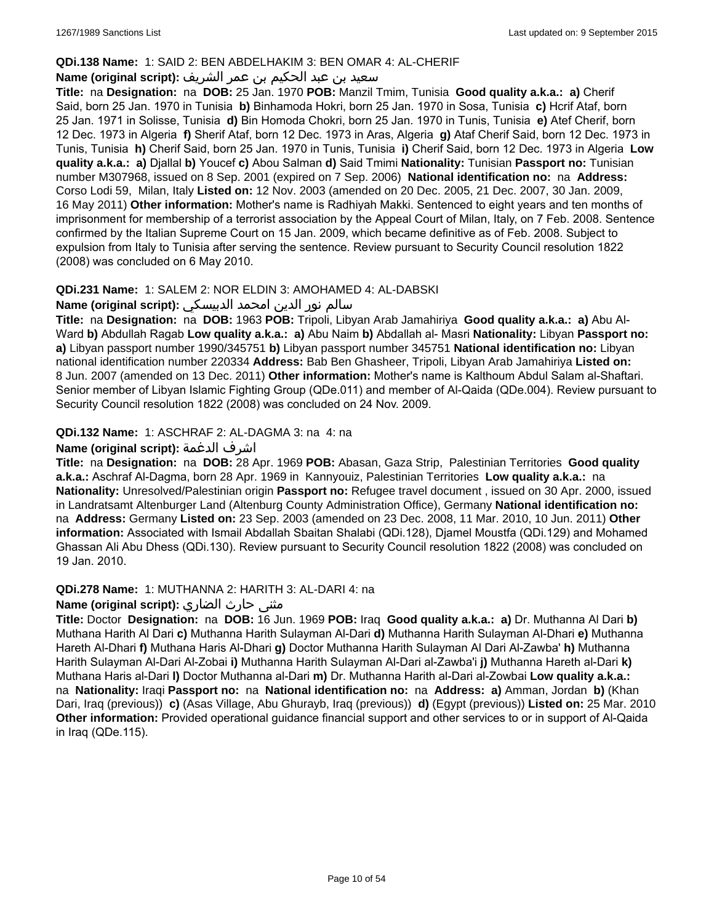### **QDi.138 Name:** 1: SAID 2: BEN ABDELHAKIM 3: BEN OMAR 4: AL-CHERIF

# سعيد بن عبد الحكيم بن عمر الشريف **:(script original (Name**

**Title:** na **Designation:** na **DOB:** 25 Jan. 1970 **POB:** Manzil Tmim, Tunisia **Good quality a.k.a.: a)** Cherif Said, born 25 Jan. 1970 in Tunisia **b)** Binhamoda Hokri, born 25 Jan. 1970 in Sosa, Tunisia **c)** Hcrif Ataf, born 25 Jan. 1971 in Solisse, Tunisia **d)** Bin Homoda Chokri, born 25 Jan. 1970 in Tunis, Tunisia **e)** Atef Cherif, born 12 Dec. 1973 in Algeria **f)** Sherif Ataf, born 12 Dec. 1973 in Aras, Algeria **g)** Ataf Cherif Said, born 12 Dec. 1973 in Tunis, Tunisia **h)** Cherif Said, born 25 Jan. 1970 in Tunis, Tunisia **i)** Cherif Said, born 12 Dec. 1973 in Algeria **Low quality a.k.a.: a)** Djallal **b)** Youcef **c)** Abou Salman **d)** Said Tmimi **Nationality:** Tunisian **Passport no:** Tunisian number M307968, issued on 8 Sep. 2001 (expired on 7 Sep. 2006) **National identification no:** na **Address:** Corso Lodi 59, Milan, Italy **Listed on:** 12 Nov. 2003 (amended on 20 Dec. 2005, 21 Dec. 2007, 30 Jan. 2009, 16 May 2011) **Other information:** Mother's name is Radhiyah Makki. Sentenced to eight years and ten months of imprisonment for membership of a terrorist association by the Appeal Court of Milan, Italy, on 7 Feb. 2008. Sentence confirmed by the Italian Supreme Court on 15 Jan. 2009, which became definitive as of Feb. 2008. Subject to expulsion from Italy to Tunisia after serving the sentence. Review pursuant to Security Council resolution 1822 (2008) was concluded on 6 May 2010.

# **QDi.231 Name:** 1: SALEM 2: NOR ELDIN 3: AMOHAMED 4: AL-DABSKI

### سالم نور الدين امحمد الدبيسكي **:(script original (Name**

**Title:** na **Designation:** na **DOB:** 1963 **POB:** Tripoli, Libyan Arab Jamahiriya **Good quality a.k.a.: a)** Abu Al-Ward **b)** Abdullah Ragab **Low quality a.k.a.: a)** Abu Naim **b)** Abdallah al- Masri **Nationality:** Libyan **Passport no: a)** Libyan passport number 1990/345751 **b)** Libyan passport number 345751 **National identification no:** Libyan national identification number 220334 **Address:** Bab Ben Ghasheer, Tripoli, Libyan Arab Jamahiriya **Listed on:** 8 Jun. 2007 (amended on 13 Dec. 2011) **Other information:** Mother's name is Kalthoum Abdul Salam al-Shaftari. Senior member of Libyan Islamic Fighting Group (QDe.011) and member of Al-Qaida (QDe.004). Review pursuant to Security Council resolution 1822 (2008) was concluded on 24 Nov. 2009.

# **QDi.132 Name:** 1: ASCHRAF 2: AL-DAGMA 3: na 4: na

# **Name (original script):** الدغمة اشرف

**Title:** na **Designation:** na **DOB:** 28 Apr. 1969 **POB:** Abasan, Gaza Strip, Palestinian Territories **Good quality a.k.a.:** Aschraf Al-Dagma, born 28 Apr. 1969 in Kannyouiz, Palestinian Territories **Low quality a.k.a.:** na **Nationality:** Unresolved/Palestinian origin **Passport no:** Refugee travel document , issued on 30 Apr. 2000, issued in Landratsamt Altenburger Land (Altenburg County Administration Office), Germany **National identification no:**  na **Address:** Germany **Listed on:** 23 Sep. 2003 (amended on 23 Dec. 2008, 11 Mar. 2010, 10 Jun. 2011) **Other information:** Associated with Ismail Abdallah Sbaitan Shalabi (QDi.128), Djamel Moustfa (QDi.129) and Mohamed Ghassan Ali Abu Dhess (QDi.130). Review pursuant to Security Council resolution 1822 (2008) was concluded on 19 Jan. 2010.

# **QDi.278 Name:** 1: MUTHANNA 2: HARITH 3: AL-DARI 4: na

# مثنى حارث الضاري :Name (original script)

**Title:** Doctor **Designation:** na **DOB:** 16 Jun. 1969 **POB:** Iraq **Good quality a.k.a.: a)** Dr. Muthanna Al Dari **b)** Muthana Harith Al Dari **c)** Muthanna Harith Sulayman Al-Dari **d)** Muthanna Harith Sulayman Al-Dhari **e)** Muthanna Hareth Al-Dhari **f)** Muthana Haris Al-Dhari **g)** Doctor Muthanna Harith Sulayman Al Dari Al-Zawba' **h)** Muthanna Harith Sulayman Al-Dari Al-Zobai **i)** Muthanna Harith Sulayman Al-Dari al-Zawba'i **j)** Muthanna Hareth al-Dari **k)** Muthana Haris al-Dari **l)** Doctor Muthanna al-Dari **m)** Dr. Muthanna Harith al-Dari al-Zowbai **Low quality a.k.a.:**  na **Nationality:** Iraqi **Passport no:** na **National identification no:** na **Address: a)** Amman, Jordan **b)** (Khan Dari, Iraq (previous)) **c)** (Asas Village, Abu Ghurayb, Iraq (previous)) **d)** (Egypt (previous)) **Listed on:** 25 Mar. 2010 **Other information:** Provided operational guidance financial support and other services to or in support of Al-Qaida in Iraq (QDe.115).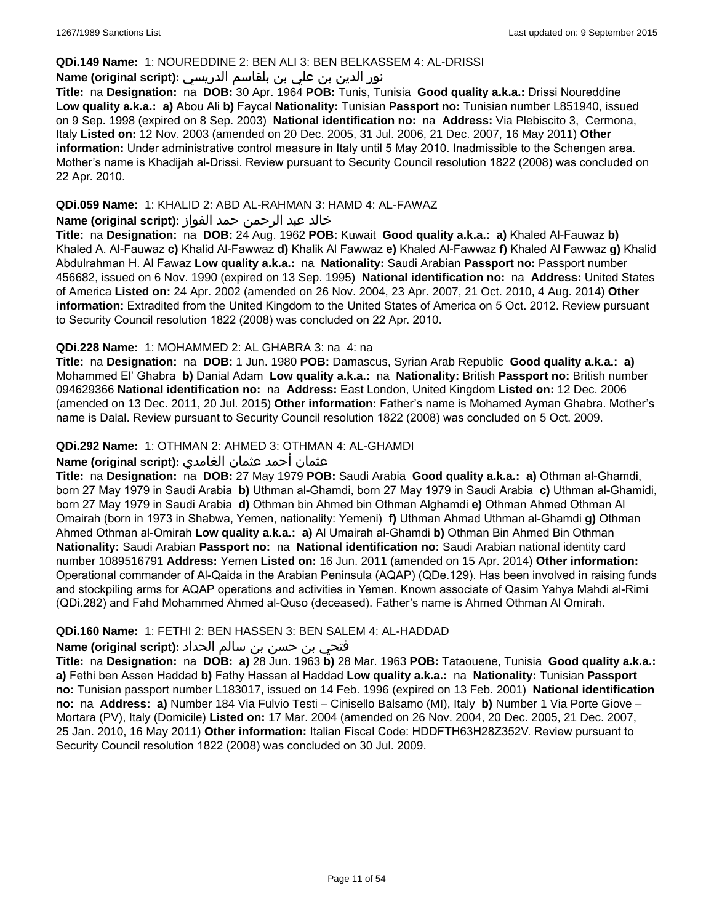### **QDi.149 Name:** 1: NOUREDDINE 2: BEN ALI 3: BEN BELKASSEM 4: AL-DRISSI

# نور الدين بن علي بن بلقاسم الدريسي **:(script original (Name**

**Title:** na **Designation:** na **DOB:** 30 Apr. 1964 **POB:** Tunis, Tunisia **Good quality a.k.a.:** Drissi Noureddine **Low quality a.k.a.: a)** Abou Ali **b)** Faycal **Nationality:** Tunisian **Passport no:** Tunisian number L851940, issued on 9 Sep. 1998 (expired on 8 Sep. 2003) **National identification no:** na **Address:** Via Plebiscito 3, Cermona, Italy **Listed on:** 12 Nov. 2003 (amended on 20 Dec. 2005, 31 Jul. 2006, 21 Dec. 2007, 16 May 2011) **Other information:** Under administrative control measure in Italy until 5 May 2010. Inadmissible to the Schengen area. Mother's name is Khadijah al-Drissi. Review pursuant to Security Council resolution 1822 (2008) was concluded on 22 Apr. 2010.

# **QDi.059 Name:** 1: KHALID 2: ABD AL-RAHMAN 3: HAMD 4: AL-FAWAZ

# خالد عبد الرحمن حمد الفواز **:(script original (Name**

**Title:** na **Designation:** na **DOB:** 24 Aug. 1962 **POB:** Kuwait **Good quality a.k.a.: a)** Khaled Al-Fauwaz **b)** Khaled A. Al-Fauwaz **c)** Khalid Al-Fawwaz **d)** Khalik Al Fawwaz **e)** Khaled Al-Fawwaz **f)** Khaled Al Fawwaz **g)** Khalid Abdulrahman H. Al Fawaz **Low quality a.k.a.:** na **Nationality:** Saudi Arabian **Passport no:** Passport number 456682, issued on 6 Nov. 1990 (expired on 13 Sep. 1995) **National identification no:** na **Address:** United States of America **Listed on:** 24 Apr. 2002 (amended on 26 Nov. 2004, 23 Apr. 2007, 21 Oct. 2010, 4 Aug. 2014) **Other information:** Extradited from the United Kingdom to the United States of America on 5 Oct. 2012. Review pursuant to Security Council resolution 1822 (2008) was concluded on 22 Apr. 2010.

# **QDi.228 Name:** 1: MOHAMMED 2: AL GHABRA 3: na 4: na

**Title:** na **Designation:** na **DOB:** 1 Jun. 1980 **POB:** Damascus, Syrian Arab Republic **Good quality a.k.a.: a)** Mohammed El' Ghabra **b)** Danial Adam **Low quality a.k.a.:** na **Nationality:** British **Passport no:** British number 094629366 **National identification no:** na **Address:** East London, United Kingdom **Listed on:** 12 Dec. 2006 (amended on 13 Dec. 2011, 20 Jul. 2015) **Other information:** Father's name is Mohamed Ayman Ghabra. Mother's name is Dalal. Review pursuant to Security Council resolution 1822 (2008) was concluded on 5 Oct. 2009.

# **QDi.292 Name:** 1: OTHMAN 2: AHMED 3: OTHMAN 4: AL-GHAMDI

# عثمان أحمد عثمان الغامدي **:(script original (Name**

**Title:** na **Designation:** na **DOB:** 27 May 1979 **POB:** Saudi Arabia **Good quality a.k.a.: a)** Othman al-Ghamdi, born 27 May 1979 in Saudi Arabia **b)** Uthman al-Ghamdi, born 27 May 1979 in Saudi Arabia **c)** Uthman al-Ghamidi, born 27 May 1979 in Saudi Arabia **d)** Othman bin Ahmed bin Othman Alghamdi **e)** Othman Ahmed Othman Al Omairah (born in 1973 in Shabwa, Yemen, nationality: Yemeni) **f)** Uthman Ahmad Uthman al-Ghamdi **g)** Othman Ahmed Othman al-Omirah **Low quality a.k.a.: a)** Al Umairah al-Ghamdi **b)** Othman Bin Ahmed Bin Othman **Nationality:** Saudi Arabian **Passport no:** na **National identification no:** Saudi Arabian national identity card number 1089516791 **Address:** Yemen **Listed on:** 16 Jun. 2011 (amended on 15 Apr. 2014) **Other information:** Operational commander of Al-Qaida in the Arabian Peninsula (AQAP) (QDe.129). Has been involved in raising funds and stockpiling arms for AQAP operations and activities in Yemen. Known associate of Qasim Yahya Mahdi al-Rimi (QDi.282) and Fahd Mohammed Ahmed al-Quso (deceased). Father's name is Ahmed Othman Al Omirah.

# **QDi.160 Name:** 1: FETHI 2: BEN HASSEN 3: BEN SALEM 4: AL-HADDAD

# فتحي بن حسن بن سالم الحداد **:(script original (Name**

**Title:** na **Designation:** na **DOB: a)** 28 Jun. 1963 **b)** 28 Mar. 1963 **POB:** Tataouene, Tunisia **Good quality a.k.a.: a)** Fethi ben Assen Haddad **b)** Fathy Hassan al Haddad **Low quality a.k.a.:** na **Nationality:** Tunisian **Passport no:** Tunisian passport number L183017, issued on 14 Feb. 1996 (expired on 13 Feb. 2001) **National identification no:** na **Address: a)** Number 184 Via Fulvio Testi – Cinisello Balsamo (MI), Italy **b)** Number 1 Via Porte Giove – Mortara (PV), Italy (Domicile) **Listed on:** 17 Mar. 2004 (amended on 26 Nov. 2004, 20 Dec. 2005, 21 Dec. 2007, 25 Jan. 2010, 16 May 2011) **Other information:** Italian Fiscal Code: HDDFTH63H28Z352V. Review pursuant to Security Council resolution 1822 (2008) was concluded on 30 Jul. 2009.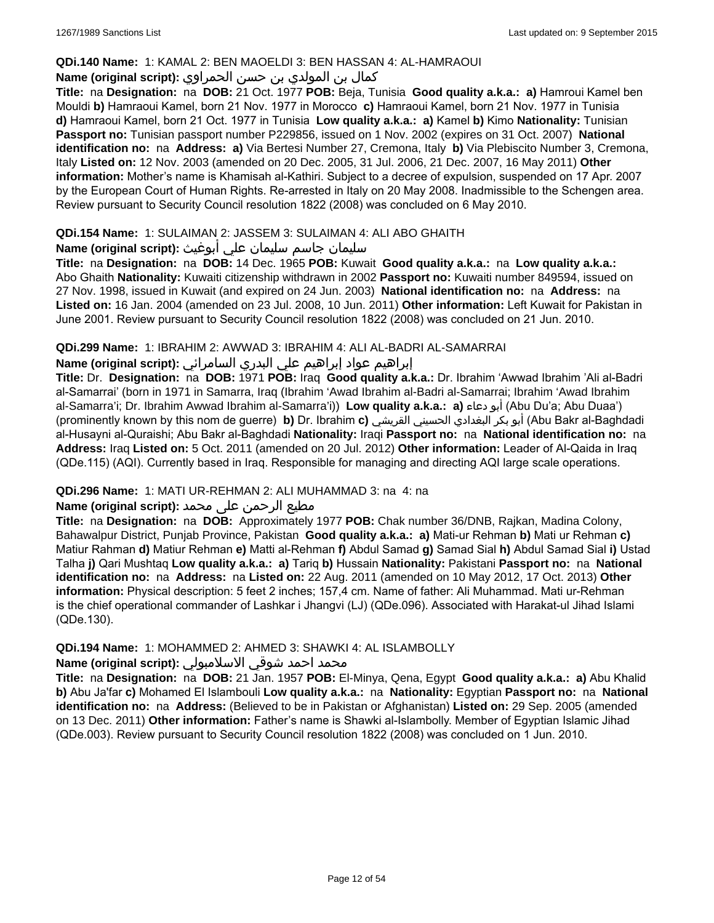### **QDi.140 Name:** 1: KAMAL 2: BEN MAOELDI 3: BEN HASSAN 4: AL-HAMRAOUI

# كمال بن المولدي بن حسن الحمراوي **:(script original (Name**

**Title:** na **Designation:** na **DOB:** 21 Oct. 1977 **POB:** Beja, Tunisia **Good quality a.k.a.: a)** Hamroui Kamel ben Mouldi **b)** Hamraoui Kamel, born 21 Nov. 1977 in Morocco **c)** Hamraoui Kamel, born 21 Nov. 1977 in Tunisia **d)** Hamraoui Kamel, born 21 Oct. 1977 in Tunisia **Low quality a.k.a.: a)** Kamel **b)** Kimo **Nationality:** Tunisian **Passport no:** Tunisian passport number P229856, issued on 1 Nov. 2002 (expires on 31 Oct. 2007) **National identification no:** na **Address: a)** Via Bertesi Number 27, Cremona, Italy **b)** Via Plebiscito Number 3, Cremona, Italy **Listed on:** 12 Nov. 2003 (amended on 20 Dec. 2005, 31 Jul. 2006, 21 Dec. 2007, 16 May 2011) **Other information:** Mother's name is Khamisah al-Kathiri. Subject to a decree of expulsion, suspended on 17 Apr. 2007 by the European Court of Human Rights. Re-arrested in Italy on 20 May 2008. Inadmissible to the Schengen area. Review pursuant to Security Council resolution 1822 (2008) was concluded on 6 May 2010.

# **QDi.154 Name:** 1: SULAIMAN 2: JASSEM 3: SULAIMAN 4: ALI ABO GHAITH

# سليمان جاسم سليمان علي أبوغيث **:(script original (Name**

**Title:** na **Designation:** na **DOB:** 14 Dec. 1965 **POB:** Kuwait **Good quality a.k.a.:** na **Low quality a.k.a.:** Abo Ghaith **Nationality:** Kuwaiti citizenship withdrawn in 2002 **Passport no:** Kuwaiti number 849594, issued on 27 Nov. 1998, issued in Kuwait (and expired on 24 Jun. 2003) **National identification no:** na **Address:** na **Listed on:** 16 Jan. 2004 (amended on 23 Jul. 2008, 10 Jun. 2011) **Other information:** Left Kuwait for Pakistan in June 2001. Review pursuant to Security Council resolution 1822 (2008) was concluded on 21 Jun. 2010.

# **QDi.299 Name:** 1: IBRAHIM 2: AWWAD 3: IBRAHIM 4: ALI AL-BADRI AL-SAMARRAI

# إبراهيم عواد إبراهيم علي البدري السامرائي **:(script original (Name**

**Title:** Dr. **Designation:** na **DOB:** 1971 **POB:** Iraq **Good quality a.k.a.:** Dr. Ibrahim 'Awwad Ibrahim 'Ali al-Badri al-Samarrai' (born in 1971 in Samarra, Iraq (Ibrahim 'Awad Ibrahim al-Badri al-Samarrai; Ibrahim 'Awad Ibrahim al-Samarra'i; Dr. Ibrahim Awwad Ibrahim al-Samarra'i)) **Low quality a.k.a.: a)** دعاء أبو) Abu Du'a; Abu Duaa') (prominently known by this nom de guerre) **b)** Dr. Ibrahim **c)** القريشي الحسيني البغدادي بكر أبو) Abu Bakr al-Baghdadi al-Husayni al-Quraishi; Abu Bakr al-Baghdadi **Nationality:** Iraqi **Passport no:** na **National identification no:** na **Address:** Iraq **Listed on:** 5 Oct. 2011 (amended on 20 Jul. 2012) **Other information:** Leader of Al-Qaida in Iraq (QDe.115) (AQI). Currently based in Iraq. Responsible for managing and directing AQI large scale operations.

# **QDi.296 Name:** 1: MATI UR-REHMAN 2: ALI MUHAMMAD 3: na 4: na

# مطیع الرحمن علی محمد **:Name (original script)**

**Title:** na **Designation:** na **DOB:** Approximately 1977 **POB:** Chak number 36/DNB, Rajkan, Madina Colony, Bahawalpur District, Punjab Province, Pakistan **Good quality a.k.a.: a)** Mati-ur Rehman **b)** Mati ur Rehman **c)** Matiur Rahman **d)** Matiur Rehman **e)** Matti al-Rehman **f)** Abdul Samad **g)** Samad Sial **h)** Abdul Samad Sial **i)** Ustad Talha **j)** Qari Mushtaq **Low quality a.k.a.: a)** Tariq **b)** Hussain **Nationality:** Pakistani **Passport no:** na **National identification no:** na **Address:** na **Listed on:** 22 Aug. 2011 (amended on 10 May 2012, 17 Oct. 2013) **Other information:** Physical description: 5 feet 2 inches; 157,4 cm. Name of father: Ali Muhammad. Mati ur-Rehman is the chief operational commander of Lashkar i Jhangvi (LJ) (QDe.096). Associated with Harakat-ul Jihad Islami (QDe.130).

# **QDi.194 Name:** 1: MOHAMMED 2: AHMED 3: SHAWKI 4: AL ISLAMBOLLY

# محمد احمد شوقي الاسلامبولي **:Name (original script)**

**Title:** na **Designation:** na **DOB:** 21 Jan. 1957 **POB:** El-Minya, Qena, Egypt **Good quality a.k.a.: a)** Abu Khalid **b)** Abu Ja'far **c)** Mohamed El Islambouli **Low quality a.k.a.:** na **Nationality:** Egyptian **Passport no:** na **National identification no:** na **Address:** (Believed to be in Pakistan or Afghanistan) **Listed on:** 29 Sep. 2005 (amended on 13 Dec. 2011) **Other information:** Father's name is Shawki al-Islambolly. Member of Egyptian Islamic Jihad (QDe.003). Review pursuant to Security Council resolution 1822 (2008) was concluded on 1 Jun. 2010.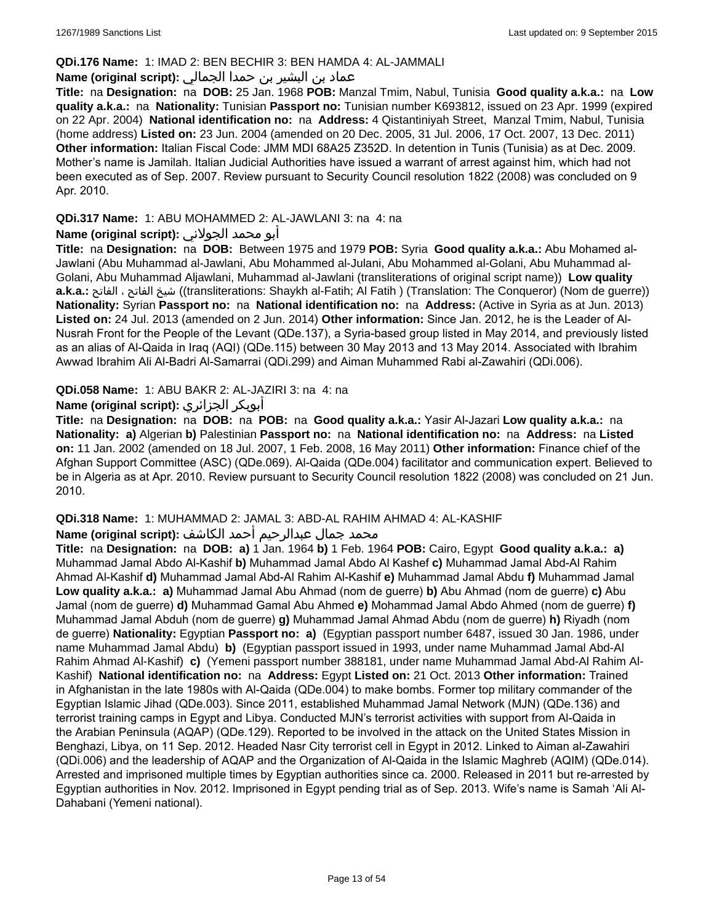### **QDi.176 Name:** 1: IMAD 2: BEN BECHIR 3: BEN HAMDA 4: AL-JAMMALI

# عماد بن البشير بن حمدا الجمالي **:(script original (Name**

**Title:** na **Designation:** na **DOB:** 25 Jan. 1968 **POB:** Manzal Tmim, Nabul, Tunisia **Good quality a.k.a.:** na **Low quality a.k.a.:** na **Nationality:** Tunisian **Passport no:** Tunisian number K693812, issued on 23 Apr. 1999 (expired on 22 Apr. 2004) **National identification no:** na **Address:** 4 Qistantiniyah Street, Manzal Tmim, Nabul, Tunisia (home address) **Listed on:** 23 Jun. 2004 (amended on 20 Dec. 2005, 31 Jul. 2006, 17 Oct. 2007, 13 Dec. 2011) **Other information:** Italian Fiscal Code: JMM MDI 68A25 Z352D. In detention in Tunis (Tunisia) as at Dec. 2009. Mother's name is Jamilah. Italian Judicial Authorities have issued a warrant of arrest against him, which had not been executed as of Sep. 2007. Review pursuant to Security Council resolution 1822 (2008) was concluded on 9 Apr. 2010.

## **QDi.317 Name:** 1: ABU MOHAMMED 2: AL-JAWLANI 3: na 4: na

### أبو محمد الجولاني **:(script original (Name**

**Title:** na **Designation:** na **DOB:** Between 1975 and 1979 **POB:** Syria **Good quality a.k.a.:** Abu Mohamed al-Jawlani (Abu Muhammad al-Jawlani, Abu Mohammed al-Julani, Abu Mohammed al-Golani, Abu Muhammad al-Golani, Abu Muhammad Aljawlani, Muhammad al-Jawlani (transliterations of original script name)) **Low quality a.k.a.:** الفاتح ، الفاتح شيخ)) transliterations: Shaykh al-Fatih; Al Fatih ) (Translation: The Conqueror) (Nom de guerre)) **Nationality:** Syrian **Passport no:** na **National identification no:** na **Address:** (Active in Syria as at Jun. 2013) **Listed on:** 24 Jul. 2013 (amended on 2 Jun. 2014) **Other information:** Since Jan. 2012, he is the Leader of Al-Nusrah Front for the People of the Levant (QDe.137), a Syria-based group listed in May 2014, and previously listed as an alias of Al-Qaida in Iraq (AQI) (QDe.115) between 30 May 2013 and 13 May 2014. Associated with Ibrahim Awwad Ibrahim Ali Al-Badri Al-Samarrai (QDi.299) and Aiman Muhammed Rabi al-Zawahiri (QDi.006).

### **QDi.058 Name:** 1: ABU BAKR 2: AL-JAZIRI 3: na 4: na

### **Name (original script):** الجزائري أبوبكر

**Title:** na **Designation:** na **DOB:** na **POB:** na **Good quality a.k.a.:** Yasir Al-Jazari **Low quality a.k.a.:** na **Nationality: a)** Algerian **b)** Palestinian **Passport no:** na **National identification no:** na **Address:** na **Listed on:** 11 Jan. 2002 (amended on 18 Jul. 2007, 1 Feb. 2008, 16 May 2011) **Other information:** Finance chief of the Afghan Support Committee (ASC) (QDe.069). Al-Qaida (QDe.004) facilitator and communication expert. Believed to be in Algeria as at Apr. 2010. Review pursuant to Security Council resolution 1822 (2008) was concluded on 21 Jun. 2010.

# **QDi.318 Name:** 1: MUHAMMAD 2: JAMAL 3: ABD-AL RAHIM AHMAD 4: AL-KASHIF

### محمد جمال عبدالرحيم أحمد الكاشف **:(script original (Name**

**Title:** na **Designation:** na **DOB: a)** 1 Jan. 1964 **b)** 1 Feb. 1964 **POB:** Cairo, Egypt **Good quality a.k.a.: a)** Muhammad Jamal Abdo Al-Kashif **b)** Muhammad Jamal Abdo Al Kashef **c)** Muhammad Jamal Abd-Al Rahim Ahmad Al-Kashif **d)** Muhammad Jamal Abd-Al Rahim Al-Kashif **e)** Muhammad Jamal Abdu **f)** Muhammad Jamal **Low quality a.k.a.: a)** Muhammad Jamal Abu Ahmad (nom de guerre) **b)** Abu Ahmad (nom de guerre) **c)** Abu Jamal (nom de guerre) **d)** Muhammad Gamal Abu Ahmed **e)** Mohammad Jamal Abdo Ahmed (nom de guerre) **f)** Muhammad Jamal Abduh (nom de guerre) **g)** Muhammad Jamal Ahmad Abdu (nom de guerre) **h)** Riyadh (nom de guerre) **Nationality:** Egyptian **Passport no: a)** (Egyptian passport number 6487, issued 30 Jan. 1986, under name Muhammad Jamal Abdu) **b)** (Egyptian passport issued in 1993, under name Muhammad Jamal Abd-Al Rahim Ahmad Al-Kashif) **c)** (Yemeni passport number 388181, under name Muhammad Jamal Abd-Al Rahim Al-Kashif) **National identification no:** na **Address:** Egypt **Listed on:** 21 Oct. 2013 **Other information:** Trained in Afghanistan in the late 1980s with Al-Qaida (QDe.004) to make bombs. Former top military commander of the Egyptian Islamic Jihad (QDe.003). Since 2011, established Muhammad Jamal Network (MJN) (QDe.136) and terrorist training camps in Egypt and Libya. Conducted MJN's terrorist activities with support from Al-Qaida in the Arabian Peninsula (AQAP) (QDe.129). Reported to be involved in the attack on the United States Mission in Benghazi, Libya, on 11 Sep. 2012. Headed Nasr City terrorist cell in Egypt in 2012. Linked to Aiman al-Zawahiri (QDi.006) and the leadership of AQAP and the Organization of Al-Qaida in the Islamic Maghreb (AQIM) (QDe.014). Arrested and imprisoned multiple times by Egyptian authorities since ca. 2000. Released in 2011 but re-arrested by Egyptian authorities in Nov. 2012. Imprisoned in Egypt pending trial as of Sep. 2013. Wife's name is Samah 'Ali Al-Dahabani (Yemeni national).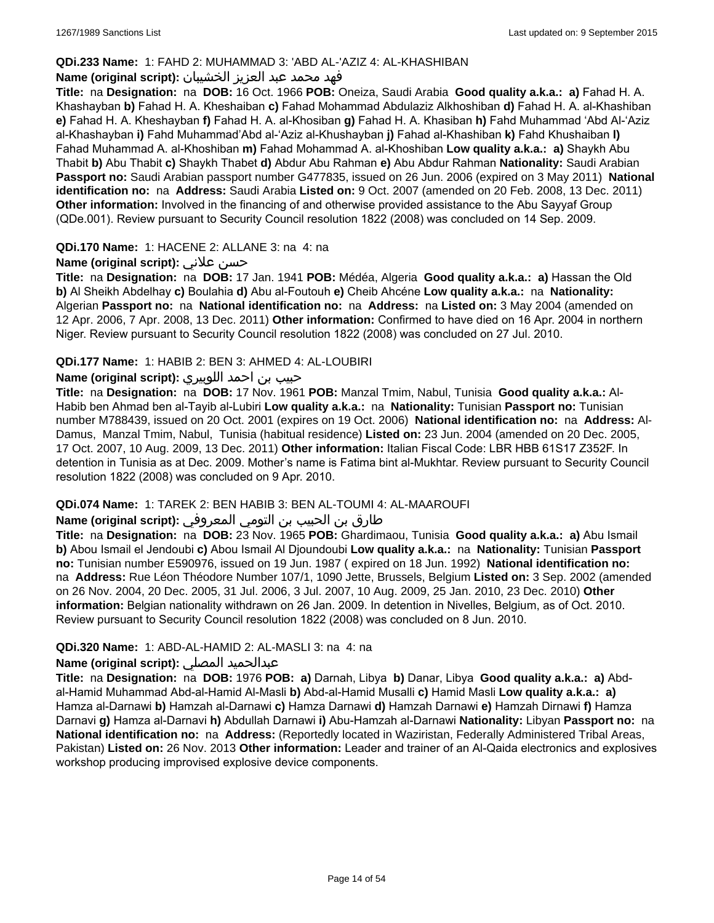# **QDi.233 Name:** 1: FAHD 2: MUHAMMAD 3: 'ABD AL-'AZIZ 4: AL-KHASHIBAN

# فهد محمد عبد العزيز الخشيبان **:(script original (Name**

**Title:** na **Designation:** na **DOB:** 16 Oct. 1966 **POB:** Oneiza, Saudi Arabia **Good quality a.k.a.: a)** Fahad H. A. Khashayban **b)** Fahad H. A. Kheshaiban **c)** Fahad Mohammad Abdulaziz Alkhoshiban **d)** Fahad H. A. al-Khashiban **e)** Fahad H. A. Kheshayban **f)** Fahad H. A. al-Khosiban **g)** Fahad H. A. Khasiban **h)** Fahd Muhammad 'Abd Al-'Aziz al-Khashayban **i)** Fahd Muhammad'Abd al-'Aziz al-Khushayban **j)** Fahad al-Khashiban **k)** Fahd Khushaiban **l)** Fahad Muhammad A. al-Khoshiban **m)** Fahad Mohammad A. al-Khoshiban **Low quality a.k.a.: a)** Shaykh Abu Thabit **b)** Abu Thabit **c)** Shaykh Thabet **d)** Abdur Abu Rahman **e)** Abu Abdur Rahman **Nationality:** Saudi Arabian **Passport no:** Saudi Arabian passport number G477835, issued on 26 Jun. 2006 (expired on 3 May 2011) **National identification no:** na **Address:** Saudi Arabia **Listed on:** 9 Oct. 2007 (amended on 20 Feb. 2008, 13 Dec. 2011) **Other information:** Involved in the financing of and otherwise provided assistance to the Abu Sayyaf Group (QDe.001). Review pursuant to Security Council resolution 1822 (2008) was concluded on 14 Sep. 2009.

### **QDi.170 Name:** 1: HACENE 2: ALLANE 3: na 4: na

### **Name (original script):** علاني حسن

**Title:** na **Designation:** na **DOB:** 17 Jan. 1941 **POB:** Médéa, Algeria **Good quality a.k.a.: a)** Hassan the Old **b)** Al Sheikh Abdelhay **c)** Boulahia **d)** Abu al-Foutouh **e)** Cheib Ahcéne **Low quality a.k.a.:** na **Nationality:** Algerian **Passport no:** na **National identification no:** na **Address:** na **Listed on:** 3 May 2004 (amended on 12 Apr. 2006, 7 Apr. 2008, 13 Dec. 2011) **Other information:** Confirmed to have died on 16 Apr. 2004 in northern Niger. Review pursuant to Security Council resolution 1822 (2008) was concluded on 27 Jul. 2010.

### **QDi.177 Name:** 1: HABIB 2: BEN 3: AHMED 4: AL-LOUBIRI

# حبيب بن احمد اللوبيري **:(script original (Name**

**Title:** na **Designation:** na **DOB:** 17 Nov. 1961 **POB:** Manzal Tmim, Nabul, Tunisia **Good quality a.k.a.:** Al-Habib ben Ahmad ben al-Tayib al-Lubiri **Low quality a.k.a.:** na **Nationality:** Tunisian **Passport no:** Tunisian number M788439, issued on 20 Oct. 2001 (expires on 19 Oct. 2006) **National identification no:** na **Address:** Al-Damus, Manzal Tmim, Nabul, Tunisia (habitual residence) **Listed on:** 23 Jun. 2004 (amended on 20 Dec. 2005, 17 Oct. 2007, 10 Aug. 2009, 13 Dec. 2011) **Other information:** Italian Fiscal Code: LBR HBB 61S17 Z352F. In detention in Tunisia as at Dec. 2009. Mother's name is Fatima bint al-Mukhtar. Review pursuant to Security Council resolution 1822 (2008) was concluded on 9 Apr. 2010.

#### **QDi.074 Name:** 1: TAREK 2: BEN HABIB 3: BEN AL-TOUMI 4: AL-MAAROUFI

#### طارق بن الحبيب بن التومي المعروفي **:Name (original script)**

**Title:** na **Designation:** na **DOB:** 23 Nov. 1965 **POB:** Ghardimaou, Tunisia **Good quality a.k.a.: a)** Abu Ismail **b)** Abou Ismail el Jendoubi **c)** Abou Ismail Al Djoundoubi **Low quality a.k.a.:** na **Nationality:** Tunisian **Passport no:** Tunisian number E590976, issued on 19 Jun. 1987 ( expired on 18 Jun. 1992) **National identification no:**  na **Address:** Rue Léon Théodore Number 107/1, 1090 Jette, Brussels, Belgium **Listed on:** 3 Sep. 2002 (amended on 26 Nov. 2004, 20 Dec. 2005, 31 Jul. 2006, 3 Jul. 2007, 10 Aug. 2009, 25 Jan. 2010, 23 Dec. 2010) **Other information:** Belgian nationality withdrawn on 26 Jan. 2009. In detention in Nivelles, Belgium, as of Oct. 2010. Review pursuant to Security Council resolution 1822 (2008) was concluded on 8 Jun. 2010.

#### **QDi.320 Name:** 1: ABD-AL-HAMID 2: AL-MASLI 3: na 4: na

#### **Name (original script):** المصلي عبدالحميد

**Title:** na **Designation:** na **DOB:** 1976 **POB: a)** Darnah, Libya **b)** Danar, Libya **Good quality a.k.a.: a)** Abdal-Hamid Muhammad Abd-al-Hamid Al-Masli **b)** Abd-al-Hamid Musalli **c)** Hamid Masli **Low quality a.k.a.: a)** Hamza al-Darnawi **b)** Hamzah al-Darnawi **c)** Hamza Darnawi **d)** Hamzah Darnawi **e)** Hamzah Dirnawi **f)** Hamza Darnavi **g)** Hamza al-Darnavi **h)** Abdullah Darnawi **i)** Abu-Hamzah al-Darnawi **Nationality:** Libyan **Passport no:** na **National identification no:** na **Address:** (Reportedly located in Waziristan, Federally Administered Tribal Areas, Pakistan) **Listed on:** 26 Nov. 2013 **Other information:** Leader and trainer of an Al-Qaida electronics and explosives workshop producing improvised explosive device components.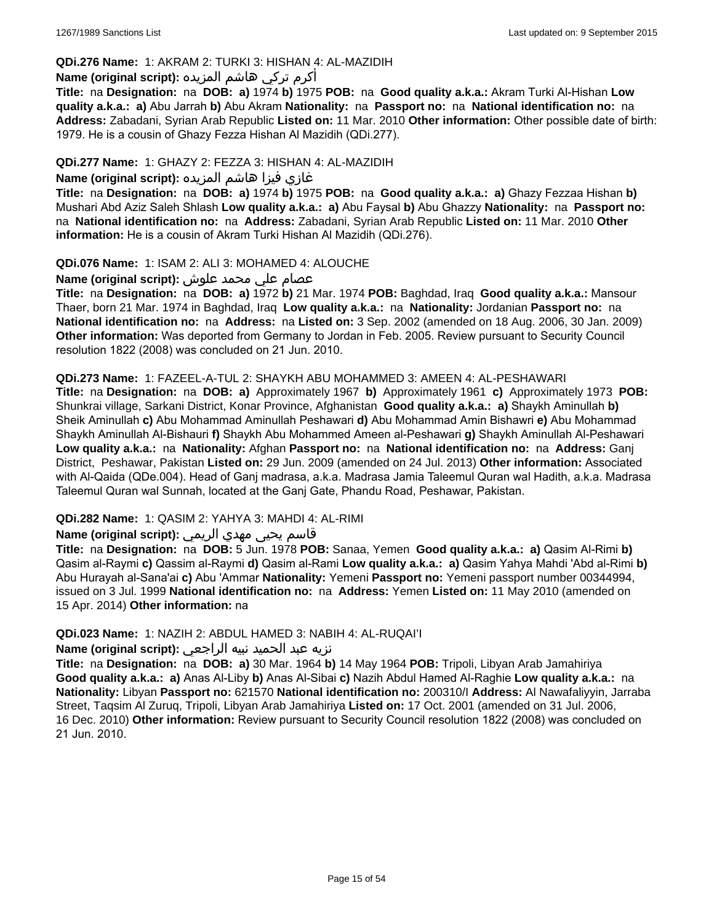# **QDi.276 Name:** 1: AKRAM 2: TURKI 3: HISHAN 4: AL-MAZIDIH

# أكرم تركي هاشم المزيده **:(script original (Name**

**Title:** na **Designation:** na **DOB: a)** 1974 **b)** 1975 **POB:** na **Good quality a.k.a.:** Akram Turki Al-Hishan **Low quality a.k.a.: a)** Abu Jarrah **b)** Abu Akram **Nationality:** na **Passport no:** na **National identification no:** na **Address:** Zabadani, Syrian Arab Republic **Listed on:** 11 Mar. 2010 **Other information:** Other possible date of birth: 1979. He is a cousin of Ghazy Fezza Hishan Al Mazidih (QDi.277).

# **QDi.277 Name:** 1: GHAZY 2: FEZZA 3: HISHAN 4: AL-MAZIDIH

# غازي فيزا هاشم المزيده **:(script original (Name**

**Title:** na **Designation:** na **DOB: a)** 1974 **b)** 1975 **POB:** na **Good quality a.k.a.: a)** Ghazy Fezzaa Hishan **b)** Mushari Abd Aziz Saleh Shlash **Low quality a.k.a.: a)** Abu Faysal **b)** Abu Ghazzy **Nationality:** na **Passport no:**  na **National identification no:** na **Address:** Zabadani, Syrian Arab Republic **Listed on:** 11 Mar. 2010 **Other information:** He is a cousin of Akram Turki Hishan Al Mazidih (QDi.276).

# **QDi.076 Name:** 1: ISAM 2: ALI 3: MOHAMED 4: ALOUCHE

# عصام علي محمد علوش **:(script original (Name**

**Title:** na **Designation:** na **DOB: a)** 1972 **b)** 21 Mar. 1974 **POB:** Baghdad, Iraq **Good quality a.k.a.:** Mansour Thaer, born 21 Mar. 1974 in Baghdad, Iraq **Low quality a.k.a.:** na **Nationality:** Jordanian **Passport no:** na **National identification no:** na **Address:** na **Listed on:** 3 Sep. 2002 (amended on 18 Aug. 2006, 30 Jan. 2009) **Other information:** Was deported from Germany to Jordan in Feb. 2005. Review pursuant to Security Council resolution 1822 (2008) was concluded on 21 Jun. 2010.

#### **QDi.273 Name:** 1: FAZEEL-A-TUL 2: SHAYKH ABU MOHAMMED 3: AMEEN 4: AL-PESHAWARI

**Title:** na **Designation:** na **DOB: a)** Approximately 1967 **b)** Approximately 1961 **c)** Approximately 1973 **POB:** Shunkrai village, Sarkani District, Konar Province, Afghanistan **Good quality a.k.a.: a)** Shaykh Aminullah **b)** Sheik Aminullah **c)** Abu Mohammad Aminullah Peshawari **d)** Abu Mohammad Amin Bishawri **e)** Abu Mohammad Shaykh Aminullah Al-Bishauri **f)** Shaykh Abu Mohammed Ameen al-Peshawari **g)** Shaykh Aminullah Al-Peshawari **Low quality a.k.a.:** na **Nationality:** Afghan **Passport no:** na **National identification no:** na **Address:** Ganj District, Peshawar, Pakistan **Listed on:** 29 Jun. 2009 (amended on 24 Jul. 2013) **Other information:** Associated with Al-Qaida (QDe.004). Head of Ganj madrasa, a.k.a. Madrasa Jamia Taleemul Quran wal Hadith, a.k.a. Madrasa Taleemul Quran wal Sunnah, located at the Ganj Gate, Phandu Road, Peshawar, Pakistan.

# **QDi.282 Name:** 1: QASIM 2: YAHYA 3: MAHDI 4: AL-RIMI

# قاسم يحيى مهدي الريمي **:(script original (Name**

**Title:** na **Designation:** na **DOB:** 5 Jun. 1978 **POB:** Sanaa, Yemen **Good quality a.k.a.: a)** Qasim Al-Rimi **b)** Qasim al-Raymi **c)** Qassim al-Raymi **d)** Qasim al-Rami **Low quality a.k.a.: a)** Qasim Yahya Mahdi 'Abd al-Rimi **b)** Abu Hurayah al-Sana'ai **c)** Abu 'Ammar **Nationality:** Yemeni **Passport no:** Yemeni passport number 00344994, issued on 3 Jul. 1999 **National identification no:** na **Address:** Yemen **Listed on:** 11 May 2010 (amended on 15 Apr. 2014) **Other information:** na

# **QDi.023 Name:** 1: NAZIH 2: ABDUL HAMED 3: NABIH 4: AL-RUQAI'I

#### نزيه عبد الحميد نبيه الراجعي **:(script original (Name**

**Title:** na **Designation:** na **DOB: a)** 30 Mar. 1964 **b)** 14 May 1964 **POB:** Tripoli, Libyan Arab Jamahiriya **Good quality a.k.a.: a)** Anas Al-Liby **b)** Anas Al-Sibai **c)** Nazih Abdul Hamed Al-Raghie **Low quality a.k.a.:** na **Nationality:** Libyan **Passport no:** 621570 **National identification no:** 200310/I **Address:** Al Nawafaliyyin, Jarraba Street, Taqsim Al Zuruq, Tripoli, Libyan Arab Jamahiriya **Listed on:** 17 Oct. 2001 (amended on 31 Jul. 2006, 16 Dec. 2010) **Other information:** Review pursuant to Security Council resolution 1822 (2008) was concluded on 21 Jun. 2010.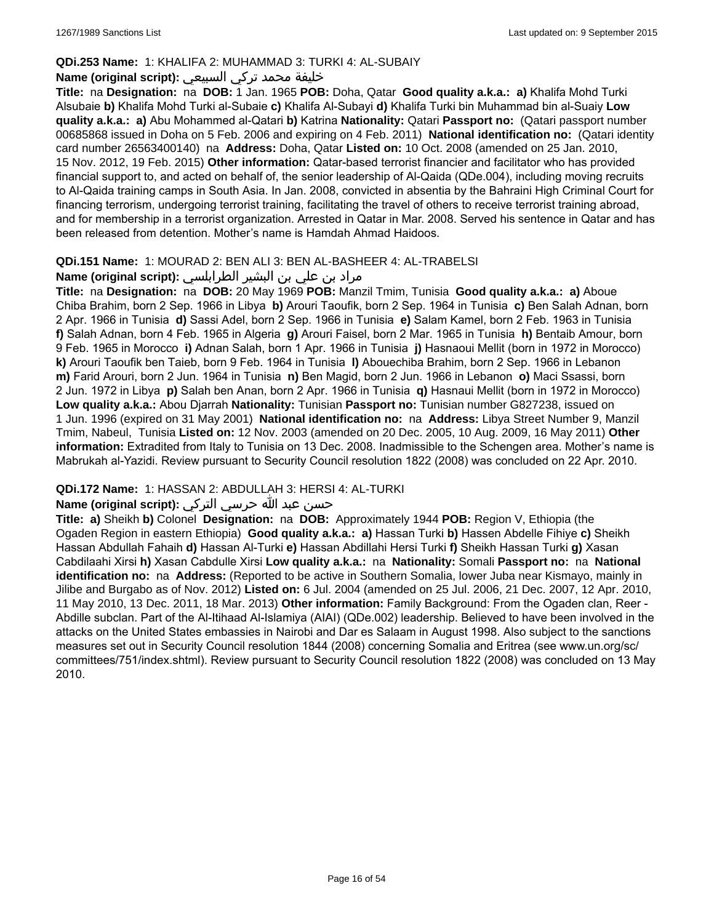# **QDi.253 Name:** 1: KHALIFA 2: MUHAMMAD 3: TURKI 4: AL-SUBAIY

# خليفة محمد تركي السبيعي **:(script original (Name**

**Title:** na **Designation:** na **DOB:** 1 Jan. 1965 **POB:** Doha, Qatar **Good quality a.k.a.: a)** Khalifa Mohd Turki Alsubaie **b)** Khalifa Mohd Turki al-Subaie **c)** Khalifa Al-Subayi **d)** Khalifa Turki bin Muhammad bin al-Suaiy **Low quality a.k.a.: a)** Abu Mohammed al-Qatari **b)** Katrina **Nationality:** Qatari **Passport no:** (Qatari passport number 00685868 issued in Doha on 5 Feb. 2006 and expiring on 4 Feb. 2011) **National identification no:** (Qatari identity card number 26563400140) na **Address:** Doha, Qatar **Listed on:** 10 Oct. 2008 (amended on 25 Jan. 2010, 15 Nov. 2012, 19 Feb. 2015) **Other information:** Qatar-based terrorist financier and facilitator who has provided financial support to, and acted on behalf of, the senior leadership of Al-Qaida (QDe.004), including moving recruits to Al-Qaida training camps in South Asia. In Jan. 2008, convicted in absentia by the Bahraini High Criminal Court for financing terrorism, undergoing terrorist training, facilitating the travel of others to receive terrorist training abroad, and for membership in a terrorist organization. Arrested in Qatar in Mar. 2008. Served his sentence in Qatar and has been released from detention. Mother's name is Hamdah Ahmad Haidoos.

### **QDi.151 Name:** 1: MOURAD 2: BEN ALI 3: BEN AL-BASHEER 4: AL-TRABELSI

# مراد بن علي بن البشير الطرابلسي **:(script original (Name**

**Title:** na **Designation:** na **DOB:** 20 May 1969 **POB:** Manzil Tmim, Tunisia **Good quality a.k.a.: a)** Aboue Chiba Brahim, born 2 Sep. 1966 in Libya **b)** Arouri Taoufik, born 2 Sep. 1964 in Tunisia **c)** Ben Salah Adnan, born 2 Apr. 1966 in Tunisia **d)** Sassi Adel, born 2 Sep. 1966 in Tunisia **e)** Salam Kamel, born 2 Feb. 1963 in Tunisia **f)** Salah Adnan, born 4 Feb. 1965 in Algeria **g)** Arouri Faisel, born 2 Mar. 1965 in Tunisia **h)** Bentaib Amour, born 9 Feb. 1965 in Morocco **i)** Adnan Salah, born 1 Apr. 1966 in Tunisia **j)** Hasnaoui Mellit (born in 1972 in Morocco) **k)** Arouri Taoufik ben Taieb, born 9 Feb. 1964 in Tunisia **l)** Abouechiba Brahim, born 2 Sep. 1966 in Lebanon **m)** Farid Arouri, born 2 Jun. 1964 in Tunisia **n)** Ben Magid, born 2 Jun. 1966 in Lebanon **o)** Maci Ssassi, born 2 Jun. 1972 in Libya **p)** Salah ben Anan, born 2 Apr. 1966 in Tunisia **q)** Hasnaui Mellit (born in 1972 in Morocco) **Low quality a.k.a.:** Abou Djarrah **Nationality:** Tunisian **Passport no:** Tunisian number G827238, issued on 1 Jun. 1996 (expired on 31 May 2001) **National identification no:** na **Address:** Libya Street Number 9, Manzil Tmim, Nabeul, Tunisia **Listed on:** 12 Nov. 2003 (amended on 20 Dec. 2005, 10 Aug. 2009, 16 May 2011) **Other information:** Extradited from Italy to Tunisia on 13 Dec. 2008. Inadmissible to the Schengen area. Mother's name is Mabrukah al-Yazidi. Review pursuant to Security Council resolution 1822 (2008) was concluded on 22 Apr. 2010.

# **QDi.172 Name:** 1: HASSAN 2: ABDULLAH 3: HERSI 4: AL-TURKI

# حسن عبد الله حرسي التركي **:(script original (Name**

**Title: a)** Sheikh **b)** Colonel **Designation:** na **DOB:** Approximately 1944 **POB:** Region V, Ethiopia (the Ogaden Region in eastern Ethiopia) **Good quality a.k.a.: a)** Hassan Turki **b)** Hassen Abdelle Fihiye **c)** Sheikh Hassan Abdullah Fahaih **d)** Hassan Al-Turki **e)** Hassan Abdillahi Hersi Turki **f)** Sheikh Hassan Turki **g)** Xasan Cabdilaahi Xirsi **h)** Xasan Cabdulle Xirsi **Low quality a.k.a.:** na **Nationality:** Somali **Passport no:** na **National identification no:** na **Address:** (Reported to be active in Southern Somalia, lower Juba near Kismayo, mainly in Jilibe and Burgabo as of Nov. 2012) **Listed on:** 6 Jul. 2004 (amended on 25 Jul. 2006, 21 Dec. 2007, 12 Apr. 2010, 11 May 2010, 13 Dec. 2011, 18 Mar. 2013) **Other information:** Family Background: From the Ogaden clan, Reer - Abdille subclan. Part of the Al-Itihaad Al-Islamiya (AIAI) (QDe.002) leadership. Believed to have been involved in the attacks on the United States embassies in Nairobi and Dar es Salaam in August 1998. Also subject to the sanctions measures set out in Security Council resolution 1844 (2008) concerning Somalia and Eritrea (see www.un.org/sc/ committees/751/index.shtml). Review pursuant to Security Council resolution 1822 (2008) was concluded on 13 May 2010.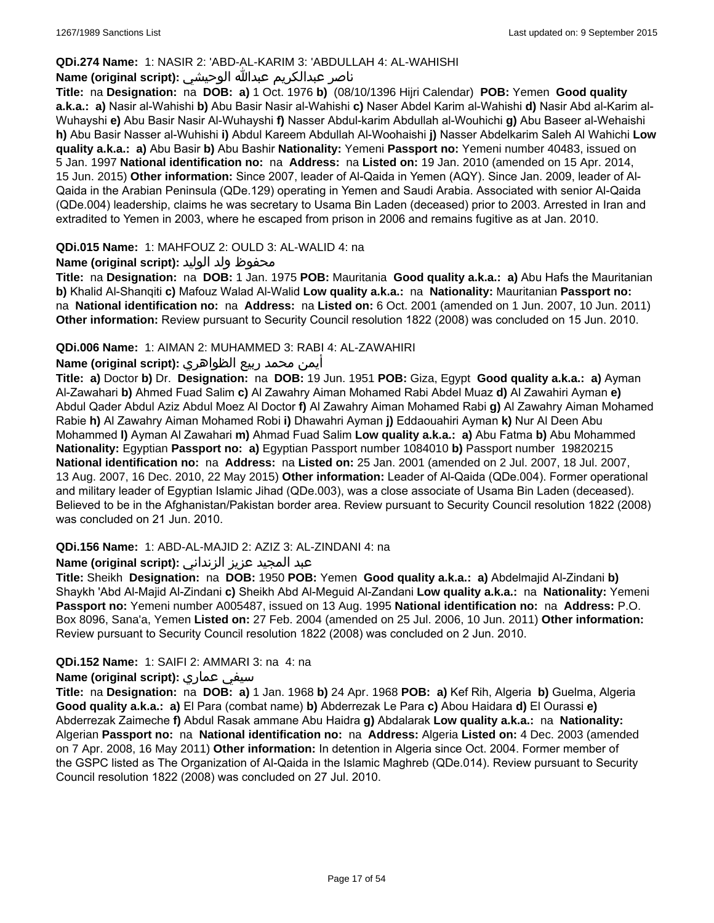# **QDi.274 Name:** 1: NASIR 2: 'ABD-AL-KARIM 3: 'ABDULLAH 4: AL-WAHISHI

# ناصر عبدالكريم عبدالله الوحيشي **:(script original (Name**

**Title:** na **Designation:** na **DOB: a)** 1 Oct. 1976 **b)** (08/10/1396 Hijri Calendar) **POB:** Yemen **Good quality a.k.a.: a)** Nasir al-Wahishi **b)** Abu Basir Nasir al-Wahishi **c)** Naser Abdel Karim al-Wahishi **d)** Nasir Abd al-Karim al-Wuhayshi **e)** Abu Basir Nasir Al-Wuhayshi **f)** Nasser Abdul-karim Abdullah al-Wouhichi **g)** Abu Baseer al-Wehaishi **h)** Abu Basir Nasser al-Wuhishi **i)** Abdul Kareem Abdullah Al-Woohaishi **j)** Nasser Abdelkarim Saleh Al Wahichi **Low quality a.k.a.: a)** Abu Basir **b)** Abu Bashir **Nationality:** Yemeni **Passport no:** Yemeni number 40483, issued on 5 Jan. 1997 **National identification no:** na **Address:** na **Listed on:** 19 Jan. 2010 (amended on 15 Apr. 2014, 15 Jun. 2015) **Other information:** Since 2007, leader of Al-Qaida in Yemen (AQY). Since Jan. 2009, leader of Al-Qaida in the Arabian Peninsula (QDe.129) operating in Yemen and Saudi Arabia. Associated with senior Al-Qaida (QDe.004) leadership, claims he was secretary to Usama Bin Laden (deceased) prior to 2003. Arrested in Iran and extradited to Yemen in 2003, where he escaped from prison in 2006 and remains fugitive as at Jan. 2010.

### **QDi.015 Name:** 1: MAHFOUZ 2: OULD 3: AL-WALID 4: na

# محفوظ ولد الوليد **:**(Name (original script

**Title:** na **Designation:** na **DOB:** 1 Jan. 1975 **POB:** Mauritania **Good quality a.k.a.: a)** Abu Hafs the Mauritanian **b)** Khalid Al-Shanqiti **c)** Mafouz Walad Al-Walid **Low quality a.k.a.:** na **Nationality:** Mauritanian **Passport no:**  na **National identification no:** na **Address:** na **Listed on:** 6 Oct. 2001 (amended on 1 Jun. 2007, 10 Jun. 2011) **Other information:** Review pursuant to Security Council resolution 1822 (2008) was concluded on 15 Jun. 2010.

### **QDi.006 Name:** 1: AIMAN 2: MUHAMMED 3: RABI 4: AL-ZAWAHIRI

### أيمن محمد ربيع الظواهري **:(script original (Name**

**Title: a)** Doctor **b)** Dr. **Designation:** na **DOB:** 19 Jun. 1951 **POB:** Giza, Egypt **Good quality a.k.a.: a)** Ayman Al-Zawahari **b)** Ahmed Fuad Salim **c)** Al Zawahry Aiman Mohamed Rabi Abdel Muaz **d)** Al Zawahiri Ayman **e)** Abdul Qader Abdul Aziz Abdul Moez Al Doctor **f)** Al Zawahry Aiman Mohamed Rabi **g)** Al Zawahry Aiman Mohamed Rabie **h)** Al Zawahry Aiman Mohamed Robi **i)** Dhawahri Ayman **j)** Eddaouahiri Ayman **k)** Nur Al Deen Abu Mohammed **l)** Ayman Al Zawahari **m)** Ahmad Fuad Salim **Low quality a.k.a.: a)** Abu Fatma **b)** Abu Mohammed **Nationality:** Egyptian **Passport no: a)** Egyptian Passport number 1084010 **b)** Passport number 19820215 **National identification no:** na **Address:** na **Listed on:** 25 Jan. 2001 (amended on 2 Jul. 2007, 18 Jul. 2007, 13 Aug. 2007, 16 Dec. 2010, 22 May 2015) **Other information:** Leader of Al-Qaida (QDe.004). Former operational and military leader of Egyptian Islamic Jihad (QDe.003), was a close associate of Usama Bin Laden (deceased). Believed to be in the Afghanistan/Pakistan border area. Review pursuant to Security Council resolution 1822 (2008) was concluded on 21 Jun. 2010.

# **QDi.156 Name:** 1: ABD-AL-MAJID 2: AZIZ 3: AL-ZINDANI 4: na

# عبد المجيد عزيز الزنداني **:(script original (Name**

**Title:** Sheikh **Designation:** na **DOB:** 1950 **POB:** Yemen **Good quality a.k.a.: a)** Abdelmajid Al-Zindani **b)** Shaykh 'Abd Al-Majid Al-Zindani **c)** Sheikh Abd Al-Meguid Al-Zandani **Low quality a.k.a.:** na **Nationality:** Yemeni **Passport no:** Yemeni number A005487, issued on 13 Aug. 1995 **National identification no:** na **Address:** P.O. Box 8096, Sana'a, Yemen **Listed on:** 27 Feb. 2004 (amended on 25 Jul. 2006, 10 Jun. 2011) **Other information:** Review pursuant to Security Council resolution 1822 (2008) was concluded on 2 Jun. 2010.

#### **QDi.152 Name:** 1: SAIFI 2: AMMARI 3: na 4: na

#### **Name (original script):** عماري سيفي

**Title:** na **Designation:** na **DOB: a)** 1 Jan. 1968 **b)** 24 Apr. 1968 **POB: a)** Kef Rih, Algeria **b)** Guelma, Algeria **Good quality a.k.a.: a)** El Para (combat name) **b)** Abderrezak Le Para **c)** Abou Haidara **d)** El Ourassi **e)** Abderrezak Zaimeche **f)** Abdul Rasak ammane Abu Haidra **g)** Abdalarak **Low quality a.k.a.:** na **Nationality:** Algerian **Passport no:** na **National identification no:** na **Address:** Algeria **Listed on:** 4 Dec. 2003 (amended on 7 Apr. 2008, 16 May 2011) **Other information:** In detention in Algeria since Oct. 2004. Former member of the GSPC listed as The Organization of Al-Qaida in the Islamic Maghreb (QDe.014). Review pursuant to Security Council resolution 1822 (2008) was concluded on 27 Jul. 2010.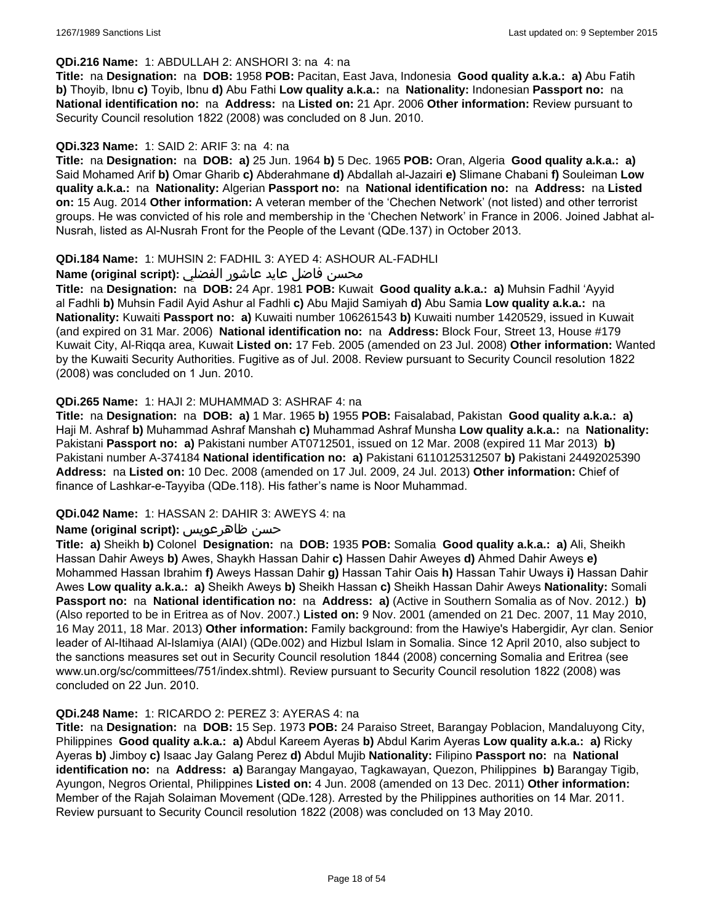### **QDi.216 Name:** 1: ABDULLAH 2: ANSHORI 3: na 4: na

**Title:** na **Designation:** na **DOB:** 1958 **POB:** Pacitan, East Java, Indonesia **Good quality a.k.a.: a)** Abu Fatih **b)** Thoyib, Ibnu **c)** Toyib, Ibnu **d)** Abu Fathi **Low quality a.k.a.:** na **Nationality:** Indonesian **Passport no:** na **National identification no:** na **Address:** na **Listed on:** 21 Apr. 2006 **Other information:** Review pursuant to Security Council resolution 1822 (2008) was concluded on 8 Jun. 2010.

### **QDi.323 Name:** 1: SAID 2: ARIF 3: na 4: na

**Title:** na **Designation:** na **DOB: a)** 25 Jun. 1964 **b)** 5 Dec. 1965 **POB:** Oran, Algeria **Good quality a.k.a.: a)** Said Mohamed Arif **b)** Omar Gharib **c)** Abderahmane **d)** Abdallah al-Jazairi **e)** Slimane Chabani **f)** Souleiman **Low quality a.k.a.:** na **Nationality:** Algerian **Passport no:** na **National identification no:** na **Address:** na **Listed on:** 15 Aug. 2014 **Other information:** A veteran member of the 'Chechen Network' (not listed) and other terrorist groups. He was convicted of his role and membership in the 'Chechen Network' in France in 2006. Joined Jabhat al-Nusrah, listed as Al-Nusrah Front for the People of the Levant (QDe.137) in October 2013.

### **QDi.184 Name:** 1: MUHSIN 2: FADHIL 3: AYED 4: ASHOUR AL-FADHLI

# محسن فاضل عايد عاشور الفضلي **:(Name (original script**

**Title:** na **Designation:** na **DOB:** 24 Apr. 1981 **POB:** Kuwait **Good quality a.k.a.: a)** Muhsin Fadhil 'Ayyid al Fadhli **b)** Muhsin Fadil Ayid Ashur al Fadhli **c)** Abu Majid Samiyah **d)** Abu Samia **Low quality a.k.a.:** na **Nationality:** Kuwaiti **Passport no: a)** Kuwaiti number 106261543 **b)** Kuwaiti number 1420529, issued in Kuwait (and expired on 31 Mar. 2006) **National identification no:** na **Address:** Block Four, Street 13, House #179 Kuwait City, Al-Riqqa area, Kuwait **Listed on:** 17 Feb. 2005 (amended on 23 Jul. 2008) **Other information:** Wanted by the Kuwaiti Security Authorities. Fugitive as of Jul. 2008. Review pursuant to Security Council resolution 1822 (2008) was concluded on 1 Jun. 2010.

### **QDi.265 Name:** 1: HAJI 2: MUHAMMAD 3: ASHRAF 4: na

**Title:** na **Designation:** na **DOB: a)** 1 Mar. 1965 **b)** 1955 **POB:** Faisalabad, Pakistan **Good quality a.k.a.: a)** Haji M. Ashraf **b)** Muhammad Ashraf Manshah **c)** Muhammad Ashraf Munsha **Low quality a.k.a.:** na **Nationality:** Pakistani **Passport no: a)** Pakistani number AT0712501, issued on 12 Mar. 2008 (expired 11 Mar 2013) **b)** Pakistani number A-374184 **National identification no: a)** Pakistani 6110125312507 **b)** Pakistani 24492025390 **Address:** na **Listed on:** 10 Dec. 2008 (amended on 17 Jul. 2009, 24 Jul. 2013) **Other information:** Chief of finance of Lashkar-e-Tayyiba (QDe.118). His father's name is Noor Muhammad.

#### **QDi.042 Name:** 1: HASSAN 2: DAHIR 3: AWEYS 4: na

# **Name (original script):** ظاهرعويس حسن

**Title: a)** Sheikh **b)** Colonel **Designation:** na **DOB:** 1935 **POB:** Somalia **Good quality a.k.a.: a)** Ali, Sheikh Hassan Dahir Aweys **b)** Awes, Shaykh Hassan Dahir **c)** Hassen Dahir Aweyes **d)** Ahmed Dahir Aweys **e)** Mohammed Hassan Ibrahim **f)** Aweys Hassan Dahir **g)** Hassan Tahir Oais **h)** Hassan Tahir Uways **i)** Hassan Dahir Awes **Low quality a.k.a.: a)** Sheikh Aweys **b)** Sheikh Hassan **c)** Sheikh Hassan Dahir Aweys **Nationality:** Somali **Passport no:** na **National identification no:** na **Address: a)** (Active in Southern Somalia as of Nov. 2012.) **b)** (Also reported to be in Eritrea as of Nov. 2007.) **Listed on:** 9 Nov. 2001 (amended on 21 Dec. 2007, 11 May 2010, 16 May 2011, 18 Mar. 2013) **Other information:** Family background: from the Hawiye's Habergidir, Ayr clan. Senior leader of Al-Itihaad Al-Islamiya (AIAI) (QDe.002) and Hizbul Islam in Somalia. Since 12 April 2010, also subject to the sanctions measures set out in Security Council resolution 1844 (2008) concerning Somalia and Eritrea (see www.un.org/sc/committees/751/index.shtml). Review pursuant to Security Council resolution 1822 (2008) was concluded on 22 Jun. 2010.

#### **QDi.248 Name:** 1: RICARDO 2: PEREZ 3: AYERAS 4: na

**Title:** na **Designation:** na **DOB:** 15 Sep. 1973 **POB:** 24 Paraiso Street, Barangay Poblacion, Mandaluyong City, Philippines **Good quality a.k.a.: a)** Abdul Kareem Ayeras **b)** Abdul Karim Ayeras **Low quality a.k.a.: a)** Ricky Ayeras **b)** Jimboy **c)** Isaac Jay Galang Perez **d)** Abdul Mujib **Nationality:** Filipino **Passport no:** na **National identification no:** na **Address: a)** Barangay Mangayao, Tagkawayan, Quezon, Philippines **b)** Barangay Tigib, Ayungon, Negros Oriental, Philippines **Listed on:** 4 Jun. 2008 (amended on 13 Dec. 2011) **Other information:** Member of the Rajah Solaiman Movement (QDe.128). Arrested by the Philippines authorities on 14 Mar. 2011. Review pursuant to Security Council resolution 1822 (2008) was concluded on 13 May 2010.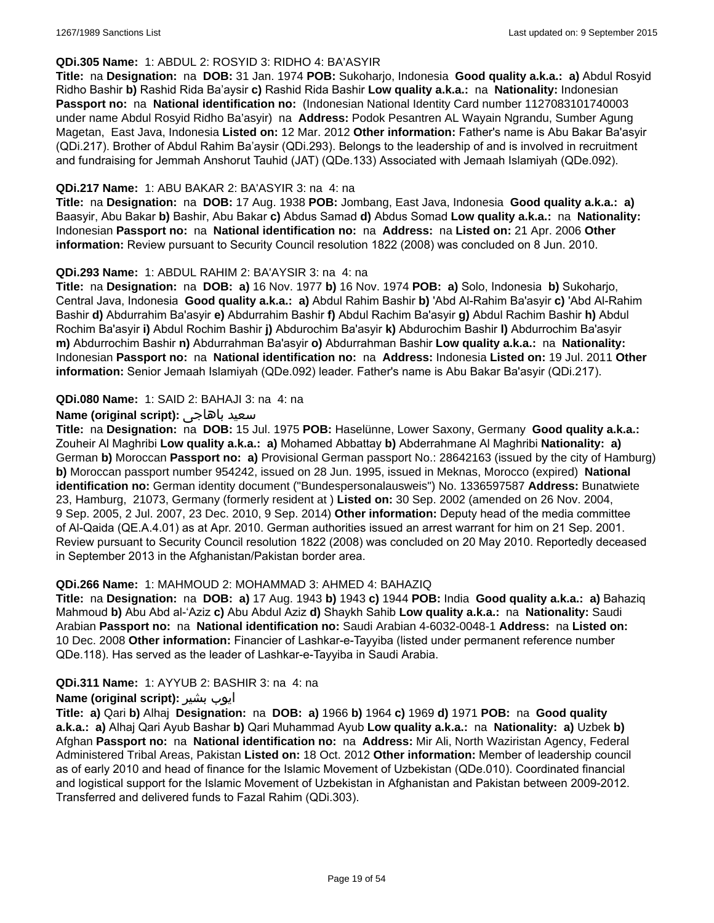# **QDi.305 Name:** 1: ABDUL 2: ROSYID 3: RIDHO 4: BA'ASYIR

**Title:** na **Designation:** na **DOB:** 31 Jan. 1974 **POB:** Sukoharjo, Indonesia **Good quality a.k.a.: a)** Abdul Rosyid Ridho Bashir **b)** Rashid Rida Ba'aysir **c)** Rashid Rida Bashir **Low quality a.k.a.:** na **Nationality:** Indonesian **Passport no:** na **National identification no:** (Indonesian National Identity Card number 1127083101740003 under name Abdul Rosyid Ridho Ba'asyir) na **Address:** Podok Pesantren AL Wayain Ngrandu, Sumber Agung Magetan, East Java, Indonesia **Listed on:** 12 Mar. 2012 **Other information:** Father's name is Abu Bakar Ba'asyir (QDi.217). Brother of Abdul Rahim Ba'aysir (QDi.293). Belongs to the leadership of and is involved in recruitment and fundraising for Jemmah Anshorut Tauhid (JAT) (QDe.133) Associated with Jemaah Islamiyah (QDe.092).

### **QDi.217 Name:** 1: ABU BAKAR 2: BA'ASYIR 3: na 4: na

**Title:** na **Designation:** na **DOB:** 17 Aug. 1938 **POB:** Jombang, East Java, Indonesia **Good quality a.k.a.: a)** Baasyir, Abu Bakar **b)** Bashir, Abu Bakar **c)** Abdus Samad **d)** Abdus Somad **Low quality a.k.a.:** na **Nationality:** Indonesian **Passport no:** na **National identification no:** na **Address:** na **Listed on:** 21 Apr. 2006 **Other information:** Review pursuant to Security Council resolution 1822 (2008) was concluded on 8 Jun. 2010.

### **QDi.293 Name:** 1: ABDUL RAHIM 2: BA'AYSIR 3: na 4: na

**Title:** na **Designation:** na **DOB: a)** 16 Nov. 1977 **b)** 16 Nov. 1974 **POB: a)** Solo, Indonesia **b)** Sukoharjo, Central Java, Indonesia **Good quality a.k.a.: a)** Abdul Rahim Bashir **b)** 'Abd Al-Rahim Ba'asyir **c)** 'Abd Al-Rahim Bashir **d)** Abdurrahim Ba'asyir **e)** Abdurrahim Bashir **f)** Abdul Rachim Ba'asyir **g)** Abdul Rachim Bashir **h)** Abdul Rochim Ba'asyir **i)** Abdul Rochim Bashir **j)** Abdurochim Ba'asyir **k)** Abdurochim Bashir **l)** Abdurrochim Ba'asyir **m)** Abdurrochim Bashir **n)** Abdurrahman Ba'asyir **o)** Abdurrahman Bashir **Low quality a.k.a.:** na **Nationality:** Indonesian **Passport no:** na **National identification no:** na **Address:** Indonesia **Listed on:** 19 Jul. 2011 **Other information:** Senior Jemaah Islamiyah (QDe.092) leader. Father's name is Abu Bakar Ba'asyir (QDi.217).

### **QDi.080 Name:** 1: SAID 2: BAHAJI 3: na 4: na

### **Name (original script):** باهاجى سعيد

**Title:** na **Designation:** na **DOB:** 15 Jul. 1975 **POB:** Haselünne, Lower Saxony, Germany **Good quality a.k.a.:** Zouheir Al Maghribi **Low quality a.k.a.: a)** Mohamed Abbattay **b)** Abderrahmane Al Maghribi **Nationality: a)** German **b)** Moroccan **Passport no: a)** Provisional German passport No.: 28642163 (issued by the city of Hamburg) **b)** Moroccan passport number 954242, issued on 28 Jun. 1995, issued in Meknas, Morocco (expired) **National identification no:** German identity document ("Bundespersonalausweis") No. 1336597587 **Address:** Bunatwiete 23, Hamburg, 21073, Germany (formerly resident at ) **Listed on:** 30 Sep. 2002 (amended on 26 Nov. 2004, 9 Sep. 2005, 2 Jul. 2007, 23 Dec. 2010, 9 Sep. 2014) **Other information:** Deputy head of the media committee of Al-Qaida (QE.A.4.01) as at Apr. 2010. German authorities issued an arrest warrant for him on 21 Sep. 2001. Review pursuant to Security Council resolution 1822 (2008) was concluded on 20 May 2010. Reportedly deceased in September 2013 in the Afghanistan/Pakistan border area.

#### **QDi.266 Name:** 1: MAHMOUD 2: MOHAMMAD 3: AHMED 4: BAHAZIQ

**Title:** na **Designation:** na **DOB: a)** 17 Aug. 1943 **b)** 1943 **c)** 1944 **POB:** India **Good quality a.k.a.: a)** Bahaziq Mahmoud **b)** Abu Abd al-'Aziz **c)** Abu Abdul Aziz **d)** Shaykh Sahib **Low quality a.k.a.:** na **Nationality:** Saudi Arabian **Passport no:** na **National identification no:** Saudi Arabian 4-6032-0048-1 **Address:** na **Listed on:** 10 Dec. 2008 **Other information:** Financier of Lashkar-e-Tayyiba (listed under permanent reference number QDe.118). Has served as the leader of Lashkar-e-Tayyiba in Saudi Arabia.

#### **QDi.311 Name:** 1: AYYUB 2: BASHIR 3: na 4: na

# **Name (original script):** بشیر ایوب

**Title: a)** Qari **b)** Alhaj **Designation:** na **DOB: a)** 1966 **b)** 1964 **c)** 1969 **d)** 1971 **POB:** na **Good quality a.k.a.: a)** Alhaj Qari Ayub Bashar **b)** Qari Muhammad Ayub **Low quality a.k.a.:** na **Nationality: a)** Uzbek **b)** Afghan **Passport no:** na **National identification no:** na **Address:** Mir Ali, North Waziristan Agency, Federal Administered Tribal Areas, Pakistan **Listed on:** 18 Oct. 2012 **Other information:** Member of leadership council as of early 2010 and head of finance for the Islamic Movement of Uzbekistan (QDe.010). Coordinated financial and logistical support for the Islamic Movement of Uzbekistan in Afghanistan and Pakistan between 2009-2012. Transferred and delivered funds to Fazal Rahim (QDi.303).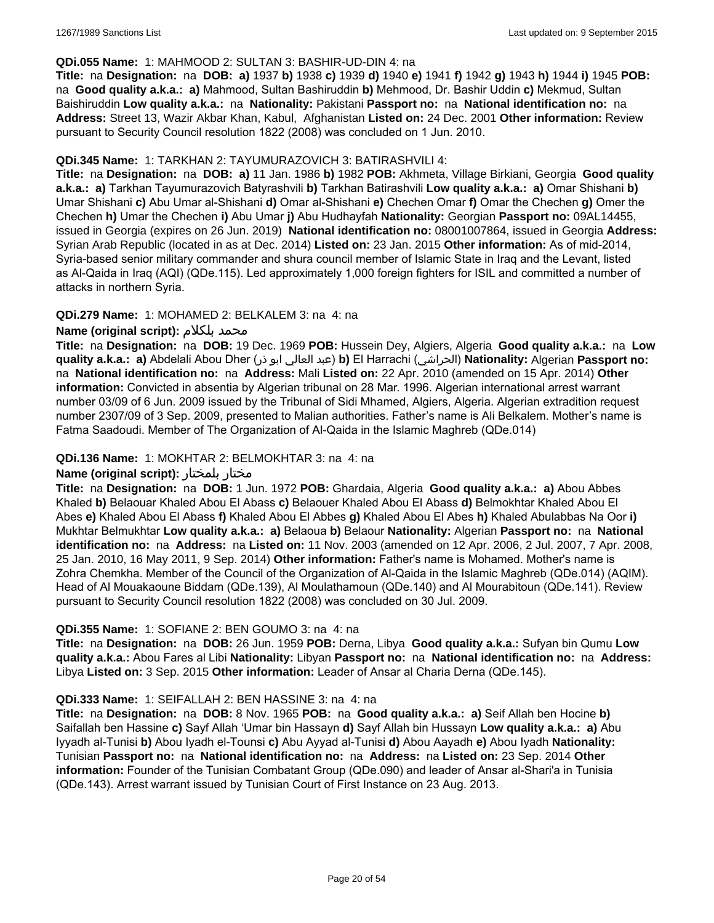### **QDi.055 Name:** 1: MAHMOOD 2: SULTAN 3: BASHIR-UD-DIN 4: na

**Title:** na **Designation:** na **DOB: a)** 1937 **b)** 1938 **c)** 1939 **d)** 1940 **e)** 1941 **f)** 1942 **g)** 1943 **h)** 1944 **i)** 1945 **POB:**  na **Good quality a.k.a.: a)** Mahmood, Sultan Bashiruddin **b)** Mehmood, Dr. Bashir Uddin **c)** Mekmud, Sultan Baishiruddin **Low quality a.k.a.:** na **Nationality:** Pakistani **Passport no:** na **National identification no:** na **Address:** Street 13, Wazir Akbar Khan, Kabul, Afghanistan **Listed on:** 24 Dec. 2001 **Other information:** Review pursuant to Security Council resolution 1822 (2008) was concluded on 1 Jun. 2010.

### **QDi.345 Name:** 1: TARKHAN 2: TAYUMURAZOVICH 3: BATIRASHVILI 4:

**Title:** na **Designation:** na **DOB: a)** 11 Jan. 1986 **b)** 1982 **POB:** Akhmeta, Village Birkiani, Georgia **Good quality a.k.a.: a)** Tarkhan Tayumurazovich Batyrashvili **b)** Tarkhan Batirashvili **Low quality a.k.a.: a)** Omar Shishani **b)** Umar Shishani **c)** Abu Umar al-Shishani **d)** Omar al-Shishani **e)** Chechen Omar **f)** Omar the Chechen **g)** Omer the Chechen **h)** Umar the Chechen **i)** Abu Umar **j)** Abu Hudhayfah **Nationality:** Georgian **Passport no:** 09AL14455, issued in Georgia (expires on 26 Jun. 2019) **National identification no:** 08001007864, issued in Georgia **Address:** Syrian Arab Republic (located in as at Dec. 2014) **Listed on:** 23 Jan. 2015 **Other information:** As of mid-2014, Syria-based senior military commander and shura council member of Islamic State in Iraq and the Levant, listed as Al-Qaida in Iraq (AQI) (QDe.115). Led approximately 1,000 foreign fighters for ISIL and committed a number of attacks in northern Syria.

# **QDi.279 Name:** 1: MOHAMED 2: BELKALEM 3: na 4: na

### **Name (original script):** بلكلام محمد

**Title:** na **Designation:** na **DOB:** 19 Dec. 1969 **POB:** Hussein Dey, Algiers, Algeria **Good quality a.k.a.:** na **Low quality a.k.a.: a)** Abdelali Abou Dher (ذر ابو العالي عبد(**b)** El Harrachi (الحراشي(**Nationality:** Algerian **Passport no:**  na **National identification no:** na **Address:** Mali **Listed on:** 22 Apr. 2010 (amended on 15 Apr. 2014) **Other information:** Convicted in absentia by Algerian tribunal on 28 Mar. 1996. Algerian international arrest warrant number 03/09 of 6 Jun. 2009 issued by the Tribunal of Sidi Mhamed, Algiers, Algeria. Algerian extradition request number 2307/09 of 3 Sep. 2009, presented to Malian authorities. Father's name is Ali Belkalem. Mother's name is Fatma Saadoudi. Member of The Organization of Al-Qaida in the Islamic Maghreb (QDe.014)

### **QDi.136 Name:** 1: MOKHTAR 2: BELMOKHTAR 3: na 4: na

#### **Name (original script):** بلمختار مختار

**Title:** na **Designation:** na **DOB:** 1 Jun. 1972 **POB:** Ghardaia, Algeria **Good quality a.k.a.: a)** Abou Abbes Khaled **b)** Belaouar Khaled Abou El Abass **c)** Belaouer Khaled Abou El Abass **d)** Belmokhtar Khaled Abou El Abes **e)** Khaled Abou El Abass **f)** Khaled Abou El Abbes **g)** Khaled Abou El Abes **h)** Khaled Abulabbas Na Oor **i)** Mukhtar Belmukhtar **Low quality a.k.a.: a)** Belaoua **b)** Belaour **Nationality:** Algerian **Passport no:** na **National identification no:** na **Address:** na **Listed on:** 11 Nov. 2003 (amended on 12 Apr. 2006, 2 Jul. 2007, 7 Apr. 2008, 25 Jan. 2010, 16 May 2011, 9 Sep. 2014) **Other information:** Father's name is Mohamed. Mother's name is Zohra Chemkha. Member of the Council of the Organization of Al-Qaida in the Islamic Maghreb (QDe.014) (AQIM). Head of Al Mouakaoune Biddam (QDe.139), Al Moulathamoun (QDe.140) and Al Mourabitoun (QDe.141). Review pursuant to Security Council resolution 1822 (2008) was concluded on 30 Jul. 2009.

### **QDi.355 Name:** 1: SOFIANE 2: BEN GOUMO 3: na 4: na

**Title:** na **Designation:** na **DOB:** 26 Jun. 1959 **POB:** Derna, Libya **Good quality a.k.a.:** Sufyan bin Qumu **Low quality a.k.a.:** Abou Fares al Libi **Nationality:** Libyan **Passport no:** na **National identification no:** na **Address:** Libya **Listed on:** 3 Sep. 2015 **Other information:** Leader of Ansar al Charia Derna (QDe.145).

#### **QDi.333 Name:** 1: SEIFALLAH 2: BEN HASSINE 3: na 4: na

**Title:** na **Designation:** na **DOB:** 8 Nov. 1965 **POB:** na **Good quality a.k.a.: a)** Seif Allah ben Hocine **b)** Saifallah ben Hassine **c)** Sayf Allah 'Umar bin Hassayn **d)** Sayf Allah bin Hussayn **Low quality a.k.a.: a)** Abu Iyyadh al-Tunisi **b)** Abou Iyadh el-Tounsi **c)** Abu Ayyad al-Tunisi **d)** Abou Aayadh **e)** Abou Iyadh **Nationality:** Tunisian **Passport no:** na **National identification no:** na **Address:** na **Listed on:** 23 Sep. 2014 **Other information:** Founder of the Tunisian Combatant Group (QDe.090) and leader of Ansar al-Shari'a in Tunisia (QDe.143). Arrest warrant issued by Tunisian Court of First Instance on 23 Aug. 2013.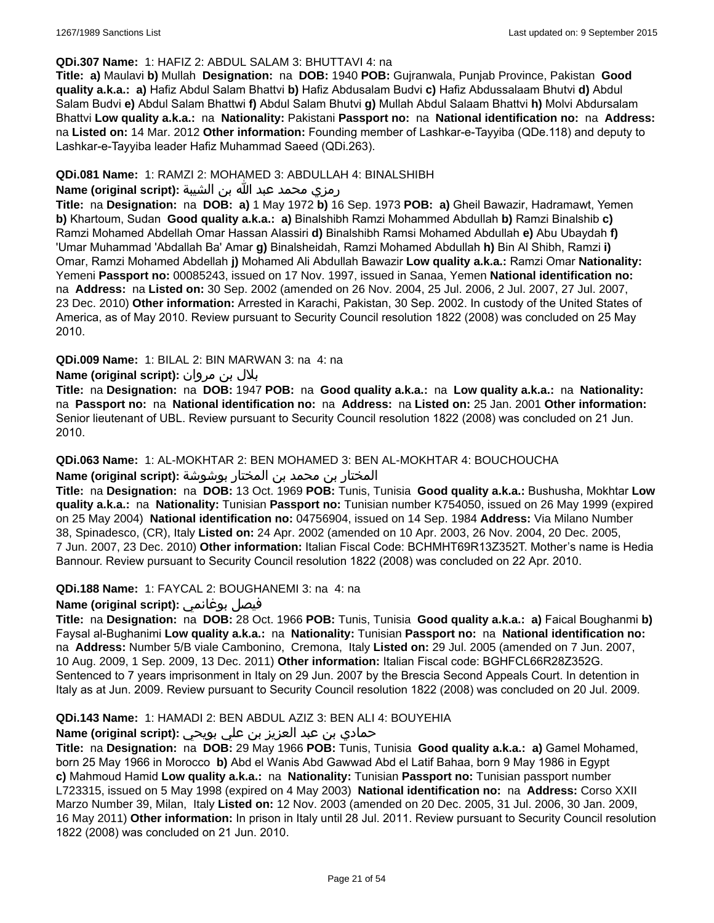### **QDi.307 Name:** 1: HAFIZ 2: ABDUL SALAM 3: BHUTTAVI 4: na

**Title: a)** Maulavi **b)** Mullah **Designation:** na **DOB:** 1940 **POB:** Gujranwala, Punjab Province, Pakistan **Good quality a.k.a.: a)** Hafiz Abdul Salam Bhattvi **b)** Hafiz Abdusalam Budvi **c)** Hafiz Abdussalaam Bhutvi **d)** Abdul Salam Budvi **e)** Abdul Salam Bhattwi **f)** Abdul Salam Bhutvi **g)** Mullah Abdul Salaam Bhattvi **h)** Molvi Abdursalam Bhattvi **Low quality a.k.a.:** na **Nationality:** Pakistani **Passport no:** na **National identification no:** na **Address:** na **Listed on:** 14 Mar. 2012 **Other information:** Founding member of Lashkar-e-Tayyiba (QDe.118) and deputy to Lashkar-e-Tayyiba leader Hafiz Muhammad Saeed (QDi.263).

## **QDi.081 Name:** 1: RAMZI 2: MOHAMED 3: ABDULLAH 4: BINALSHIBH

# رمزي محمد عبد الله بن الشيبة **:(script original (Name**

**Title:** na **Designation:** na **DOB: a)** 1 May 1972 **b)** 16 Sep. 1973 **POB: a)** Gheil Bawazir, Hadramawt, Yemen **b)** Khartoum, Sudan **Good quality a.k.a.: a)** Binalshibh Ramzi Mohammed Abdullah **b)** Ramzi Binalshib **c)** Ramzi Mohamed Abdellah Omar Hassan Alassiri **d)** Binalshibh Ramsi Mohamed Abdullah **e)** Abu Ubaydah **f)** 'Umar Muhammad 'Abdallah Ba' Amar **g)** Binalsheidah, Ramzi Mohamed Abdullah **h)** Bin Al Shibh, Ramzi **i)** Omar, Ramzi Mohamed Abdellah **j)** Mohamed Ali Abdullah Bawazir **Low quality a.k.a.:** Ramzi Omar **Nationality:** Yemeni **Passport no:** 00085243, issued on 17 Nov. 1997, issued in Sanaa, Yemen **National identification no:**  na **Address:** na **Listed on:** 30 Sep. 2002 (amended on 26 Nov. 2004, 25 Jul. 2006, 2 Jul. 2007, 27 Jul. 2007, 23 Dec. 2010) **Other information:** Arrested in Karachi, Pakistan, 30 Sep. 2002. In custody of the United States of America, as of May 2010. Review pursuant to Security Council resolution 1822 (2008) was concluded on 25 May 2010.

### **QDi.009 Name:** 1: BILAL 2: BIN MARWAN 3: na 4: na

# بلال بن مروان **:(script original (Name**

**Title:** na **Designation:** na **DOB:** 1947 **POB:** na **Good quality a.k.a.:** na **Low quality a.k.a.:** na **Nationality:**  na **Passport no:** na **National identification no:** na **Address:** na **Listed on:** 25 Jan. 2001 **Other information:** Senior lieutenant of UBL. Review pursuant to Security Council resolution 1822 (2008) was concluded on 21 Jun. 2010.

#### **QDi.063 Name:** 1: AL-MOKHTAR 2: BEN MOHAMED 3: BEN AL-MOKHTAR 4: BOUCHOUCHA

# المختار بن محمد بن المختار بوشوشة **:(script original (Name**

**Title:** na **Designation:** na **DOB:** 13 Oct. 1969 **POB:** Tunis, Tunisia **Good quality a.k.a.:** Bushusha, Mokhtar **Low quality a.k.a.:** na **Nationality:** Tunisian **Passport no:** Tunisian number K754050, issued on 26 May 1999 (expired on 25 May 2004) **National identification no:** 04756904, issued on 14 Sep. 1984 **Address:** Via Milano Number 38, Spinadesco, (CR), Italy **Listed on:** 24 Apr. 2002 (amended on 10 Apr. 2003, 26 Nov. 2004, 20 Dec. 2005, 7 Jun. 2007, 23 Dec. 2010) **Other information:** Italian Fiscal Code: BCHMHT69R13Z352T. Mother's name is Hedia Bannour. Review pursuant to Security Council resolution 1822 (2008) was concluded on 22 Apr. 2010.

# **QDi.188 Name:** 1: FAYCAL 2: BOUGHANEMI 3: na 4: na

# **Name (original script):** بوغانمي فيصل

**Title:** na **Designation:** na **DOB:** 28 Oct. 1966 **POB:** Tunis, Tunisia **Good quality a.k.a.: a)** Faical Boughanmi **b)** Faysal al-Bughanimi **Low quality a.k.a.:** na **Nationality:** Tunisian **Passport no:** na **National identification no:**  na **Address:** Number 5/B viale Cambonino, Cremona, Italy **Listed on:** 29 Jul. 2005 (amended on 7 Jun. 2007, 10 Aug. 2009, 1 Sep. 2009, 13 Dec. 2011) **Other information:** Italian Fiscal code: BGHFCL66R28Z352G. Sentenced to 7 years imprisonment in Italy on 29 Jun. 2007 by the Brescia Second Appeals Court. In detention in Italy as at Jun. 2009. Review pursuant to Security Council resolution 1822 (2008) was concluded on 20 Jul. 2009.

# **QDi.143 Name:** 1: HAMADI 2: BEN ABDUL AZIZ 3: BEN ALI 4: BOUYEHIA

# حمادي بن عبد العزيز بن علي بويحي **:Name (original script)**

**Title:** na **Designation:** na **DOB:** 29 May 1966 **POB:** Tunis, Tunisia **Good quality a.k.a.: a)** Gamel Mohamed, born 25 May 1966 in Morocco **b)** Abd el Wanis Abd Gawwad Abd el Latif Bahaa, born 9 May 1986 in Egypt **c)** Mahmoud Hamid **Low quality a.k.a.:** na **Nationality:** Tunisian **Passport no:** Tunisian passport number L723315, issued on 5 May 1998 (expired on 4 May 2003) **National identification no:** na **Address:** Corso XXII Marzo Number 39, Milan, Italy **Listed on:** 12 Nov. 2003 (amended on 20 Dec. 2005, 31 Jul. 2006, 30 Jan. 2009, 16 May 2011) **Other information:** In prison in Italy until 28 Jul. 2011. Review pursuant to Security Council resolution 1822 (2008) was concluded on 21 Jun. 2010.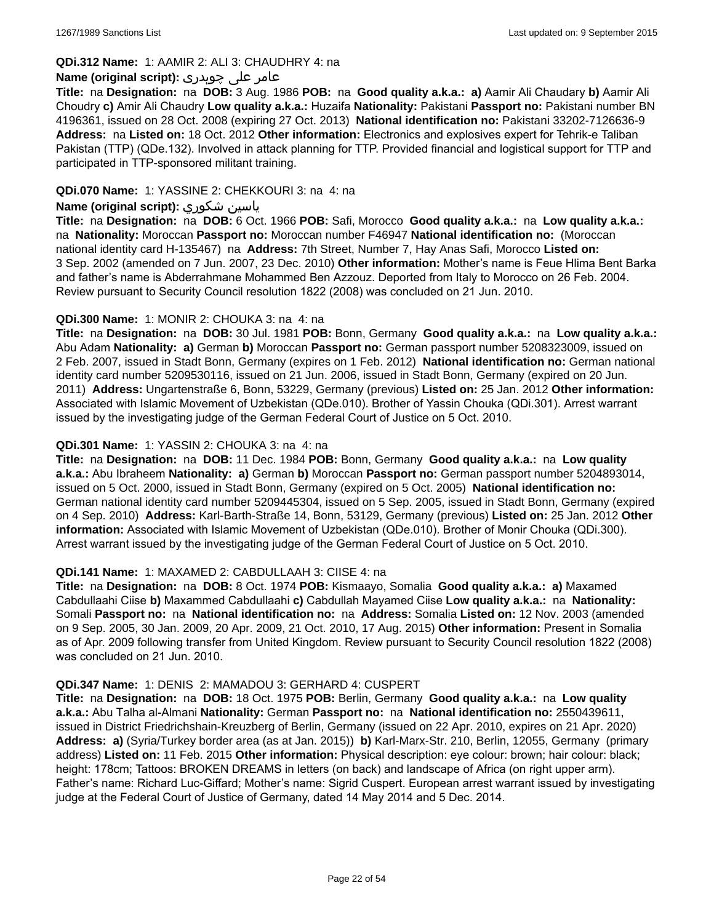### **QDi.312 Name:** 1: AAMIR 2: ALI 3: CHAUDHRY 4: na

# عامر علی چوہدری **:(script original (Name**

**Title:** na **Designation:** na **DOB:** 3 Aug. 1986 **POB:** na **Good quality a.k.a.: a)** Aamir Ali Chaudary **b)** Aamir Ali Choudry **c)** Amir Ali Chaudry **Low quality a.k.a.:** Huzaifa **Nationality:** Pakistani **Passport no:** Pakistani number BN 4196361, issued on 28 Oct. 2008 (expiring 27 Oct. 2013) **National identification no:** Pakistani 33202-7126636-9 **Address:** na **Listed on:** 18 Oct. 2012 **Other information:** Electronics and explosives expert for Tehrik-e Taliban Pakistan (TTP) (QDe.132). Involved in attack planning for TTP. Provided financial and logistical support for TTP and participated in TTP-sponsored militant training.

### **QDi.070 Name:** 1: YASSINE 2: CHEKKOURI 3: na 4: na

# **Name (original script):** شكوري ياسين

**Title:** na **Designation:** na **DOB:** 6 Oct. 1966 **POB:** Safi, Morocco **Good quality a.k.a.:** na **Low quality a.k.a.:**  na **Nationality:** Moroccan **Passport no:** Moroccan number F46947 **National identification no:** (Moroccan national identity card H-135467) na **Address:** 7th Street, Number 7, Hay Anas Safi, Morocco **Listed on:** 3 Sep. 2002 (amended on 7 Jun. 2007, 23 Dec. 2010) **Other information:** Mother's name is Feue Hlima Bent Barka and father's name is Abderrahmane Mohammed Ben Azzouz. Deported from Italy to Morocco on 26 Feb. 2004. Review pursuant to Security Council resolution 1822 (2008) was concluded on 21 Jun. 2010.

### **QDi.300 Name:** 1: MONIR 2: CHOUKA 3: na 4: na

**Title:** na **Designation:** na **DOB:** 30 Jul. 1981 **POB:** Bonn, Germany **Good quality a.k.a.:** na **Low quality a.k.a.:** Abu Adam **Nationality: a)** German **b)** Moroccan **Passport no:** German passport number 5208323009, issued on 2 Feb. 2007, issued in Stadt Bonn, Germany (expires on 1 Feb. 2012) **National identification no:** German national identity card number 5209530116, issued on 21 Jun. 2006, issued in Stadt Bonn, Germany (expired on 20 Jun. 2011) **Address:** Ungartenstraße 6, Bonn, 53229, Germany (previous) **Listed on:** 25 Jan. 2012 **Other information:** Associated with Islamic Movement of Uzbekistan (QDe.010). Brother of Yassin Chouka (QDi.301). Arrest warrant issued by the investigating judge of the German Federal Court of Justice on 5 Oct. 2010.

### **QDi.301 Name:** 1: YASSIN 2: CHOUKA 3: na 4: na

**Title:** na **Designation:** na **DOB:** 11 Dec. 1984 **POB:** Bonn, Germany **Good quality a.k.a.:** na **Low quality a.k.a.:** Abu Ibraheem **Nationality: a)** German **b)** Moroccan **Passport no:** German passport number 5204893014, issued on 5 Oct. 2000, issued in Stadt Bonn, Germany (expired on 5 Oct. 2005) **National identification no:** German national identity card number 5209445304, issued on 5 Sep. 2005, issued in Stadt Bonn, Germany (expired on 4 Sep. 2010) **Address:** Karl-Barth-Straße 14, Bonn, 53129, Germany (previous) **Listed on:** 25 Jan. 2012 **Other information:** Associated with Islamic Movement of Uzbekistan (QDe.010). Brother of Monir Chouka (QDi.300). Arrest warrant issued by the investigating judge of the German Federal Court of Justice on 5 Oct. 2010.

#### **QDi.141 Name:** 1: MAXAMED 2: CABDULLAAH 3: CIISE 4: na

**Title:** na **Designation:** na **DOB:** 8 Oct. 1974 **POB:** Kismaayo, Somalia **Good quality a.k.a.: a)** Maxamed Cabdullaahi Ciise **b)** Maxammed Cabdullaahi **c)** Cabdullah Mayamed Ciise **Low quality a.k.a.:** na **Nationality:** Somali **Passport no:** na **National identification no:** na **Address:** Somalia **Listed on:** 12 Nov. 2003 (amended on 9 Sep. 2005, 30 Jan. 2009, 20 Apr. 2009, 21 Oct. 2010, 17 Aug. 2015) **Other information:** Present in Somalia as of Apr. 2009 following transfer from United Kingdom. Review pursuant to Security Council resolution 1822 (2008) was concluded on 21 Jun. 2010.

#### **QDi.347 Name:** 1: DENIS 2: MAMADOU 3: GERHARD 4: CUSPERT

**Title:** na **Designation:** na **DOB:** 18 Oct. 1975 **POB:** Berlin, Germany **Good quality a.k.a.:** na **Low quality a.k.a.:** Abu Talha al-Almani **Nationality:** German **Passport no:** na **National identification no:** 2550439611, issued in District Friedrichshain-Kreuzberg of Berlin, Germany (issued on 22 Apr. 2010, expires on 21 Apr. 2020) **Address: a)** (Syria/Turkey border area (as at Jan. 2015)) **b)** Karl-Marx-Str. 210, Berlin, 12055, Germany (primary address) **Listed on:** 11 Feb. 2015 **Other information:** Physical description: eye colour: brown; hair colour: black; height: 178cm; Tattoos: BROKEN DREAMS in letters (on back) and landscape of Africa (on right upper arm). Father's name: Richard Luc-Giffard; Mother's name: Sigrid Cuspert. European arrest warrant issued by investigating judge at the Federal Court of Justice of Germany, dated 14 May 2014 and 5 Dec. 2014.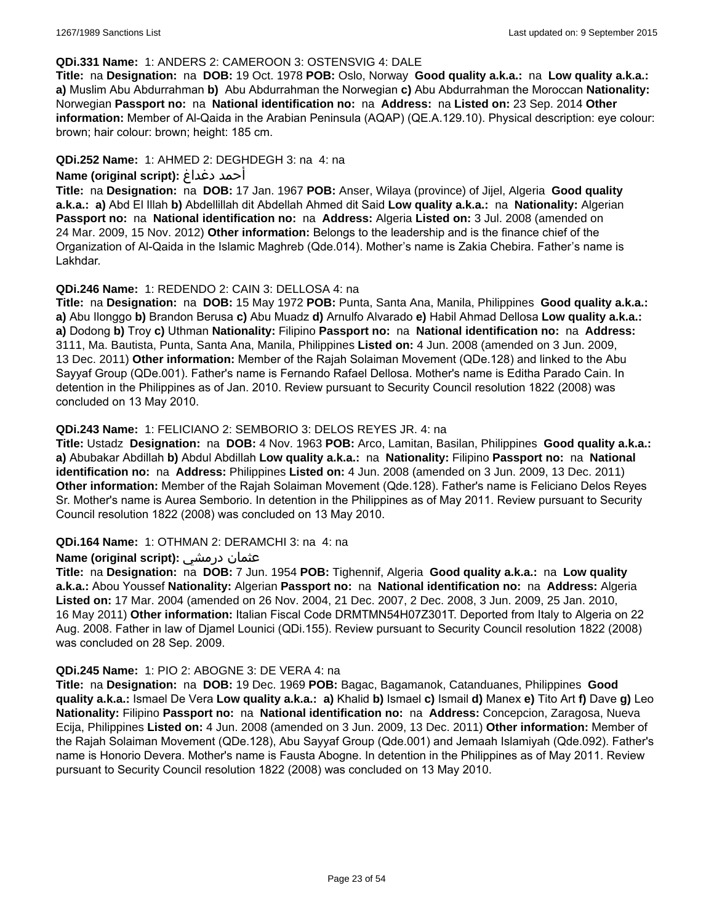### **QDi.331 Name:** 1: ANDERS 2: CAMEROON 3: OSTENSVIG 4: DALE

**Title:** na **Designation:** na **DOB:** 19 Oct. 1978 **POB:** Oslo, Norway **Good quality a.k.a.:** na **Low quality a.k.a.: a)** Muslim Abu Abdurrahman **b)** Abu Abdurrahman the Norwegian **c)** Abu Abdurrahman the Moroccan **Nationality:** Norwegian **Passport no:** na **National identification no:** na **Address:** na **Listed on:** 23 Sep. 2014 **Other information:** Member of Al-Qaida in the Arabian Peninsula (AQAP) (QE.A.129.10). Physical description: eye colour: brown; hair colour: brown; height: 185 cm.

# **QDi.252 Name:** 1: AHMED 2: DEGHDEGH 3: na 4: na

# **Name (original script):** دغداغ أحمد

**Title:** na **Designation:** na **DOB:** 17 Jan. 1967 **POB:** Anser, Wilaya (province) of Jijel, Algeria **Good quality a.k.a.: a)** Abd El Illah **b)** Abdellillah dit Abdellah Ahmed dit Said **Low quality a.k.a.:** na **Nationality:** Algerian **Passport no:** na **National identification no:** na **Address:** Algeria **Listed on:** 3 Jul. 2008 (amended on 24 Mar. 2009, 15 Nov. 2012) **Other information:** Belongs to the leadership and is the finance chief of the Organization of Al-Qaida in the Islamic Maghreb (Qde.014). Mother's name is Zakia Chebira. Father's name is Lakhdar.

# **QDi.246 Name:** 1: REDENDO 2: CAIN 3: DELLOSA 4: na

**Title:** na **Designation:** na **DOB:** 15 May 1972 **POB:** Punta, Santa Ana, Manila, Philippines **Good quality a.k.a.: a)** Abu Ilonggo **b)** Brandon Berusa **c)** Abu Muadz **d)** Arnulfo Alvarado **e)** Habil Ahmad Dellosa **Low quality a.k.a.: a)** Dodong **b)** Troy **c)** Uthman **Nationality:** Filipino **Passport no:** na **National identification no:** na **Address:** 3111, Ma. Bautista, Punta, Santa Ana, Manila, Philippines **Listed on:** 4 Jun. 2008 (amended on 3 Jun. 2009, 13 Dec. 2011) **Other information:** Member of the Rajah Solaiman Movement (QDe.128) and linked to the Abu Sayyaf Group (QDe.001). Father's name is Fernando Rafael Dellosa. Mother's name is Editha Parado Cain. In detention in the Philippines as of Jan. 2010. Review pursuant to Security Council resolution 1822 (2008) was concluded on 13 May 2010.

# **QDi.243 Name:** 1: FELICIANO 2: SEMBORIO 3: DELOS REYES JR. 4: na

**Title:** Ustadz **Designation:** na **DOB:** 4 Nov. 1963 **POB:** Arco, Lamitan, Basilan, Philippines **Good quality a.k.a.: a)** Abubakar Abdillah **b)** Abdul Abdillah **Low quality a.k.a.:** na **Nationality:** Filipino **Passport no:** na **National identification no:** na **Address:** Philippines **Listed on:** 4 Jun. 2008 (amended on 3 Jun. 2009, 13 Dec. 2011) **Other information:** Member of the Rajah Solaiman Movement (Qde.128). Father's name is Feliciano Delos Reyes Sr. Mother's name is Aurea Semborio. In detention in the Philippines as of May 2011. Review pursuant to Security Council resolution 1822 (2008) was concluded on 13 May 2010.

# **QDi.164 Name:** 1: OTHMAN 2: DERAMCHI 3: na 4: na

# **Name (original script):** درمشي عثمان

**Title:** na **Designation:** na **DOB:** 7 Jun. 1954 **POB:** Tighennif, Algeria **Good quality a.k.a.:** na **Low quality a.k.a.:** Abou Youssef **Nationality:** Algerian **Passport no:** na **National identification no:** na **Address:** Algeria **Listed on:** 17 Mar. 2004 (amended on 26 Nov. 2004, 21 Dec. 2007, 2 Dec. 2008, 3 Jun. 2009, 25 Jan. 2010, 16 May 2011) **Other information:** Italian Fiscal Code DRMTMN54H07Z301T. Deported from Italy to Algeria on 22 Aug. 2008. Father in law of Djamel Lounici (QDi.155). Review pursuant to Security Council resolution 1822 (2008) was concluded on 28 Sep. 2009.

# **QDi.245 Name:** 1: PIO 2: ABOGNE 3: DE VERA 4: na

**Title:** na **Designation:** na **DOB:** 19 Dec. 1969 **POB:** Bagac, Bagamanok, Catanduanes, Philippines **Good quality a.k.a.:** Ismael De Vera **Low quality a.k.a.: a)** Khalid **b)** Ismael **c)** Ismail **d)** Manex **e)** Tito Art **f)** Dave **g)** Leo **Nationality:** Filipino **Passport no:** na **National identification no:** na **Address:** Concepcion, Zaragosa, Nueva Ecija, Philippines **Listed on:** 4 Jun. 2008 (amended on 3 Jun. 2009, 13 Dec. 2011) **Other information:** Member of the Rajah Solaiman Movement (QDe.128), Abu Sayyaf Group (Qde.001) and Jemaah Islamiyah (Qde.092). Father's name is Honorio Devera. Mother's name is Fausta Abogne. In detention in the Philippines as of May 2011. Review pursuant to Security Council resolution 1822 (2008) was concluded on 13 May 2010.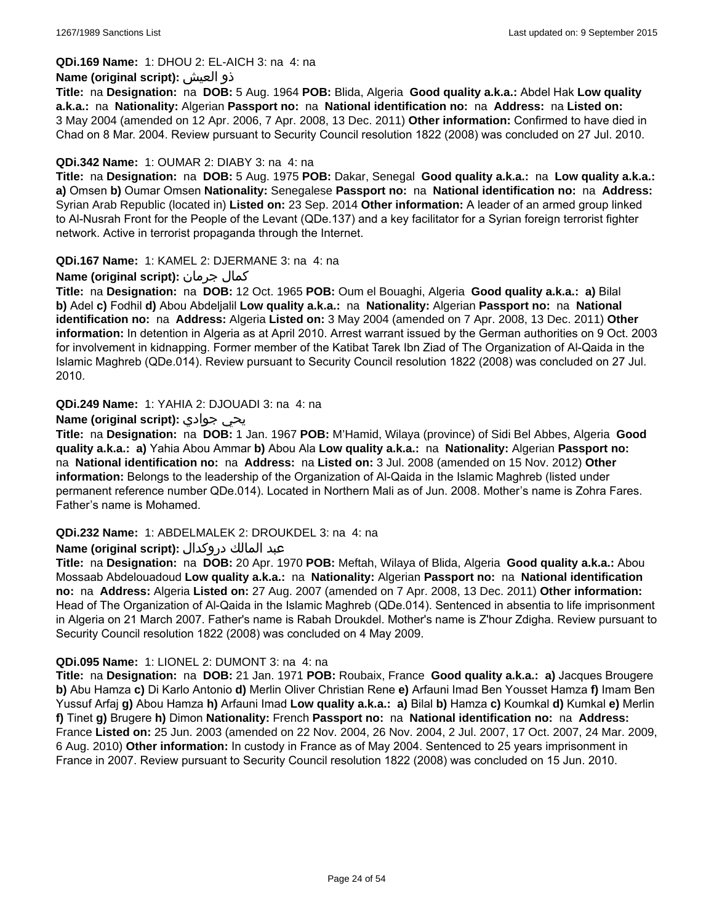### **QDi.169 Name:** 1: DHOU 2: EL-AICH 3: na 4: na

### **Name (original script):** العيش ذو

**Title:** na **Designation:** na **DOB:** 5 Aug. 1964 **POB:** Blida, Algeria **Good quality a.k.a.:** Abdel Hak **Low quality a.k.a.:** na **Nationality:** Algerian **Passport no:** na **National identification no:** na **Address:** na **Listed on:** 3 May 2004 (amended on 12 Apr. 2006, 7 Apr. 2008, 13 Dec. 2011) **Other information:** Confirmed to have died in Chad on 8 Mar. 2004. Review pursuant to Security Council resolution 1822 (2008) was concluded on 27 Jul. 2010.

## **QDi.342 Name:** 1: OUMAR 2: DIABY 3: na 4: na

**Title:** na **Designation:** na **DOB:** 5 Aug. 1975 **POB:** Dakar, Senegal **Good quality a.k.a.:** na **Low quality a.k.a.: a)** Omsen **b)** Oumar Omsen **Nationality:** Senegalese **Passport no:** na **National identification no:** na **Address:** Syrian Arab Republic (located in) **Listed on:** 23 Sep. 2014 **Other information:** A leader of an armed group linked to Al-Nusrah Front for the People of the Levant (QDe.137) and a key facilitator for a Syrian foreign terrorist fighter network. Active in terrorist propaganda through the Internet.

### **QDi.167 Name:** 1: KAMEL 2: DJERMANE 3: na 4: na

# **Name (original script):** جرمان كمال

**Title:** na **Designation:** na **DOB:** 12 Oct. 1965 **POB:** Oum el Bouaghi, Algeria **Good quality a.k.a.: a)** Bilal **b)** Adel **c)** Fodhil **d)** Abou Abdeljalil **Low quality a.k.a.:** na **Nationality:** Algerian **Passport no:** na **National identification no:** na **Address:** Algeria **Listed on:** 3 May 2004 (amended on 7 Apr. 2008, 13 Dec. 2011) **Other information:** In detention in Algeria as at April 2010. Arrest warrant issued by the German authorities on 9 Oct. 2003 for involvement in kidnapping. Former member of the Katibat Tarek Ibn Ziad of The Organization of Al-Qaida in the Islamic Maghreb (QDe.014). Review pursuant to Security Council resolution 1822 (2008) was concluded on 27 Jul. 2010.

### **QDi.249 Name:** 1: YAHIA 2: DJOUADI 3: na 4: na

### **Name (original script):** جوادي يحي

**Title:** na **Designation:** na **DOB:** 1 Jan. 1967 **POB:** M'Hamid, Wilaya (province) of Sidi Bel Abbes, Algeria **Good quality a.k.a.: a)** Yahia Abou Ammar **b)** Abou Ala **Low quality a.k.a.:** na **Nationality:** Algerian **Passport no:**  na **National identification no:** na **Address:** na **Listed on:** 3 Jul. 2008 (amended on 15 Nov. 2012) **Other information:** Belongs to the leadership of the Organization of Al-Qaida in the Islamic Maghreb (listed under permanent reference number QDe.014). Located in Northern Mali as of Jun. 2008. Mother's name is Zohra Fares. Father's name is Mohamed.

#### **QDi.232 Name:** 1: ABDELMALEK 2: DROUKDEL 3: na 4: na

# عبد المالك دروكدال **:(script original (Name**

**Title:** na **Designation:** na **DOB:** 20 Apr. 1970 **POB:** Meftah, Wilaya of Blida, Algeria **Good quality a.k.a.:** Abou Mossaab Abdelouadoud **Low quality a.k.a.:** na **Nationality:** Algerian **Passport no:** na **National identification no:** na **Address:** Algeria **Listed on:** 27 Aug. 2007 (amended on 7 Apr. 2008, 13 Dec. 2011) **Other information:** Head of The Organization of Al-Qaida in the Islamic Maghreb (QDe.014). Sentenced in absentia to life imprisonment in Algeria on 21 March 2007. Father's name is Rabah Droukdel. Mother's name is Z'hour Zdigha. Review pursuant to Security Council resolution 1822 (2008) was concluded on 4 May 2009.

#### **QDi.095 Name:** 1: LIONEL 2: DUMONT 3: na 4: na

**Title:** na **Designation:** na **DOB:** 21 Jan. 1971 **POB:** Roubaix, France **Good quality a.k.a.: a)** Jacques Brougere **b)** Abu Hamza **c)** Di Karlo Antonio **d)** Merlin Oliver Christian Rene **e)** Arfauni Imad Ben Yousset Hamza **f)** Imam Ben Yussuf Arfaj **g)** Abou Hamza **h)** Arfauni Imad **Low quality a.k.a.: a)** Bilal **b)** Hamza **c)** Koumkal **d)** Kumkal **e)** Merlin **f)** Tinet **g)** Brugere **h)** Dimon **Nationality:** French **Passport no:** na **National identification no:** na **Address:** France **Listed on:** 25 Jun. 2003 (amended on 22 Nov. 2004, 26 Nov. 2004, 2 Jul. 2007, 17 Oct. 2007, 24 Mar. 2009, 6 Aug. 2010) **Other information:** In custody in France as of May 2004. Sentenced to 25 years imprisonment in France in 2007. Review pursuant to Security Council resolution 1822 (2008) was concluded on 15 Jun. 2010.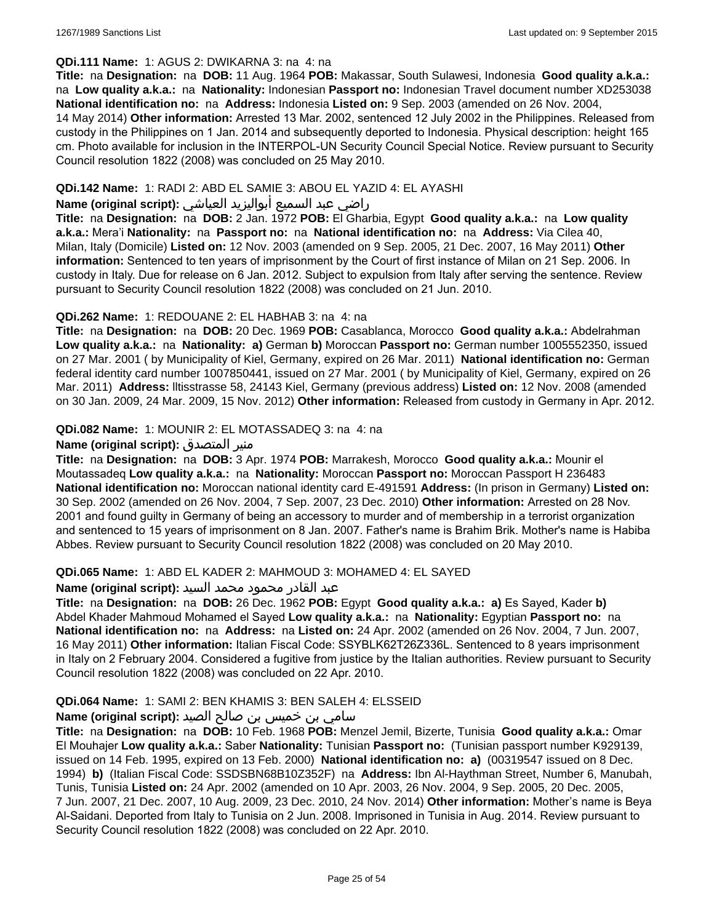#### **QDi.111 Name:** 1: AGUS 2: DWIKARNA 3: na 4: na

**Title:** na **Designation:** na **DOB:** 11 Aug. 1964 **POB:** Makassar, South Sulawesi, Indonesia **Good quality a.k.a.:**  na **Low quality a.k.a.:** na **Nationality:** Indonesian **Passport no:** Indonesian Travel document number XD253038 **National identification no:** na **Address:** Indonesia **Listed on:** 9 Sep. 2003 (amended on 26 Nov. 2004, 14 May 2014) **Other information:** Arrested 13 Mar. 2002, sentenced 12 July 2002 in the Philippines. Released from custody in the Philippines on 1 Jan. 2014 and subsequently deported to Indonesia. Physical description: height 165 cm. Photo available for inclusion in the INTERPOL-UN Security Council Special Notice. Review pursuant to Security Council resolution 1822 (2008) was concluded on 25 May 2010.

### **QDi.142 Name:** 1: RADI 2: ABD EL SAMIE 3: ABOU EL YAZID 4: EL AYASHI

### راضي عبد السميع أبواليزيد العياشي **:(script original (Name**

**Title:** na **Designation:** na **DOB:** 2 Jan. 1972 **POB:** El Gharbia, Egypt **Good quality a.k.a.:** na **Low quality a.k.a.:** Mera'i **Nationality:** na **Passport no:** na **National identification no:** na **Address:** Via Cilea 40, Milan, Italy (Domicile) **Listed on:** 12 Nov. 2003 (amended on 9 Sep. 2005, 21 Dec. 2007, 16 May 2011) **Other information:** Sentenced to ten years of imprisonment by the Court of first instance of Milan on 21 Sep. 2006. In custody in Italy. Due for release on 6 Jan. 2012. Subject to expulsion from Italy after serving the sentence. Review pursuant to Security Council resolution 1822 (2008) was concluded on 21 Jun. 2010.

### **QDi.262 Name:** 1: REDOUANE 2: EL HABHAB 3: na 4: na

**Title:** na **Designation:** na **DOB:** 20 Dec. 1969 **POB:** Casablanca, Morocco **Good quality a.k.a.:** Abdelrahman **Low quality a.k.a.:** na **Nationality: a)** German **b)** Moroccan **Passport no:** German number 1005552350, issued on 27 Mar. 2001 ( by Municipality of Kiel, Germany, expired on 26 Mar. 2011) **National identification no:** German federal identity card number 1007850441, issued on 27 Mar. 2001 ( by Municipality of Kiel, Germany, expired on 26 Mar. 2011) **Address:** lltisstrasse 58, 24143 Kiel, Germany (previous address) **Listed on:** 12 Nov. 2008 (amended on 30 Jan. 2009, 24 Mar. 2009, 15 Nov. 2012) **Other information:** Released from custody in Germany in Apr. 2012.

### **QDi.082 Name:** 1: MOUNIR 2: EL MOTASSADEQ 3: na 4: na

### **Name (original script):** المتصدق منير

**Title:** na **Designation:** na **DOB:** 3 Apr. 1974 **POB:** Marrakesh, Morocco **Good quality a.k.a.:** Mounir el Moutassadeq **Low quality a.k.a.:** na **Nationality:** Moroccan **Passport no:** Moroccan Passport H 236483 **National identification no:** Moroccan national identity card E-491591 **Address:** (In prison in Germany) **Listed on:** 30 Sep. 2002 (amended on 26 Nov. 2004, 7 Sep. 2007, 23 Dec. 2010) **Other information:** Arrested on 28 Nov. 2001 and found guilty in Germany of being an accessory to murder and of membership in a terrorist organization and sentenced to 15 years of imprisonment on 8 Jan. 2007. Father's name is Brahim Brik. Mother's name is Habiba Abbes. Review pursuant to Security Council resolution 1822 (2008) was concluded on 20 May 2010.

#### **QDi.065 Name:** 1: ABD EL KADER 2: MAHMOUD 3: MOHAMED 4: EL SAYED

#### عبد القادر محمود محمد السيد **:(script original (Name**

**Title:** na **Designation:** na **DOB:** 26 Dec. 1962 **POB:** Egypt **Good quality a.k.a.: a)** Es Sayed, Kader **b)** Abdel Khader Mahmoud Mohamed el Sayed **Low quality a.k.a.:** na **Nationality:** Egyptian **Passport no:** na **National identification no:** na **Address:** na **Listed on:** 24 Apr. 2002 (amended on 26 Nov. 2004, 7 Jun. 2007, 16 May 2011) **Other information:** Italian Fiscal Code: SSYBLK62T26Z336L. Sentenced to 8 years imprisonment in Italy on 2 February 2004. Considered a fugitive from justice by the Italian authorities. Review pursuant to Security Council resolution 1822 (2008) was concluded on 22 Apr. 2010.

# **QDi.064 Name:** 1: SAMI 2: BEN KHAMIS 3: BEN SALEH 4: ELSSEID

# سامي بن خميس بن صالح الصيد **:(script original (Name**

**Title:** na **Designation:** na **DOB:** 10 Feb. 1968 **POB:** Menzel Jemil, Bizerte, Tunisia **Good quality a.k.a.:** Omar El Mouhajer **Low quality a.k.a.:** Saber **Nationality:** Tunisian **Passport no:** (Tunisian passport number K929139, issued on 14 Feb. 1995, expired on 13 Feb. 2000) **National identification no: a)** (00319547 issued on 8 Dec. 1994) **b)** (Italian Fiscal Code: SSDSBN68B10Z352F) na **Address:** Ibn Al-Haythman Street, Number 6, Manubah, Tunis, Tunisia **Listed on:** 24 Apr. 2002 (amended on 10 Apr. 2003, 26 Nov. 2004, 9 Sep. 2005, 20 Dec. 2005, 7 Jun. 2007, 21 Dec. 2007, 10 Aug. 2009, 23 Dec. 2010, 24 Nov. 2014) **Other information:** Mother's name is Beya Al-Saidani. Deported from Italy to Tunisia on 2 Jun. 2008. Imprisoned in Tunisia in Aug. 2014. Review pursuant to Security Council resolution 1822 (2008) was concluded on 22 Apr. 2010.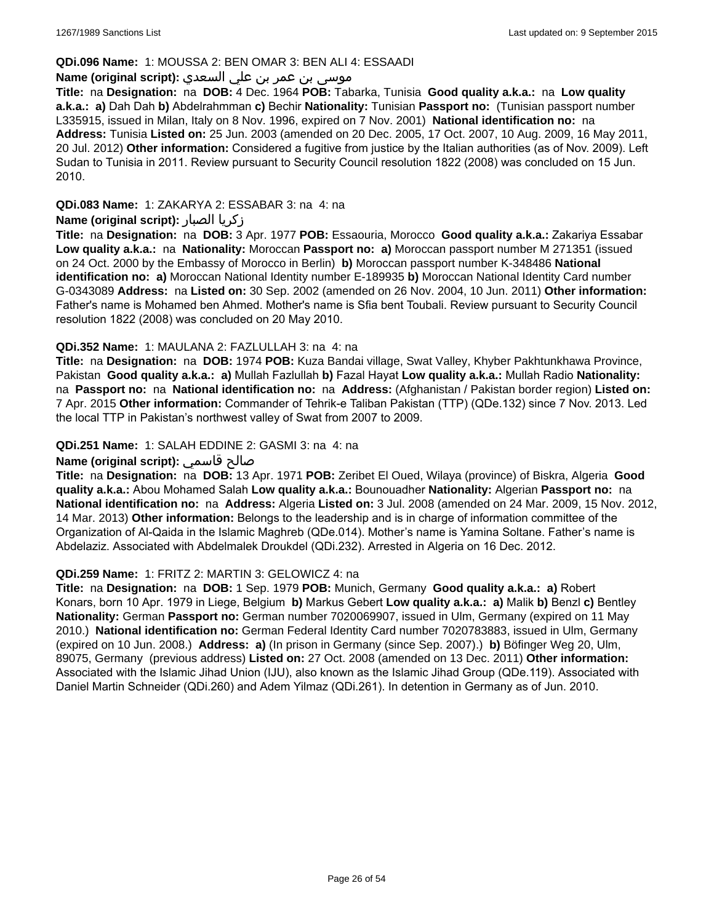### **QDi.096 Name:** 1: MOUSSA 2: BEN OMAR 3: BEN ALI 4: ESSAADI

# موسى بن عمر بن علي السعدي **:**Name (original script)

**Title:** na **Designation:** na **DOB:** 4 Dec. 1964 **POB:** Tabarka, Tunisia **Good quality a.k.a.:** na **Low quality a.k.a.: a)** Dah Dah **b)** Abdelrahmman **c)** Bechir **Nationality:** Tunisian **Passport no:** (Tunisian passport number L335915, issued in Milan, Italy on 8 Nov. 1996, expired on 7 Nov. 2001) **National identification no:** na **Address:** Tunisia **Listed on:** 25 Jun. 2003 (amended on 20 Dec. 2005, 17 Oct. 2007, 10 Aug. 2009, 16 May 2011, 20 Jul. 2012) **Other information:** Considered a fugitive from justice by the Italian authorities (as of Nov. 2009). Left Sudan to Tunisia in 2011. Review pursuant to Security Council resolution 1822 (2008) was concluded on 15 Jun. 2010.

**QDi.083 Name:** 1: ZAKARYA 2: ESSABAR 3: na 4: na

## **Name (original script):** الصبار زكريا

**Title:** na **Designation:** na **DOB:** 3 Apr. 1977 **POB:** Essaouria, Morocco **Good quality a.k.a.:** Zakariya Essabar **Low quality a.k.a.:** na **Nationality:** Moroccan **Passport no: a)** Moroccan passport number M 271351 (issued on 24 Oct. 2000 by the Embassy of Morocco in Berlin) **b)** Moroccan passport number K-348486 **National identification no: a)** Moroccan National Identity number E-189935 **b)** Moroccan National Identity Card number G-0343089 **Address:** na **Listed on:** 30 Sep. 2002 (amended on 26 Nov. 2004, 10 Jun. 2011) **Other information:** Father's name is Mohamed ben Ahmed. Mother's name is Sfia bent Toubali. Review pursuant to Security Council resolution 1822 (2008) was concluded on 20 May 2010.

### **QDi.352 Name:** 1: MAULANA 2: FAZLULLAH 3: na 4: na

**Title:** na **Designation:** na **DOB:** 1974 **POB:** Kuza Bandai village, Swat Valley, Khyber Pakhtunkhawa Province, Pakistan **Good quality a.k.a.: a)** Mullah Fazlullah **b)** Fazal Hayat **Low quality a.k.a.:** Mullah Radio **Nationality:**  na **Passport no:** na **National identification no:** na **Address:** (Afghanistan / Pakistan border region) **Listed on:** 7 Apr. 2015 **Other information:** Commander of Tehrik-e Taliban Pakistan (TTP) (QDe.132) since 7 Nov. 2013. Led the local TTP in Pakistan's northwest valley of Swat from 2007 to 2009.

### **QDi.251 Name:** 1: SALAH EDDINE 2: GASMI 3: na 4: na

## **Name (original script):** قاسمي صالح

**Title:** na **Designation:** na **DOB:** 13 Apr. 1971 **POB:** Zeribet El Oued, Wilaya (province) of Biskra, Algeria **Good quality a.k.a.:** Abou Mohamed Salah **Low quality a.k.a.:** Bounouadher **Nationality:** Algerian **Passport no:** na **National identification no:** na **Address:** Algeria **Listed on:** 3 Jul. 2008 (amended on 24 Mar. 2009, 15 Nov. 2012, 14 Mar. 2013) **Other information:** Belongs to the leadership and is in charge of information committee of the Organization of Al-Qaida in the Islamic Maghreb (QDe.014). Mother's name is Yamina Soltane. Father's name is Abdelaziz. Associated with Abdelmalek Droukdel (QDi.232). Arrested in Algeria on 16 Dec. 2012.

#### **QDi.259 Name:** 1: FRITZ 2: MARTIN 3: GELOWICZ 4: na

**Title:** na **Designation:** na **DOB:** 1 Sep. 1979 **POB:** Munich, Germany **Good quality a.k.a.: a)** Robert Konars, born 10 Apr. 1979 in Liege, Belgium **b)** Markus Gebert **Low quality a.k.a.: a)** Malik **b)** Benzl **c)** Bentley **Nationality:** German **Passport no:** German number 7020069907, issued in Ulm, Germany (expired on 11 May 2010.) **National identification no:** German Federal Identity Card number 7020783883, issued in Ulm, Germany (expired on 10 Jun. 2008.) **Address: a)** (In prison in Germany (since Sep. 2007).) **b)** Böfinger Weg 20, Ulm, 89075, Germany (previous address) **Listed on:** 27 Oct. 2008 (amended on 13 Dec. 2011) **Other information:** Associated with the Islamic Jihad Union (IJU), also known as the Islamic Jihad Group (QDe.119). Associated with Daniel Martin Schneider (QDi.260) and Adem Yilmaz (QDi.261). In detention in Germany as of Jun. 2010.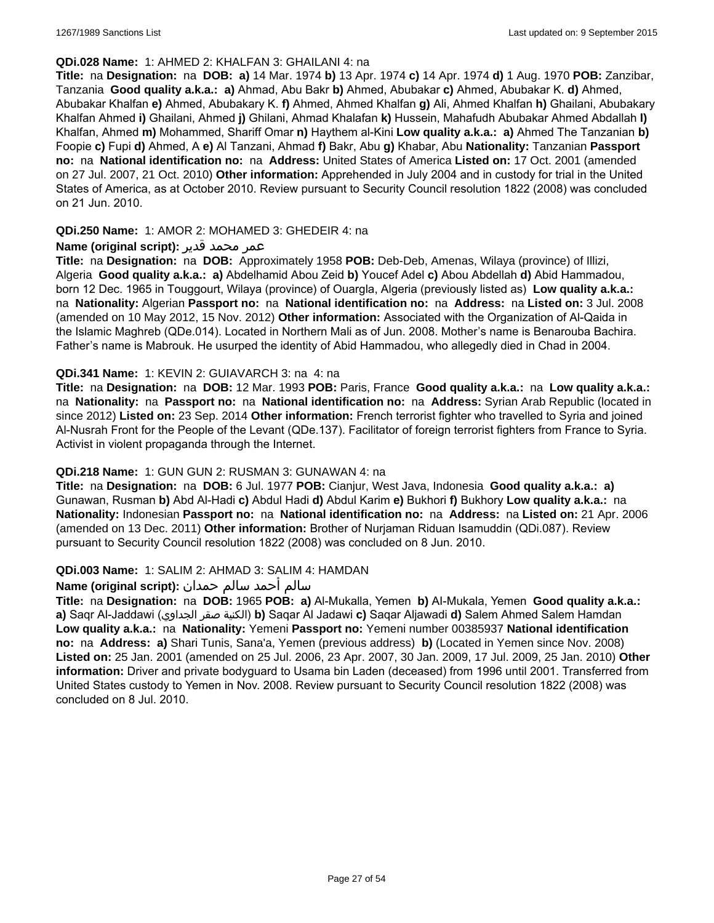### **QDi.028 Name:** 1: AHMED 2: KHALFAN 3: GHAILANI 4: na

**Title:** na **Designation:** na **DOB: a)** 14 Mar. 1974 **b)** 13 Apr. 1974 **c)** 14 Apr. 1974 **d)** 1 Aug. 1970 **POB:** Zanzibar, Tanzania **Good quality a.k.a.: a)** Ahmad, Abu Bakr **b)** Ahmed, Abubakar **c)** Ahmed, Abubakar K. **d)** Ahmed, Abubakar Khalfan **e)** Ahmed, Abubakary K. **f)** Ahmed, Ahmed Khalfan **g)** Ali, Ahmed Khalfan **h)** Ghailani, Abubakary Khalfan Ahmed **i)** Ghailani, Ahmed **j)** Ghilani, Ahmad Khalafan **k)** Hussein, Mahafudh Abubakar Ahmed Abdallah **l)** Khalfan, Ahmed **m)** Mohammed, Shariff Omar **n)** Haythem al-Kini **Low quality a.k.a.: a)** Ahmed The Tanzanian **b)** Foopie **c)** Fupi **d)** Ahmed, A **e)** Al Tanzani, Ahmad **f)** Bakr, Abu **g)** Khabar, Abu **Nationality:** Tanzanian **Passport no:** na **National identification no:** na **Address:** United States of America **Listed on:** 17 Oct. 2001 (amended on 27 Jul. 2007, 21 Oct. 2010) **Other information:** Apprehended in July 2004 and in custody for trial in the United States of America, as at October 2010. Review pursuant to Security Council resolution 1822 (2008) was concluded on 21 Jun. 2010.

# **QDi.250 Name:** 1: AMOR 2: MOHAMED 3: GHEDEIR 4: na

### عمر محمد قدير **:(script original (Name**

**Title:** na **Designation:** na **DOB:** Approximately 1958 **POB:** Deb-Deb, Amenas, Wilaya (province) of Illizi, Algeria **Good quality a.k.a.: a)** Abdelhamid Abou Zeid **b)** Youcef Adel **c)** Abou Abdellah **d)** Abid Hammadou, born 12 Dec. 1965 in Touggourt, Wilaya (province) of Ouargla, Algeria (previously listed as) **Low quality a.k.a.:**  na **Nationality:** Algerian **Passport no:** na **National identification no:** na **Address:** na **Listed on:** 3 Jul. 2008 (amended on 10 May 2012, 15 Nov. 2012) **Other information:** Associated with the Organization of Al-Qaida in the Islamic Maghreb (QDe.014). Located in Northern Mali as of Jun. 2008. Mother's name is Benarouba Bachira. Father's name is Mabrouk. He usurped the identity of Abid Hammadou, who allegedly died in Chad in 2004.

### **QDi.341 Name:** 1: KEVIN 2: GUIAVARCH 3: na 4: na

**Title:** na **Designation:** na **DOB:** 12 Mar. 1993 **POB:** Paris, France **Good quality a.k.a.:** na **Low quality a.k.a.:**  na **Nationality:** na **Passport no:** na **National identification no:** na **Address:** Syrian Arab Republic (located in since 2012) **Listed on:** 23 Sep. 2014 **Other information:** French terrorist fighter who travelled to Syria and joined Al-Nusrah Front for the People of the Levant (QDe.137). Facilitator of foreign terrorist fighters from France to Syria. Activist in violent propaganda through the Internet.

# **QDi.218 Name:** 1: GUN GUN 2: RUSMAN 3: GUNAWAN 4: na

**Title:** na **Designation:** na **DOB:** 6 Jul. 1977 **POB:** Cianjur, West Java, Indonesia **Good quality a.k.a.: a)** Gunawan, Rusman **b)** Abd Al-Hadi **c)** Abdul Hadi **d)** Abdul Karim **e)** Bukhori **f)** Bukhory **Low quality a.k.a.:** na **Nationality:** Indonesian **Passport no:** na **National identification no:** na **Address:** na **Listed on:** 21 Apr. 2006 (amended on 13 Dec. 2011) **Other information:** Brother of Nurjaman Riduan Isamuddin (QDi.087). Review pursuant to Security Council resolution 1822 (2008) was concluded on 8 Jun. 2010.

#### **QDi.003 Name:** 1: SALIM 2: AHMAD 3: SALIM 4: HAMDAN

# سالم أحمد سالم حمدان **:(script original (Name**

**Title:** na **Designation:** na **DOB:** 1965 **POB: a)** Al-Mukalla, Yemen **b)** AI-Mukala, Yemen **Good quality a.k.a.: a)** Saqr Al-Jaddawi (الجداوي صقر الكنية(**b)** Saqar Al Jadawi **c)** Saqar Aljawadi **d)** Salem Ahmed Salem Hamdan **Low quality a.k.a.:** na **Nationality:** Yemeni **Passport no:** Yemeni number 00385937 **National identification no:** na **Address: a)** Shari Tunis, Sana'a, Yemen (previous address) **b)** (Located in Yemen since Nov. 2008) **Listed on:** 25 Jan. 2001 (amended on 25 Jul. 2006, 23 Apr. 2007, 30 Jan. 2009, 17 Jul. 2009, 25 Jan. 2010) **Other information:** Driver and private bodyguard to Usama bin Laden (deceased) from 1996 until 2001. Transferred from United States custody to Yemen in Nov. 2008. Review pursuant to Security Council resolution 1822 (2008) was concluded on 8 Jul. 2010.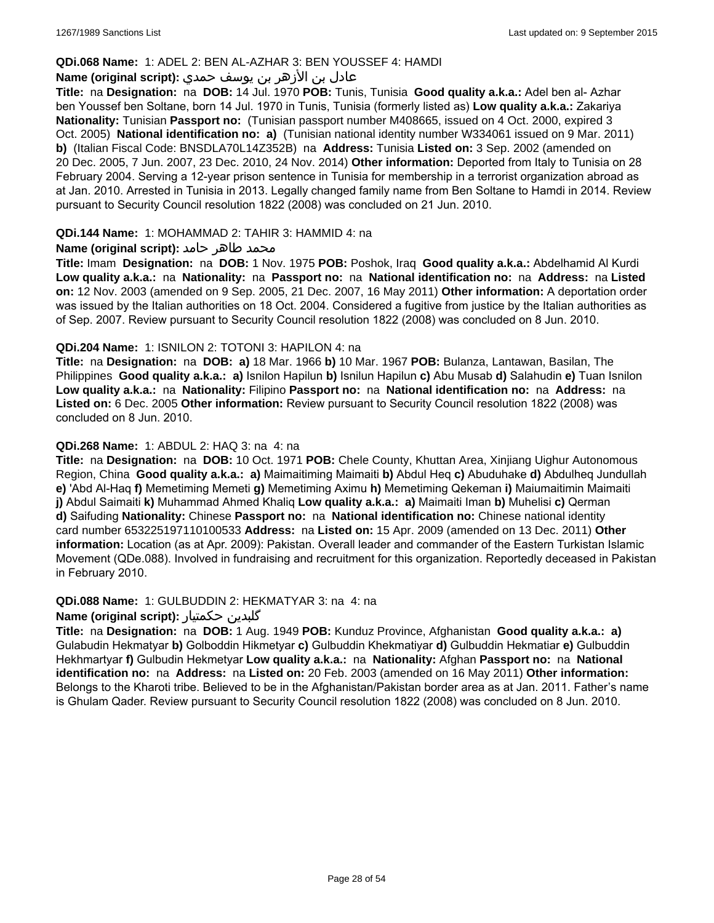### **QDi.068 Name:** 1: ADEL 2: BEN AL-AZHAR 3: BEN YOUSSEF 4: HAMDI

# عادل بن الأزهر بن يوسف حمدي **:(script original (Name**

**Title:** na **Designation:** na **DOB:** 14 Jul. 1970 **POB:** Tunis, Tunisia **Good quality a.k.a.:** Adel ben al- Azhar ben Youssef ben Soltane, born 14 Jul. 1970 in Tunis, Tunisia (formerly listed as) **Low quality a.k.a.:** Zakariya **Nationality:** Tunisian **Passport no:** (Tunisian passport number M408665, issued on 4 Oct. 2000, expired 3 Oct. 2005) **National identification no: a)** (Tunisian national identity number W334061 issued on 9 Mar. 2011) **b)** (Italian Fiscal Code: BNSDLA70L14Z352B) na **Address:** Tunisia **Listed on:** 3 Sep. 2002 (amended on 20 Dec. 2005, 7 Jun. 2007, 23 Dec. 2010, 24 Nov. 2014) **Other information:** Deported from Italy to Tunisia on 28 February 2004. Serving a 12-year prison sentence in Tunisia for membership in a terrorist organization abroad as at Jan. 2010. Arrested in Tunisia in 2013. Legally changed family name from Ben Soltane to Hamdi in 2014. Review pursuant to Security Council resolution 1822 (2008) was concluded on 21 Jun. 2010.

### **QDi.144 Name:** 1: MOHAMMAD 2: TAHIR 3: HAMMID 4: na

### **محمد طاهر حامد :(Name (original script**

**Title:** Imam **Designation:** na **DOB:** 1 Nov. 1975 **POB:** Poshok, Iraq **Good quality a.k.a.:** Abdelhamid Al Kurdi **Low quality a.k.a.:** na **Nationality:** na **Passport no:** na **National identification no:** na **Address:** na **Listed on:** 12 Nov. 2003 (amended on 9 Sep. 2005, 21 Dec. 2007, 16 May 2011) **Other information:** A deportation order was issued by the Italian authorities on 18 Oct. 2004. Considered a fugitive from justice by the Italian authorities as of Sep. 2007. Review pursuant to Security Council resolution 1822 (2008) was concluded on 8 Jun. 2010.

### **QDi.204 Name:** 1: ISNILON 2: TOTONI 3: HAPILON 4: na

**Title:** na **Designation:** na **DOB: a)** 18 Mar. 1966 **b)** 10 Mar. 1967 **POB:** Bulanza, Lantawan, Basilan, The Philippines **Good quality a.k.a.: a)** Isnilon Hapilun **b)** Isnilun Hapilun **c)** Abu Musab **d)** Salahudin **e)** Tuan Isnilon **Low quality a.k.a.:** na **Nationality:** Filipino **Passport no:** na **National identification no:** na **Address:** na **Listed on:** 6 Dec. 2005 **Other information:** Review pursuant to Security Council resolution 1822 (2008) was concluded on 8 Jun. 2010.

### **QDi.268 Name:** 1: ABDUL 2: HAQ 3: na 4: na

**Title:** na **Designation:** na **DOB:** 10 Oct. 1971 **POB:** Chele County, Khuttan Area, Xinjiang Uighur Autonomous Region, China **Good quality a.k.a.: a)** Maimaitiming Maimaiti **b)** Abdul Heq **c)** Abuduhake **d)** Abdulheq Jundullah **e)** 'Abd Al-Haq **f)** Memetiming Memeti **g)** Memetiming Aximu **h)** Memetiming Qekeman **i)** Maiumaitimin Maimaiti **j)** Abdul Saimaiti **k)** Muhammad Ahmed Khaliq **Low quality a.k.a.: a)** Maimaiti Iman **b)** Muhelisi **c)** Qerman **d)** Saifuding **Nationality:** Chinese **Passport no:** na **National identification no:** Chinese national identity card number 653225197110100533 **Address:** na **Listed on:** 15 Apr. 2009 (amended on 13 Dec. 2011) **Other information:** Location (as at Apr. 2009): Pakistan. Overall leader and commander of the Eastern Turkistan Islamic Movement (QDe.088). Involved in fundraising and recruitment for this organization. Reportedly deceased in Pakistan in February 2010.

#### **QDi.088 Name:** 1: GULBUDDIN 2: HEKMATYAR 3: na 4: na

#### **Name (original script):** حکمتیار گلبدین

**Title:** na **Designation:** na **DOB:** 1 Aug. 1949 **POB:** Kunduz Province, Afghanistan **Good quality a.k.a.: a)** Gulabudin Hekmatyar **b)** Golboddin Hikmetyar **c)** Gulbuddin Khekmatiyar **d)** Gulbuddin Hekmatiar **e)** Gulbuddin Hekhmartyar **f)** Gulbudin Hekmetyar **Low quality a.k.a.:** na **Nationality:** Afghan **Passport no:** na **National identification no:** na **Address:** na **Listed on:** 20 Feb. 2003 (amended on 16 May 2011) **Other information:** Belongs to the Kharoti tribe. Believed to be in the Afghanistan/Pakistan border area as at Jan. 2011. Father's name is Ghulam Qader. Review pursuant to Security Council resolution 1822 (2008) was concluded on 8 Jun. 2010.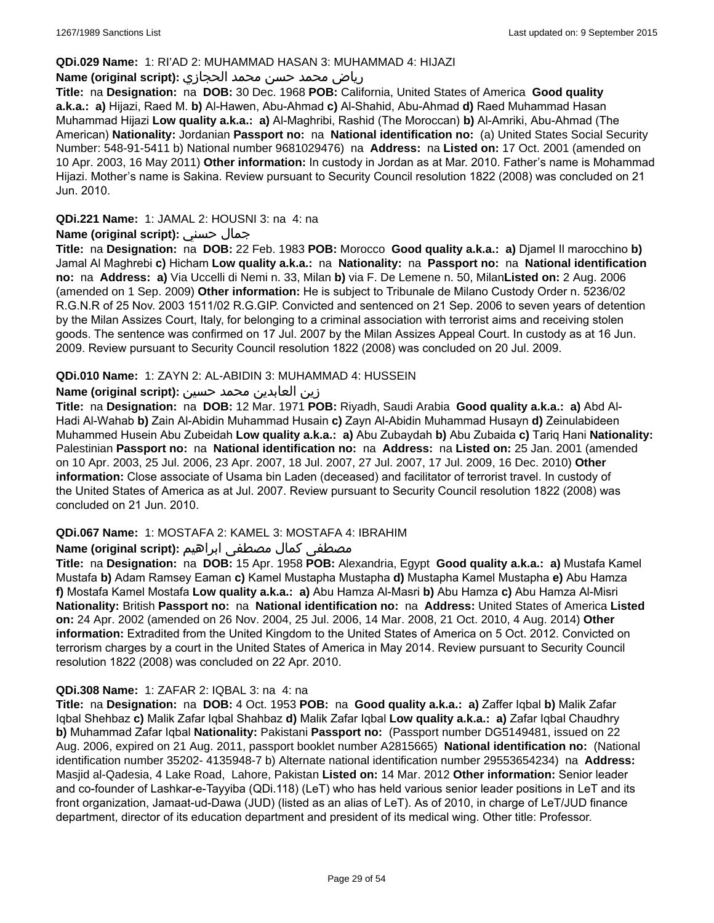### **QDi.029 Name:** 1: RI'AD 2: MUHAMMAD HASAN 3: MUHAMMAD 4: HIJAZI

# رياض محمد حسن محمد الحجازي **:(script original (Name**

**Title:** na **Designation:** na **DOB:** 30 Dec. 1968 **POB:** California, United States of America **Good quality a.k.a.: a)** Hijazi, Raed M. **b)** Al-Hawen, Abu-Ahmad **c)** Al-Shahid, Abu-Ahmad **d)** Raed Muhammad Hasan Muhammad Hijazi **Low quality a.k.a.: a)** Al-Maghribi, Rashid (The Moroccan) **b)** Al-Amriki, Abu-Ahmad (The American) **Nationality:** Jordanian **Passport no:** na **National identification no:** (a) United States Social Security Number: 548-91-5411 b) National number 9681029476) na **Address:** na **Listed on:** 17 Oct. 2001 (amended on 10 Apr. 2003, 16 May 2011) **Other information:** In custody in Jordan as at Mar. 2010. Father's name is Mohammad Hijazi. Mother's name is Sakina. Review pursuant to Security Council resolution 1822 (2008) was concluded on 21 Jun. 2010.

## **QDi.221 Name:** 1: JAMAL 2: HOUSNI 3: na 4: na

### **Name (original script):** حسني جمال

**Title:** na **Designation:** na **DOB:** 22 Feb. 1983 **POB:** Morocco **Good quality a.k.a.: a)** Djamel Il marocchino **b)** Jamal Al Maghrebi **c)** Hicham **Low quality a.k.a.:** na **Nationality:** na **Passport no:** na **National identification no:** na **Address: a)** Via Uccelli di Nemi n. 33, Milan **b)** via F. De Lemene n. 50, Milan**Listed on:** 2 Aug. 2006 (amended on 1 Sep. 2009) **Other information:** He is subject to Tribunale de Milano Custody Order n. 5236/02 R.G.N.R of 25 Nov. 2003 1511/02 R.G.GIP. Convicted and sentenced on 21 Sep. 2006 to seven years of detention by the Milan Assizes Court, Italy, for belonging to a criminal association with terrorist aims and receiving stolen goods. The sentence was confirmed on 17 Jul. 2007 by the Milan Assizes Appeal Court. In custody as at 16 Jun. 2009. Review pursuant to Security Council resolution 1822 (2008) was concluded on 20 Jul. 2009.

### **QDi.010 Name:** 1: ZAYN 2: AL-ABIDIN 3: MUHAMMAD 4: HUSSEIN

### زين العابدين محمد حسين **:(script original (Name**

**Title:** na **Designation:** na **DOB:** 12 Mar. 1971 **POB:** Riyadh, Saudi Arabia **Good quality a.k.a.: a)** Abd Al-Hadi Al-Wahab **b)** Zain Al-Abidin Muhammad Husain **c)** Zayn Al-Abidin Muhammad Husayn **d)** Zeinulabideen Muhammed Husein Abu Zubeidah **Low quality a.k.a.: a)** Abu Zubaydah **b)** Abu Zubaida **c)** Tariq Hani **Nationality:** Palestinian **Passport no:** na **National identification no:** na **Address:** na **Listed on:** 25 Jan. 2001 (amended on 10 Apr. 2003, 25 Jul. 2006, 23 Apr. 2007, 18 Jul. 2007, 27 Jul. 2007, 17 Jul. 2009, 16 Dec. 2010) **Other information:** Close associate of Usama bin Laden (deceased) and facilitator of terrorist travel. In custody of the United States of America as at Jul. 2007. Review pursuant to Security Council resolution 1822 (2008) was concluded on 21 Jun. 2010.

#### **QDi.067 Name:** 1: MOSTAFA 2: KAMEL 3: MOSTAFA 4: IBRAHIM

# مصطفى كمال مصطفى ابراهيم :Name (original script)

**Title:** na **Designation:** na **DOB:** 15 Apr. 1958 **POB:** Alexandria, Egypt **Good quality a.k.a.: a)** Mustafa Kamel Mustafa **b)** Adam Ramsey Eaman **c)** Kamel Mustapha Mustapha **d)** Mustapha Kamel Mustapha **e)** Abu Hamza **f)** Mostafa Kamel Mostafa **Low quality a.k.a.: a)** Abu Hamza Al-Masri **b)** Abu Hamza **c)** Abu Hamza Al-Misri **Nationality:** British **Passport no:** na **National identification no:** na **Address:** United States of America **Listed on:** 24 Apr. 2002 (amended on 26 Nov. 2004, 25 Jul. 2006, 14 Mar. 2008, 21 Oct. 2010, 4 Aug. 2014) **Other information:** Extradited from the United Kingdom to the United States of America on 5 Oct. 2012. Convicted on terrorism charges by a court in the United States of America in May 2014. Review pursuant to Security Council resolution 1822 (2008) was concluded on 22 Apr. 2010.

# **QDi.308 Name:** 1: ZAFAR 2: IQBAL 3: na 4: na

**Title:** na **Designation:** na **DOB:** 4 Oct. 1953 **POB:** na **Good quality a.k.a.: a)** Zaffer Iqbal **b)** Malik Zafar Iqbal Shehbaz **c)** Malik Zafar Iqbal Shahbaz **d)** Malik Zafar Iqbal **Low quality a.k.a.: a)** Zafar Iqbal Chaudhry **b)** Muhammad Zafar Iqbal **Nationality:** Pakistani **Passport no:** (Passport number DG5149481, issued on 22 Aug. 2006, expired on 21 Aug. 2011, passport booklet number A2815665) **National identification no:** (National identification number 35202- 4135948-7 b) Alternate national identification number 29553654234) na **Address:** Masjid al-Qadesia, 4 Lake Road, Lahore, Pakistan **Listed on:** 14 Mar. 2012 **Other information:** Senior leader and co-founder of Lashkar-e-Tayyiba (QDi.118) (LeT) who has held various senior leader positions in LeT and its front organization, Jamaat-ud-Dawa (JUD) (listed as an alias of LeT). As of 2010, in charge of LeT/JUD finance department, director of its education department and president of its medical wing. Other title: Professor.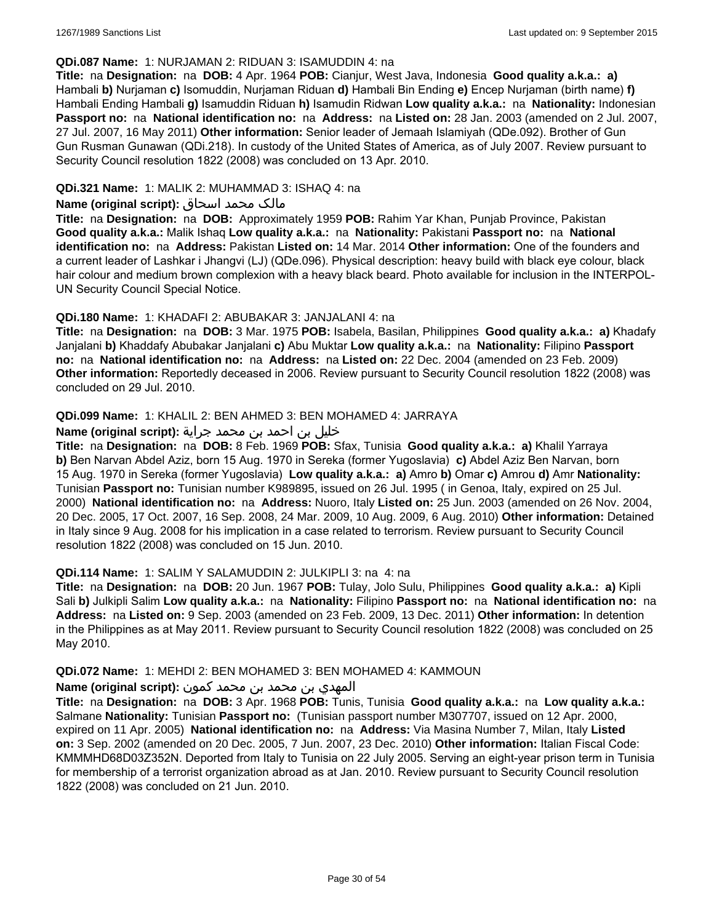### **QDi.087 Name:** 1: NURJAMAN 2: RIDUAN 3: ISAMUDDIN 4: na

**Title:** na **Designation:** na **DOB:** 4 Apr. 1964 **POB:** Cianjur, West Java, Indonesia **Good quality a.k.a.: a)** Hambali **b)** Nurjaman **c)** Isomuddin, Nurjaman Riduan **d)** Hambali Bin Ending **e)** Encep Nurjaman (birth name) **f)** Hambali Ending Hambali **g)** Isamuddin Riduan **h)** Isamudin Ridwan **Low quality a.k.a.:** na **Nationality:** Indonesian **Passport no:** na **National identification no:** na **Address:** na **Listed on:** 28 Jan. 2003 (amended on 2 Jul. 2007, 27 Jul. 2007, 16 May 2011) **Other information:** Senior leader of Jemaah Islamiyah (QDe.092). Brother of Gun Gun Rusman Gunawan (QDi.218). In custody of the United States of America, as of July 2007. Review pursuant to Security Council resolution 1822 (2008) was concluded on 13 Apr. 2010.

# **QDi.321 Name:** 1: MALIK 2: MUHAMMAD 3: ISHAQ 4: na

### مالک محمد اسحاق **:(script original (Name**

**Title:** na **Designation:** na **DOB:** Approximately 1959 **POB:** Rahim Yar Khan, Punjab Province, Pakistan **Good quality a.k.a.:** Malik Ishaq **Low quality a.k.a.:** na **Nationality:** Pakistani **Passport no:** na **National identification no:** na **Address:** Pakistan **Listed on:** 14 Mar. 2014 **Other information:** One of the founders and a current leader of Lashkar i Jhangvi (LJ) (QDe.096). Physical description: heavy build with black eye colour, black hair colour and medium brown complexion with a heavy black beard. Photo available for inclusion in the INTERPOL-UN Security Council Special Notice.

### **QDi.180 Name:** 1: KHADAFI 2: ABUBAKAR 3: JANJALANI 4: na

**Title:** na **Designation:** na **DOB:** 3 Mar. 1975 **POB:** Isabela, Basilan, Philippines **Good quality a.k.a.: a)** Khadafy Janjalani **b)** Khaddafy Abubakar Janjalani **c)** Abu Muktar **Low quality a.k.a.:** na **Nationality:** Filipino **Passport no:** na **National identification no:** na **Address:** na **Listed on:** 22 Dec. 2004 (amended on 23 Feb. 2009) **Other information:** Reportedly deceased in 2006. Review pursuant to Security Council resolution 1822 (2008) was concluded on 29 Jul. 2010.

#### **QDi.099 Name:** 1: KHALIL 2: BEN AHMED 3: BEN MOHAMED 4: JARRAYA

### خليل بن احمد بن محمد جراية **:(script original (Name**

**Title:** na **Designation:** na **DOB:** 8 Feb. 1969 **POB:** Sfax, Tunisia **Good quality a.k.a.: a)** Khalil Yarraya **b)** Ben Narvan Abdel Aziz, born 15 Aug. 1970 in Sereka (former Yugoslavia) **c)** Abdel Aziz Ben Narvan, born 15 Aug. 1970 in Sereka (former Yugoslavia) **Low quality a.k.a.: a)** Amro **b)** Omar **c)** Amrou **d)** Amr **Nationality:** Tunisian **Passport no:** Tunisian number K989895, issued on 26 Jul. 1995 ( in Genoa, Italy, expired on 25 Jul. 2000) **National identification no:** na **Address:** Nuoro, Italy **Listed on:** 25 Jun. 2003 (amended on 26 Nov. 2004, 20 Dec. 2005, 17 Oct. 2007, 16 Sep. 2008, 24 Mar. 2009, 10 Aug. 2009, 6 Aug. 2010) **Other information:** Detained in Italy since 9 Aug. 2008 for his implication in a case related to terrorism. Review pursuant to Security Council resolution 1822 (2008) was concluded on 15 Jun. 2010.

#### **QDi.114 Name:** 1: SALIM Y SALAMUDDIN 2: JULKIPLI 3: na 4: na

**Title:** na **Designation:** na **DOB:** 20 Jun. 1967 **POB:** Tulay, Jolo Sulu, Philippines **Good quality a.k.a.: a)** Kipli Sali **b)** Julkipli Salim **Low quality a.k.a.:** na **Nationality:** Filipino **Passport no:** na **National identification no:** na **Address:** na **Listed on:** 9 Sep. 2003 (amended on 23 Feb. 2009, 13 Dec. 2011) **Other information:** In detention in the Philippines as at May 2011. Review pursuant to Security Council resolution 1822 (2008) was concluded on 25 May 2010.

#### **QDi.072 Name:** 1: MEHDI 2: BEN MOHAMED 3: BEN MOHAMED 4: KAMMOUN

### المهدي بن محمد بن محمد كمون **:(script original (Name**

**Title:** na **Designation:** na **DOB:** 3 Apr. 1968 **POB:** Tunis, Tunisia **Good quality a.k.a.:** na **Low quality a.k.a.:** Salmane **Nationality:** Tunisian **Passport no:** (Tunisian passport number M307707, issued on 12 Apr. 2000, expired on 11 Apr. 2005) **National identification no:** na **Address:** Via Masina Number 7, Milan, Italy **Listed on:** 3 Sep. 2002 (amended on 20 Dec. 2005, 7 Jun. 2007, 23 Dec. 2010) **Other information:** Italian Fiscal Code: KMMMHD68D03Z352N. Deported from Italy to Tunisia on 22 July 2005. Serving an eight-year prison term in Tunisia for membership of a terrorist organization abroad as at Jan. 2010. Review pursuant to Security Council resolution 1822 (2008) was concluded on 21 Jun. 2010.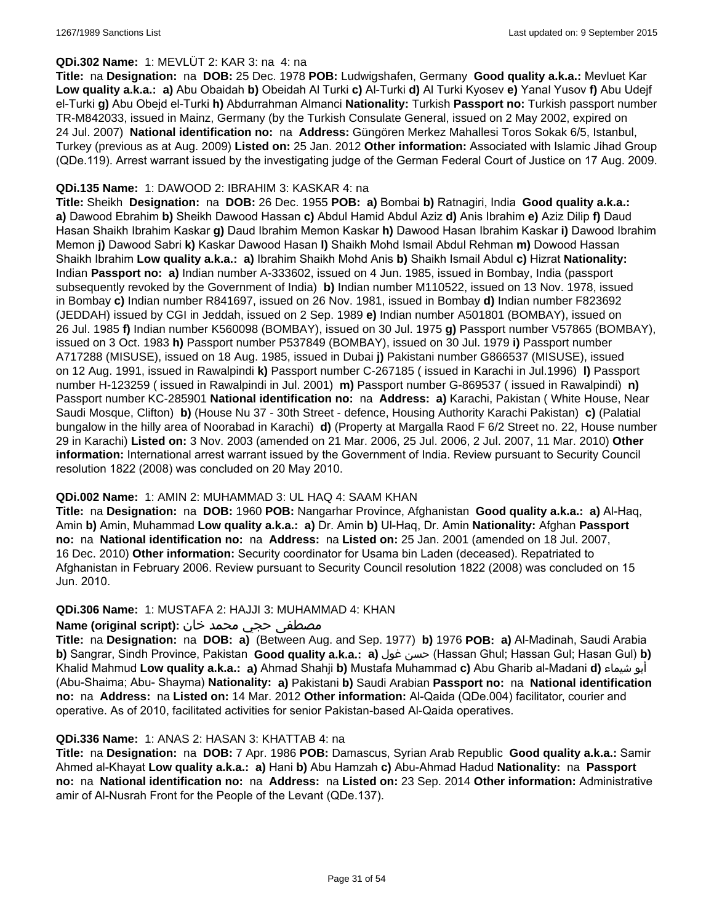## **QDi.302 Name:** 1: MEVLÜT 2: KAR 3: na 4: na

**Title:** na **Designation:** na **DOB:** 25 Dec. 1978 **POB:** Ludwigshafen, Germany **Good quality a.k.a.:** Mevluet Kar **Low quality a.k.a.: a)** Abu Obaidah **b)** Obeidah Al Turki **c)** Al-Turki **d)** Al Turki Kyosev **e)** Yanal Yusov **f)** Abu Udejf el-Turki **g)** Abu Obejd el-Turki **h)** Abdurrahman Almanci **Nationality:** Turkish **Passport no:** Turkish passport number TR-M842033, issued in Mainz, Germany (by the Turkish Consulate General, issued on 2 May 2002, expired on 24 Jul. 2007) **National identification no:** na **Address:** Güngören Merkez Mahallesi Toros Sokak 6/5, Istanbul, Turkey (previous as at Aug. 2009) **Listed on:** 25 Jan. 2012 **Other information:** Associated with Islamic Jihad Group (QDe.119). Arrest warrant issued by the investigating judge of the German Federal Court of Justice on 17 Aug. 2009.

# **QDi.135 Name:** 1: DAWOOD 2: IBRAHIM 3: KASKAR 4: na

**Title:** Sheikh **Designation:** na **DOB:** 26 Dec. 1955 **POB: a)** Bombai **b)** Ratnagiri, India **Good quality a.k.a.: a)** Dawood Ebrahim **b)** Sheikh Dawood Hassan **c)** Abdul Hamid Abdul Aziz **d)** Anis Ibrahim **e)** Aziz Dilip **f)** Daud Hasan Shaikh Ibrahim Kaskar **g)** Daud Ibrahim Memon Kaskar **h)** Dawood Hasan Ibrahim Kaskar **i)** Dawood Ibrahim Memon **j)** Dawood Sabri **k)** Kaskar Dawood Hasan **l)** Shaikh Mohd Ismail Abdul Rehman **m)** Dowood Hassan Shaikh Ibrahim **Low quality a.k.a.: a)** Ibrahim Shaikh Mohd Anis **b)** Shaikh Ismail Abdul **c)** Hizrat **Nationality:** Indian **Passport no: a)** Indian number A-333602, issued on 4 Jun. 1985, issued in Bombay, India (passport subsequently revoked by the Government of India) **b)** Indian number M110522, issued on 13 Nov. 1978, issued in Bombay **c)** Indian number R841697, issued on 26 Nov. 1981, issued in Bombay **d)** Indian number F823692 (JEDDAH) issued by CGI in Jeddah, issued on 2 Sep. 1989 **e)** Indian number A501801 (BOMBAY), issued on 26 Jul. 1985 **f)** Indian number K560098 (BOMBAY), issued on 30 Jul. 1975 **g)** Passport number V57865 (BOMBAY), issued on 3 Oct. 1983 **h)** Passport number P537849 (BOMBAY), issued on 30 Jul. 1979 **i)** Passport number A717288 (MISUSE), issued on 18 Aug. 1985, issued in Dubai **j)** Pakistani number G866537 (MISUSE), issued on 12 Aug. 1991, issued in Rawalpindi **k)** Passport number C-267185 ( issued in Karachi in Jul.1996) **l)** Passport number H-123259 ( issued in Rawalpindi in Jul. 2001) **m)** Passport number G-869537 ( issued in Rawalpindi) **n)** Passport number KC-285901 **National identification no:** na **Address: a)** Karachi, Pakistan ( White House, Near Saudi Mosque, Clifton) **b)** (House Nu 37 - 30th Street - defence, Housing Authority Karachi Pakistan) **c)** (Palatial bungalow in the hilly area of Noorabad in Karachi) **d)** (Property at Margalla Raod F 6/2 Street no. 22, House number 29 in Karachi) **Listed on:** 3 Nov. 2003 (amended on 21 Mar. 2006, 25 Jul. 2006, 2 Jul. 2007, 11 Mar. 2010) **Other information:** International arrest warrant issued by the Government of India. Review pursuant to Security Council resolution 1822 (2008) was concluded on 20 May 2010.

# **QDi.002 Name:** 1: AMIN 2: MUHAMMAD 3: UL HAQ 4: SAAM KHAN

**Title:** na **Designation:** na **DOB:** 1960 **POB:** Nangarhar Province, Afghanistan **Good quality a.k.a.: a)** Al-Haq, Amin **b)** Amin, Muhammad **Low quality a.k.a.: a)** Dr. Amin **b)** Ul-Haq, Dr. Amin **Nationality:** Afghan **Passport no:** na **National identification no:** na **Address:** na **Listed on:** 25 Jan. 2001 (amended on 18 Jul. 2007, 16 Dec. 2010) **Other information:** Security coordinator for Usama bin Laden (deceased). Repatriated to Afghanistan in February 2006. Review pursuant to Security Council resolution 1822 (2008) was concluded on 15 Jun. 2010.

#### **QDi.306 Name:** 1: MUSTAFA 2: HAJJI 3: MUHAMMAD 4: KHAN

# مصطفى حجي محمد خان :**Name (original script**)

**Title:** na **Designation:** na **DOB: a)** (Between Aug. and Sep. 1977) **b)** 1976 **POB: a)** Al-Madinah, Saudi Arabia **b)** Sangrar, Sindh Province, Pakistan **Good quality a.k.a.: a)** غول حسن) Hassan Ghul; Hassan Gul; Hasan Gul) **b)** Khalid Mahmud **Low quality a.k.a.: a)** Ahmad Shahji **b)** Mustafa Muhammad **c)** Abu Gharib al-Madani **d)** شيماء أبو (Abu-Shaima; Abu- Shayma) **Nationality: a)** Pakistani **b)** Saudi Arabian **Passport no:** na **National identification no:** na **Address:** na **Listed on:** 14 Mar. 2012 **Other information:** Al-Qaida (QDe.004) facilitator, courier and operative. As of 2010, facilitated activities for senior Pakistan-based Al-Qaida operatives.

#### **QDi.336 Name:** 1: ANAS 2: HASAN 3: KHATTAB 4: na

**Title:** na **Designation:** na **DOB:** 7 Apr. 1986 **POB:** Damascus, Syrian Arab Republic **Good quality a.k.a.:** Samir Ahmed al-Khayat **Low quality a.k.a.: a)** Hani **b)** Abu Hamzah **c)** Abu-Ahmad Hadud **Nationality:** na **Passport no:** na **National identification no:** na **Address:** na **Listed on:** 23 Sep. 2014 **Other information:** Administrative amir of Al-Nusrah Front for the People of the Levant (QDe.137).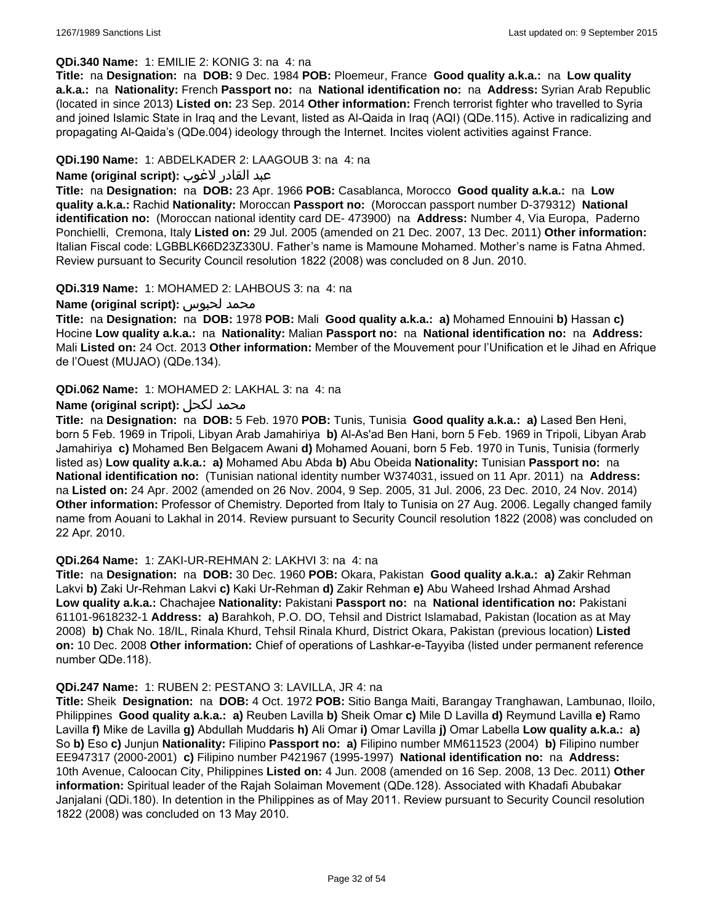### **QDi.340 Name:** 1: EMILIE 2: KONIG 3: na 4: na

**Title:** na **Designation:** na **DOB:** 9 Dec. 1984 **POB:** Ploemeur, France **Good quality a.k.a.:** na **Low quality a.k.a.:** na **Nationality:** French **Passport no:** na **National identification no:** na **Address:** Syrian Arab Republic (located in since 2013) **Listed on:** 23 Sep. 2014 **Other information:** French terrorist fighter who travelled to Syria and joined Islamic State in Iraq and the Levant, listed as Al-Qaida in Iraq (AQI) (QDe.115). Active in radicalizing and propagating Al-Qaida's (QDe.004) ideology through the Internet. Incites violent activities against France.

### **QDi.190 Name:** 1: ABDELKADER 2: LAAGOUB 3: na 4: na

## عبد القادر لاغوب **:(script original (Name**

**Title:** na **Designation:** na **DOB:** 23 Apr. 1966 **POB:** Casablanca, Morocco **Good quality a.k.a.:** na **Low quality a.k.a.:** Rachid **Nationality:** Moroccan **Passport no:** (Moroccan passport number D-379312) **National identification no:** (Moroccan national identity card DE- 473900) na **Address:** Number 4, Via Europa, Paderno Ponchielli, Cremona, Italy **Listed on:** 29 Jul. 2005 (amended on 21 Dec. 2007, 13 Dec. 2011) **Other information:** Italian Fiscal code: LGBBLK66D23Z330U. Father's name is Mamoune Mohamed. Mother's name is Fatna Ahmed. Review pursuant to Security Council resolution 1822 (2008) was concluded on 8 Jun. 2010.

#### **QDi.319 Name:** 1: MOHAMED 2: LAHBOUS 3: na 4: na

#### **Name (original script):** لحبوس محمد

**Title:** na **Designation:** na **DOB:** 1978 **POB:** Mali **Good quality a.k.a.: a)** Mohamed Ennouini **b)** Hassan **c)** Hocine **Low quality a.k.a.:** na **Nationality:** Malian **Passport no:** na **National identification no:** na **Address:** Mali **Listed on:** 24 Oct. 2013 **Other information:** Member of the Mouvement pour l'Unification et le Jihad en Afrique de l'Ouest (MUJAO) (QDe.134).

#### **QDi.062 Name:** 1: MOHAMED 2: LAKHAL 3: na 4: na

### **Name (original script):** لكحل محمد

**Title:** na **Designation:** na **DOB:** 5 Feb. 1970 **POB:** Tunis, Tunisia **Good quality a.k.a.: a)** Lased Ben Heni, born 5 Feb. 1969 in Tripoli, Libyan Arab Jamahiriya **b)** Al-As'ad Ben Hani, born 5 Feb. 1969 in Tripoli, Libyan Arab Jamahiriya **c)** Mohamed Ben Belgacem Awani **d)** Mohamed Aouani, born 5 Feb. 1970 in Tunis, Tunisia (formerly listed as) **Low quality a.k.a.: a)** Mohamed Abu Abda **b)** Abu Obeida **Nationality:** Tunisian **Passport no:** na **National identification no:** (Tunisian national identity number W374031, issued on 11 Apr. 2011) na **Address:**  na **Listed on:** 24 Apr. 2002 (amended on 26 Nov. 2004, 9 Sep. 2005, 31 Jul. 2006, 23 Dec. 2010, 24 Nov. 2014) **Other information:** Professor of Chemistry. Deported from Italy to Tunisia on 27 Aug. 2006. Legally changed family name from Aouani to Lakhal in 2014. Review pursuant to Security Council resolution 1822 (2008) was concluded on 22 Apr. 2010.

#### **QDi.264 Name:** 1: ZAKI-UR-REHMAN 2: LAKHVI 3: na 4: na

**Title:** na **Designation:** na **DOB:** 30 Dec. 1960 **POB:** Okara, Pakistan **Good quality a.k.a.: a)** Zakir Rehman Lakvi **b)** Zaki Ur-Rehman Lakvi **c)** Kaki Ur-Rehman **d)** Zakir Rehman **e)** Abu Waheed Irshad Ahmad Arshad **Low quality a.k.a.:** Chachajee **Nationality:** Pakistani **Passport no:** na **National identification no:** Pakistani 61101-9618232-1 **Address: a)** Barahkoh, P.O. DO, Tehsil and District Islamabad, Pakistan (location as at May 2008) **b)** Chak No. 18/IL, Rinala Khurd, Tehsil Rinala Khurd, District Okara, Pakistan (previous location) **Listed on:** 10 Dec. 2008 **Other information:** Chief of operations of Lashkar-e-Tayyiba (listed under permanent reference number QDe.118).

#### **QDi.247 Name:** 1: RUBEN 2: PESTANO 3: LAVILLA, JR 4: na

**Title:** Sheik **Designation:** na **DOB:** 4 Oct. 1972 **POB:** Sitio Banga Maiti, Barangay Tranghawan, Lambunao, Iloilo, Philippines **Good quality a.k.a.: a)** Reuben Lavilla **b)** Sheik Omar **c)** Mile D Lavilla **d)** Reymund Lavilla **e)** Ramo Lavilla **f)** Mike de Lavilla **g)** Abdullah Muddaris **h)** Ali Omar **i)** Omar Lavilla **j)** Omar Labella **Low quality a.k.a.: a)** So **b)** Eso **c)** Junjun **Nationality:** Filipino **Passport no: a)** Filipino number MM611523 (2004) **b)** Filipino number EE947317 (2000-2001) **c)** Filipino number P421967 (1995-1997) **National identification no:** na **Address:** 10th Avenue, Caloocan City, Philippines **Listed on:** 4 Jun. 2008 (amended on 16 Sep. 2008, 13 Dec. 2011) **Other information:** Spiritual leader of the Rajah Solaiman Movement (QDe.128). Associated with Khadafi Abubakar Janjalani (QDi.180). In detention in the Philippines as of May 2011. Review pursuant to Security Council resolution 1822 (2008) was concluded on 13 May 2010.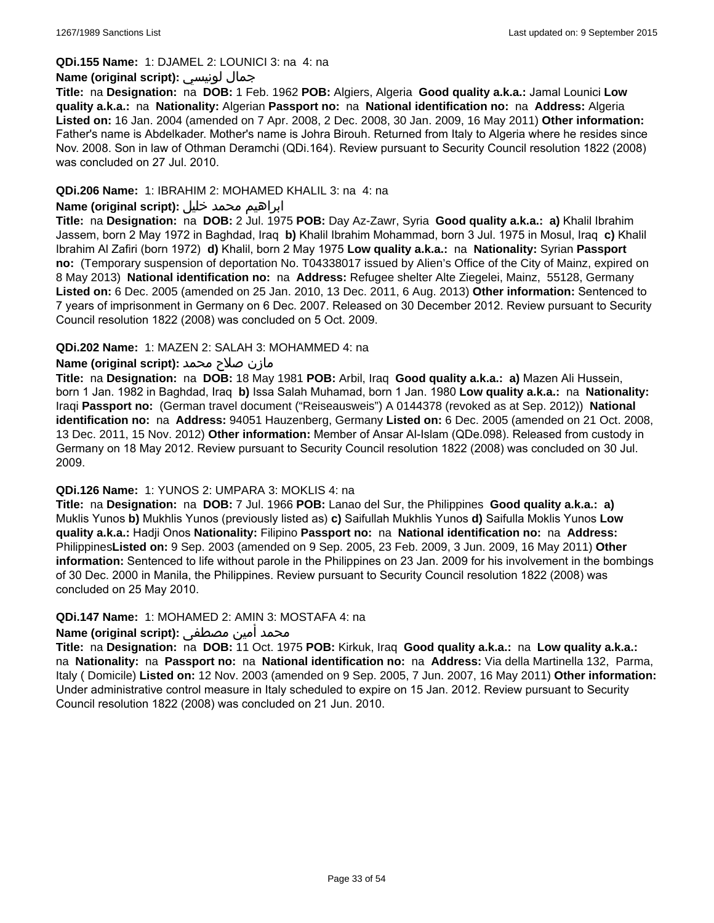### **QDi.155 Name:** 1: DJAMEL 2: LOUNICI 3: na 4: na

### **Name (original script):** لونيسي جمال

**Title:** na **Designation:** na **DOB:** 1 Feb. 1962 **POB:** Algiers, Algeria **Good quality a.k.a.:** Jamal Lounici **Low quality a.k.a.:** na **Nationality:** Algerian **Passport no:** na **National identification no:** na **Address:** Algeria **Listed on:** 16 Jan. 2004 (amended on 7 Apr. 2008, 2 Dec. 2008, 30 Jan. 2009, 16 May 2011) **Other information:** Father's name is Abdelkader. Mother's name is Johra Birouh. Returned from Italy to Algeria where he resides since Nov. 2008. Son in law of Othman Deramchi (QDi.164). Review pursuant to Security Council resolution 1822 (2008) was concluded on 27 Jul. 2010.

### **QDi.206 Name:** 1: IBRAHIM 2: MOHAMED KHALIL 3: na 4: na

# ابراهيم محمد خليل **:(script original (Name**

**Title:** na **Designation:** na **DOB:** 2 Jul. 1975 **POB:** Day Az-Zawr, Syria **Good quality a.k.a.: a)** Khalil Ibrahim Jassem, born 2 May 1972 in Baghdad, Iraq **b)** Khalil Ibrahim Mohammad, born 3 Jul. 1975 in Mosul, Iraq **c)** Khalil Ibrahim Al Zafiri (born 1972) **d)** Khalil, born 2 May 1975 **Low quality a.k.a.:** na **Nationality:** Syrian **Passport no:** (Temporary suspension of deportation No. T04338017 issued by Alien's Office of the City of Mainz, expired on 8 May 2013) **National identification no:** na **Address:** Refugee shelter Alte Ziegelei, Mainz, 55128, Germany **Listed on:** 6 Dec. 2005 (amended on 25 Jan. 2010, 13 Dec. 2011, 6 Aug. 2013) **Other information:** Sentenced to 7 years of imprisonment in Germany on 6 Dec. 2007. Released on 30 December 2012. Review pursuant to Security Council resolution 1822 (2008) was concluded on 5 Oct. 2009.

### **QDi.202 Name:** 1: MAZEN 2: SALAH 3: MOHAMMED 4: na

### مازن صلاح محمد **:(Name (original script**

**Title:** na **Designation:** na **DOB:** 18 May 1981 **POB:** Arbil, Iraq **Good quality a.k.a.: a)** Mazen Ali Hussein, born 1 Jan. 1982 in Baghdad, Iraq **b)** Issa Salah Muhamad, born 1 Jan. 1980 **Low quality a.k.a.:** na **Nationality:** Iraqi **Passport no:** (German travel document ("Reiseausweis") A 0144378 (revoked as at Sep. 2012)) **National identification no:** na **Address:** 94051 Hauzenberg, Germany **Listed on:** 6 Dec. 2005 (amended on 21 Oct. 2008, 13 Dec. 2011, 15 Nov. 2012) **Other information:** Member of Ansar Al-Islam (QDe.098). Released from custody in Germany on 18 May 2012. Review pursuant to Security Council resolution 1822 (2008) was concluded on 30 Jul. 2009.

#### **QDi.126 Name:** 1: YUNOS 2: UMPARA 3: MOKLIS 4: na

**Title:** na **Designation:** na **DOB:** 7 Jul. 1966 **POB:** Lanao del Sur, the Philippines **Good quality a.k.a.: a)** Muklis Yunos **b)** Mukhlis Yunos (previously listed as) **c)** Saifullah Mukhlis Yunos **d)** Saifulla Moklis Yunos **Low quality a.k.a.:** Hadji Onos **Nationality:** Filipino **Passport no:** na **National identification no:** na **Address:** Philippines**Listed on:** 9 Sep. 2003 (amended on 9 Sep. 2005, 23 Feb. 2009, 3 Jun. 2009, 16 May 2011) **Other information:** Sentenced to life without parole in the Philippines on 23 Jan. 2009 for his involvement in the bombings of 30 Dec. 2000 in Manila, the Philippines. Review pursuant to Security Council resolution 1822 (2008) was concluded on 25 May 2010.

### **QDi.147 Name:** 1: MOHAMED 2: AMIN 3: MOSTAFA 4: na

# محمد أمين مصطفى **:Name (original script)**

**Title:** na **Designation:** na **DOB:** 11 Oct. 1975 **POB:** Kirkuk, Iraq **Good quality a.k.a.:** na **Low quality a.k.a.:**  na **Nationality:** na **Passport no:** na **National identification no:** na **Address:** Via della Martinella 132, Parma, Italy ( Domicile) **Listed on:** 12 Nov. 2003 (amended on 9 Sep. 2005, 7 Jun. 2007, 16 May 2011) **Other information:** Under administrative control measure in Italy scheduled to expire on 15 Jan. 2012. Review pursuant to Security Council resolution 1822 (2008) was concluded on 21 Jun. 2010.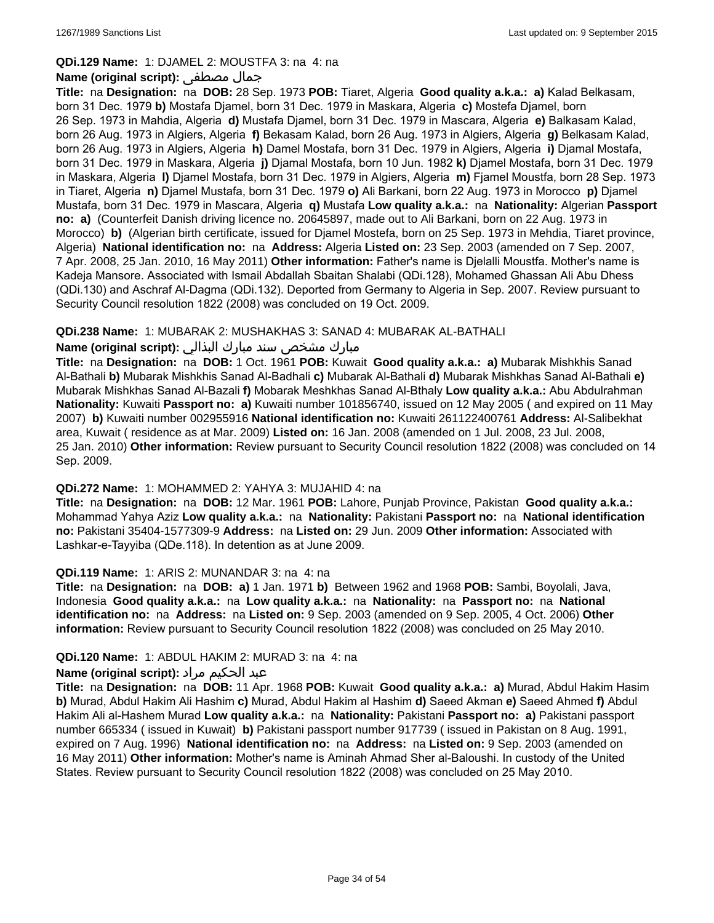### **QDi.129 Name:** 1: DJAMEL 2: MOUSTFA 3: na 4: na

### **Name (original script):** مصطفى جمال

**Title:** na **Designation:** na **DOB:** 28 Sep. 1973 **POB:** Tiaret, Algeria **Good quality a.k.a.: a)** Kalad Belkasam, born 31 Dec. 1979 **b)** Mostafa Djamel, born 31 Dec. 1979 in Maskara, Algeria **c)** Mostefa Djamel, born 26 Sep. 1973 in Mahdia, Algeria **d)** Mustafa Djamel, born 31 Dec. 1979 in Mascara, Algeria **e)** Balkasam Kalad, born 26 Aug. 1973 in Algiers, Algeria **f)** Bekasam Kalad, born 26 Aug. 1973 in Algiers, Algeria **g)** Belkasam Kalad, born 26 Aug. 1973 in Algiers, Algeria **h)** Damel Mostafa, born 31 Dec. 1979 in Algiers, Algeria **i)** Djamal Mostafa, born 31 Dec. 1979 in Maskara, Algeria **j)** Djamal Mostafa, born 10 Jun. 1982 **k)** Djamel Mostafa, born 31 Dec. 1979 in Maskara, Algeria **l)** Djamel Mostafa, born 31 Dec. 1979 in Algiers, Algeria **m)** Fjamel Moustfa, born 28 Sep. 1973 in Tiaret, Algeria **n)** Djamel Mustafa, born 31 Dec. 1979 **o)** Ali Barkani, born 22 Aug. 1973 in Morocco **p)** Djamel Mustafa, born 31 Dec. 1979 in Mascara, Algeria **q)** Mustafa **Low quality a.k.a.:** na **Nationality:** Algerian **Passport no: a)** (Counterfeit Danish driving licence no. 20645897, made out to Ali Barkani, born on 22 Aug. 1973 in Morocco) **b)** (Algerian birth certificate, issued for Djamel Mostefa, born on 25 Sep. 1973 in Mehdia, Tiaret province, Algeria) **National identification no:** na **Address:** Algeria **Listed on:** 23 Sep. 2003 (amended on 7 Sep. 2007, 7 Apr. 2008, 25 Jan. 2010, 16 May 2011) **Other information:** Father's name is Djelalli Moustfa. Mother's name is Kadeja Mansore. Associated with Ismail Abdallah Sbaitan Shalabi (QDi.128), Mohamed Ghassan Ali Abu Dhess (QDi.130) and Aschraf Al-Dagma (QDi.132). Deported from Germany to Algeria in Sep. 2007. Review pursuant to Security Council resolution 1822 (2008) was concluded on 19 Oct. 2009.

### **QDi.238 Name:** 1: MUBARAK 2: MUSHAKHAS 3: SANAD 4: MUBARAK AL-BATHALI

# مبارك مشخص سند مبارك البذالي **:Name (original script)**

**Title:** na **Designation:** na **DOB:** 1 Oct. 1961 **POB:** Kuwait **Good quality a.k.a.: a)** Mubarak Mishkhis Sanad Al-Bathali **b)** Mubarak Mishkhis Sanad Al-Badhali **c)** Mubarak Al-Bathali **d)** Mubarak Mishkhas Sanad Al-Bathali **e)** Mubarak Mishkhas Sanad Al-Bazali **f)** Mobarak Meshkhas Sanad Al-Bthaly **Low quality a.k.a.:** Abu Abdulrahman **Nationality:** Kuwaiti **Passport no: a)** Kuwaiti number 101856740, issued on 12 May 2005 ( and expired on 11 May 2007) **b)** Kuwaiti number 002955916 **National identification no:** Kuwaiti 261122400761 **Address:** Al-Salibekhat area, Kuwait ( residence as at Mar. 2009) **Listed on:** 16 Jan. 2008 (amended on 1 Jul. 2008, 23 Jul. 2008, 25 Jan. 2010) **Other information:** Review pursuant to Security Council resolution 1822 (2008) was concluded on 14 Sep. 2009.

#### **QDi.272 Name:** 1: MOHAMMED 2: YAHYA 3: MUJAHID 4: na

**Title:** na **Designation:** na **DOB:** 12 Mar. 1961 **POB:** Lahore, Punjab Province, Pakistan **Good quality a.k.a.:** Mohammad Yahya Aziz **Low quality a.k.a.:** na **Nationality:** Pakistani **Passport no:** na **National identification no:** Pakistani 35404-1577309-9 **Address:** na **Listed on:** 29 Jun. 2009 **Other information:** Associated with Lashkar-e-Tayyiba (QDe.118). In detention as at June 2009.

#### **QDi.119 Name:** 1: ARIS 2: MUNANDAR 3: na 4: na

**Title:** na **Designation:** na **DOB: a)** 1 Jan. 1971 **b)** Between 1962 and 1968 **POB:** Sambi, Boyolali, Java, Indonesia **Good quality a.k.a.:** na **Low quality a.k.a.:** na **Nationality:** na **Passport no:** na **National identification no:** na **Address:** na **Listed on:** 9 Sep. 2003 (amended on 9 Sep. 2005, 4 Oct. 2006) **Other information:** Review pursuant to Security Council resolution 1822 (2008) was concluded on 25 May 2010.

#### **QDi.120 Name:** 1: ABDUL HAKIM 2: MURAD 3: na 4: na

# عبد الحكيم مراد **:(script original (Name**

**Title:** na **Designation:** na **DOB:** 11 Apr. 1968 **POB:** Kuwait **Good quality a.k.a.: a)** Murad, Abdul Hakim Hasim **b)** Murad, Abdul Hakim Ali Hashim **c)** Murad, Abdul Hakim al Hashim **d)** Saeed Akman **e)** Saeed Ahmed **f)** Abdul Hakim Ali al-Hashem Murad **Low quality a.k.a.:** na **Nationality:** Pakistani **Passport no: a)** Pakistani passport number 665334 ( issued in Kuwait) **b)** Pakistani passport number 917739 ( issued in Pakistan on 8 Aug. 1991, expired on 7 Aug. 1996) **National identification no:** na **Address:** na **Listed on:** 9 Sep. 2003 (amended on 16 May 2011) **Other information:** Mother's name is Aminah Ahmad Sher al-Baloushi. In custody of the United States. Review pursuant to Security Council resolution 1822 (2008) was concluded on 25 May 2010.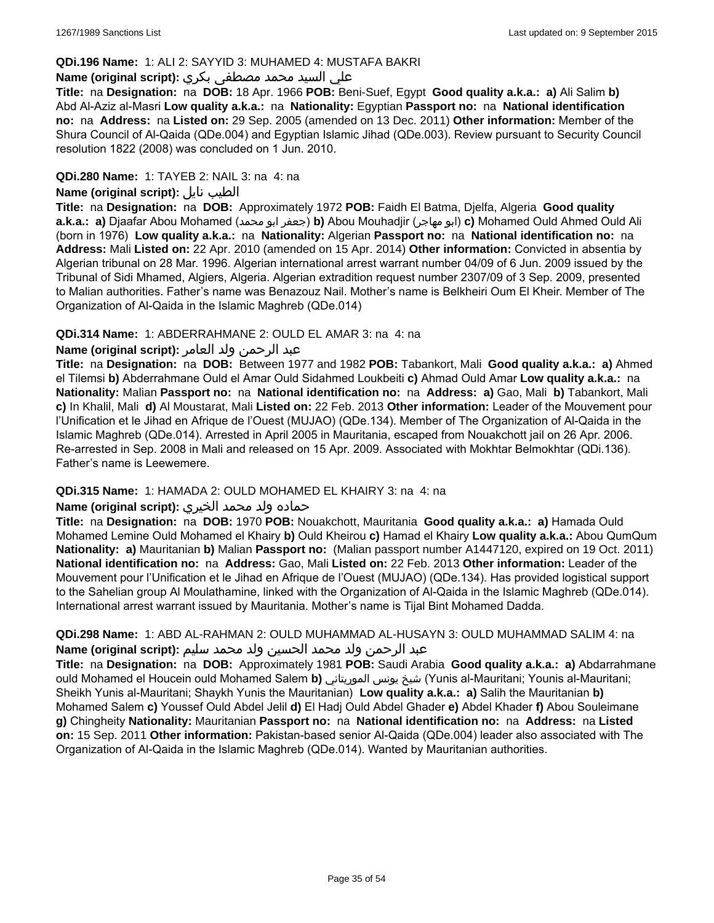### **QDi.196 Name:** 1: ALI 2: SAYYID 3: MUHAMED 4: MUSTAFA BAKRI

# علي السيد محمد مصطفى بكري **:(script original (Name**

**Title:** na **Designation:** na **DOB:** 18 Apr. 1966 **POB:** Beni-Suef, Egypt **Good quality a.k.a.: a)** Ali Salim **b)** Abd Al-Aziz al-Masri **Low quality a.k.a.:** na **Nationality:** Egyptian **Passport no:** na **National identification no:** na **Address:** na **Listed on:** 29 Sep. 2005 (amended on 13 Dec. 2011) **Other information:** Member of the Shura Council of Al-Qaida (QDe.004) and Egyptian Islamic Jihad (QDe.003). Review pursuant to Security Council resolution 1822 (2008) was concluded on 1 Jun. 2010.

## **QDi.280 Name:** 1: TAYEB 2: NAIL 3: na 4: na

# **Name (original script):** نايل الطيب

**Title:** na **Designation:** na **DOB:** Approximately 1972 **POB:** Faidh El Batma, Djelfa, Algeria **Good quality a.k.a.: a)** Djaafar Abou Mohamed (محمد ابو جعفر(**b)** Abou Mouhadjir (مهاجر ابو(**c)** Mohamed Ould Ahmed Ould Ali (born in 1976) **Low quality a.k.a.:** na **Nationality:** Algerian **Passport no:** na **National identification no:** na **Address:** Mali **Listed on:** 22 Apr. 2010 (amended on 15 Apr. 2014) **Other information:** Convicted in absentia by Algerian tribunal on 28 Mar. 1996. Algerian international arrest warrant number 04/09 of 6 Jun. 2009 issued by the Tribunal of Sidi Mhamed, Algiers, Algeria. Algerian extradition request number 2307/09 of 3 Sep. 2009, presented to Malian authorities. Father's name was Benazouz Nail. Mother's name is Belkheiri Oum El Kheir. Member of The Organization of Al-Qaida in the Islamic Maghreb (QDe.014)

### **QDi.314 Name:** 1: ABDERRAHMANE 2: OULD EL AMAR 3: na 4: na

### عبد الرحمن ولد العامر **:(script original (Name**

**Title:** na **Designation:** na **DOB:** Between 1977 and 1982 **POB:** Tabankort, Mali **Good quality a.k.a.: a)** Ahmed el Tilemsi **b)** Abderrahmane Ould el Amar Ould Sidahmed Loukbeiti **c)** Ahmad Ould Amar **Low quality a.k.a.:** na **Nationality:** Malian **Passport no:** na **National identification no:** na **Address: a)** Gao, Mali **b)** Tabankort, Mali **c)** In Khalil, Mali **d)** Al Moustarat, Mali **Listed on:** 22 Feb. 2013 **Other information:** Leader of the Mouvement pour l'Unification et le Jihad en Afrique de l'Ouest (MUJAO) (QDe.134). Member of The Organization of Al-Qaida in the Islamic Maghreb (QDe.014). Arrested in April 2005 in Mauritania, escaped from Nouakchott jail on 26 Apr. 2006. Re-arrested in Sep. 2008 in Mali and released on 15 Apr. 2009. Associated with Mokhtar Belmokhtar (QDi.136). Father's name is Leewemere.

#### **QDi.315 Name:** 1: HAMADA 2: OULD MOHAMED EL KHAIRY 3: na 4: na

#### حماده ولد محمد الخيري **:(script original (Name**

**Title:** na **Designation:** na **DOB:** 1970 **POB:** Nouakchott, Mauritania **Good quality a.k.a.: a)** Hamada Ould Mohamed Lemine Ould Mohamed el Khairy **b)** Ould Kheirou **c)** Hamad el Khairy **Low quality a.k.a.:** Abou QumQum **Nationality: a)** Mauritanian **b)** Malian **Passport no:** (Malian passport number A1447120, expired on 19 Oct. 2011) **National identification no:** na **Address:** Gao, Mali **Listed on:** 22 Feb. 2013 **Other information:** Leader of the Mouvement pour l'Unification et le Jihad en Afrique de l'Ouest (MUJAO) (QDe.134). Has provided logistical support to the Sahelian group Al Moulathamine, linked with the Organization of Al-Qaida in the Islamic Maghreb (QDe.014). International arrest warrant issued by Mauritania. Mother's name is Tijal Bint Mohamed Dadda.

# **QDi.298 Name:** 1: ABD AL-RAHMAN 2: OULD MUHAMMAD AL-HUSAYN 3: OULD MUHAMMAD SALIM 4: na عبد الرحمن ولد محمد الحسين ولد محمد سليم **:(script original (Name**

**Title:** na **Designation:** na **DOB:** Approximately 1981 **POB:** Saudi Arabia **Good quality a.k.a.: a)** Abdarrahmane ould Mohamed el Houcein ould Mohamed Salem **b)** الموريتاني يونس شيخ) Yunis al-Mauritani; Younis al-Mauritani; Sheikh Yunis al-Mauritani; Shaykh Yunis the Mauritanian) **Low quality a.k.a.: a)** Salih the Mauritanian **b)** Mohamed Salem **c)** Youssef Ould Abdel Jelil **d)** El Hadj Ould Abdel Ghader **e)** Abdel Khader **f)** Abou Souleimane **g)** Chingheity **Nationality:** Mauritanian **Passport no:** na **National identification no:** na **Address:** na **Listed on:** 15 Sep. 2011 **Other information:** Pakistan-based senior Al-Qaida (QDe.004) leader also associated with The Organization of Al-Qaida in the Islamic Maghreb (QDe.014). Wanted by Mauritanian authorities.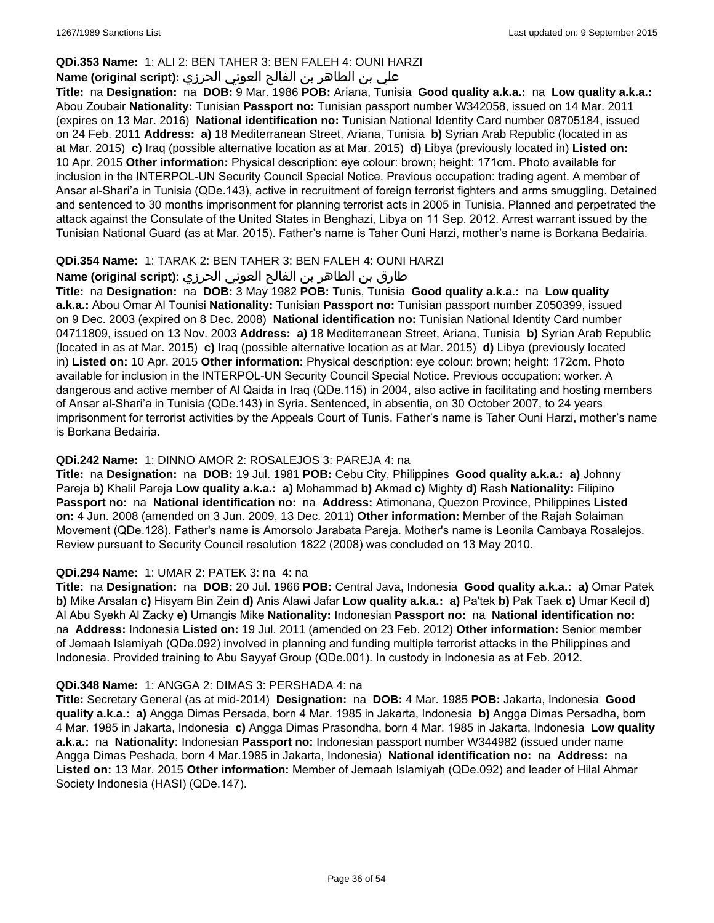# **QDi.353 Name:** 1: ALI 2: BEN TAHER 3: BEN FALEH 4: OUNI HARZI

# علي بن الطاھر بن الفالح العوني الحرزي **:(script original (Name**

**Title:** na **Designation:** na **DOB:** 9 Mar. 1986 **POB:** Ariana, Tunisia **Good quality a.k.a.:** na **Low quality a.k.a.:** Abou Zoubair **Nationality:** Tunisian **Passport no:** Tunisian passport number W342058, issued on 14 Mar. 2011 (expires on 13 Mar. 2016) **National identification no:** Tunisian National Identity Card number 08705184, issued on 24 Feb. 2011 **Address: a)** 18 Mediterranean Street, Ariana, Tunisia **b)** Syrian Arab Republic (located in as at Mar. 2015) **c)** Iraq (possible alternative location as at Mar. 2015) **d)** Libya (previously located in) **Listed on:** 10 Apr. 2015 **Other information:** Physical description: eye colour: brown; height: 171cm. Photo available for inclusion in the INTERPOL-UN Security Council Special Notice. Previous occupation: trading agent. A member of Ansar al-Shari'a in Tunisia (QDe.143), active in recruitment of foreign terrorist fighters and arms smuggling. Detained and sentenced to 30 months imprisonment for planning terrorist acts in 2005 in Tunisia. Planned and perpetrated the attack against the Consulate of the United States in Benghazi, Libya on 11 Sep. 2012. Arrest warrant issued by the Tunisian National Guard (as at Mar. 2015). Father's name is Taher Ouni Harzi, mother's name is Borkana Bedairia.

# **QDi.354 Name:** 1: TARAK 2: BEN TAHER 3: BEN FALEH 4: OUNI HARZI

# طارق بن الطاھر بن الفالح العوني الحرزي **:(Name (original script**

**Title:** na **Designation:** na **DOB:** 3 May 1982 **POB:** Tunis, Tunisia **Good quality a.k.a.:** na **Low quality a.k.a.:** Abou Omar Al Tounisi **Nationality:** Tunisian **Passport no:** Tunisian passport number Z050399, issued on 9 Dec. 2003 (expired on 8 Dec. 2008) **National identification no:** Tunisian National Identity Card number 04711809, issued on 13 Nov. 2003 **Address: a)** 18 Mediterranean Street, Ariana, Tunisia **b)** Syrian Arab Republic (located in as at Mar. 2015) **c)** Iraq (possible alternative location as at Mar. 2015) **d)** Libya (previously located in) **Listed on:** 10 Apr. 2015 **Other information:** Physical description: eye colour: brown; height: 172cm. Photo available for inclusion in the INTERPOL-UN Security Council Special Notice. Previous occupation: worker. A dangerous and active member of Al Qaida in Iraq (QDe.115) in 2004, also active in facilitating and hosting members of Ansar al-Shari'a in Tunisia (QDe.143) in Syria. Sentenced, in absentia, on 30 October 2007, to 24 years imprisonment for terrorist activities by the Appeals Court of Tunis. Father's name is Taher Ouni Harzi, mother's name is Borkana Bedairia.

# **QDi.242 Name:** 1: DINNO AMOR 2: ROSALEJOS 3: PAREJA 4: na

**Title:** na **Designation:** na **DOB:** 19 Jul. 1981 **POB:** Cebu City, Philippines **Good quality a.k.a.: a)** Johnny Pareja **b)** Khalil Pareja **Low quality a.k.a.: a)** Mohammad **b)** Akmad **c)** Mighty **d)** Rash **Nationality:** Filipino **Passport no:** na **National identification no:** na **Address:** Atimonana, Quezon Province, Philippines **Listed on:** 4 Jun. 2008 (amended on 3 Jun. 2009, 13 Dec. 2011) **Other information:** Member of the Rajah Solaiman Movement (QDe.128). Father's name is Amorsolo Jarabata Pareja. Mother's name is Leonila Cambaya Rosalejos. Review pursuant to Security Council resolution 1822 (2008) was concluded on 13 May 2010.

# **QDi.294 Name:** 1: UMAR 2: PATEK 3: na 4: na

**Title:** na **Designation:** na **DOB:** 20 Jul. 1966 **POB:** Central Java, Indonesia **Good quality a.k.a.: a)** Omar Patek **b)** Mike Arsalan **c)** Hisyam Bin Zein **d)** Anis Alawi Jafar **Low quality a.k.a.: a)** Pa'tek **b)** Pak Taek **c)** Umar Kecil **d)** Al Abu Syekh Al Zacky **e)** Umangis Mike **Nationality:** Indonesian **Passport no:** na **National identification no:**  na **Address:** Indonesia **Listed on:** 19 Jul. 2011 (amended on 23 Feb. 2012) **Other information:** Senior member of Jemaah Islamiyah (QDe.092) involved in planning and funding multiple terrorist attacks in the Philippines and Indonesia. Provided training to Abu Sayyaf Group (QDe.001). In custody in Indonesia as at Feb. 2012.

# **QDi.348 Name:** 1: ANGGA 2: DIMAS 3: PERSHADA 4: na

**Title:** Secretary General (as at mid-2014) **Designation:** na **DOB:** 4 Mar. 1985 **POB:** Jakarta, Indonesia **Good quality a.k.a.: a)** Angga Dimas Persada, born 4 Mar. 1985 in Jakarta, Indonesia **b)** Angga Dimas Persadha, born 4 Mar. 1985 in Jakarta, Indonesia **c)** Angga Dimas Prasondha, born 4 Mar. 1985 in Jakarta, Indonesia **Low quality a.k.a.:** na **Nationality:** Indonesian **Passport no:** Indonesian passport number W344982 (issued under name Angga Dimas Peshada, born 4 Mar.1985 in Jakarta, Indonesia) **National identification no:** na **Address:** na **Listed on:** 13 Mar. 2015 **Other information:** Member of Jemaah Islamiyah (QDe.092) and leader of Hilal Ahmar Society Indonesia (HASI) (QDe.147).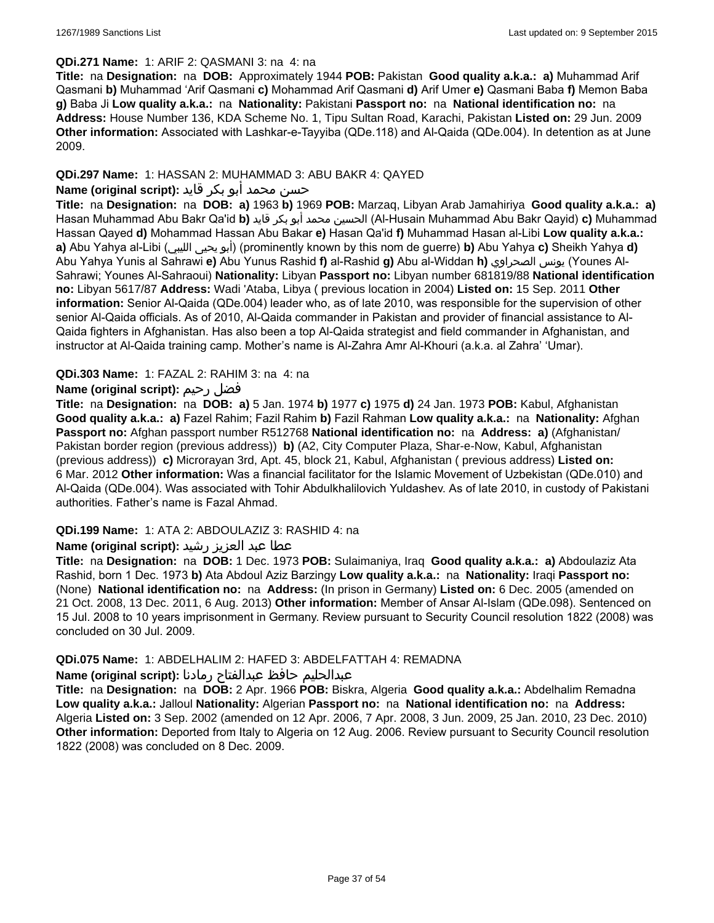## **QDi.271 Name:** 1: ARIF 2: QASMANI 3: na 4: na

**Title:** na **Designation:** na **DOB:** Approximately 1944 **POB:** Pakistan **Good quality a.k.a.: a)** Muhammad Arif Qasmani **b)** Muhammad 'Arif Qasmani **c)** Mohammad Arif Qasmani **d)** Arif Umer **e)** Qasmani Baba **f)** Memon Baba **g)** Baba Ji **Low quality a.k.a.:** na **Nationality:** Pakistani **Passport no:** na **National identification no:** na **Address:** House Number 136, KDA Scheme No. 1, Tipu Sultan Road, Karachi, Pakistan **Listed on:** 29 Jun. 2009 **Other information:** Associated with Lashkar-e-Tayyiba (QDe.118) and Al-Qaida (QDe.004). In detention as at June 2009.

# **QDi.297 Name:** 1: HASSAN 2: MUHAMMAD 3: ABU BAKR 4: QAYED

# حسن محمد أبو بكر قايد **:(script original (Name**

**Title:** na **Designation:** na **DOB: a)** 1963 **b)** 1969 **POB:** Marzaq, Libyan Arab Jamahiriya **Good quality a.k.a.: a)** Hasan Muhammad Abu Bakr Qa'id **b)** قايد بكر أبو محمد الحسين) Al-Husain Muhammad Abu Bakr Qayid) **c)** Muhammad Hassan Qayed **d)** Mohammad Hassan Abu Bakar **e)** Hasan Qa'id **f)** Muhammad Hasan al-Libi **Low quality a.k.a.: a)** Abu Yahya al-Libi (الليبي يحيى أبو) (prominently known by this nom de guerre) **b)** Abu Yahya **c)** Sheikh Yahya **d)** Abu Yahya Yunis al Sahrawi **e)** Abu Yunus Rashid **f)** al-Rashid **g)** Abu al-Widdan **h)** الصحراوي يونس) Younes Al-Sahrawi; Younes Al-Sahraoui) **Nationality:** Libyan **Passport no:** Libyan number 681819/88 **National identification no:** Libyan 5617/87 **Address:** Wadi 'Ataba, Libya ( previous location in 2004) **Listed on:** 15 Sep. 2011 **Other information:** Senior Al-Qaida (QDe.004) leader who, as of late 2010, was responsible for the supervision of other senior Al-Qaida officials. As of 2010, Al-Qaida commander in Pakistan and provider of financial assistance to Al-Qaida fighters in Afghanistan. Has also been a top Al-Qaida strategist and field commander in Afghanistan, and instructor at Al-Qaida training camp. Mother's name is Al-Zahra Amr Al-Khouri (a.k.a. al Zahra' 'Umar).

### **QDi.303 Name:** 1: FAZAL 2: RAHIM 3: na 4: na

# **Name (original script):** رحيم فضل

**Title:** na **Designation:** na **DOB: a)** 5 Jan. 1974 **b)** 1977 **c)** 1975 **d)** 24 Jan. 1973 **POB:** Kabul, Afghanistan **Good quality a.k.a.: a)** Fazel Rahim; Fazil Rahim **b)** Fazil Rahman **Low quality a.k.a.:** na **Nationality:** Afghan **Passport no:** Afghan passport number R512768 **National identification no:** na **Address: a)** (Afghanistan/ Pakistan border region (previous address)) **b)** (A2, City Computer Plaza, Shar-e-Now, Kabul, Afghanistan (previous address)) **c)** Microrayan 3rd, Apt. 45, block 21, Kabul, Afghanistan ( previous address) **Listed on:** 6 Mar. 2012 **Other information:** Was a financial facilitator for the Islamic Movement of Uzbekistan (QDe.010) and Al-Qaida (QDe.004). Was associated with Tohir Abdulkhalilovich Yuldashev. As of late 2010, in custody of Pakistani authorities. Father's name is Fazal Ahmad.

#### **QDi.199 Name:** 1: ATA 2: ABDOULAZIZ 3: RASHID 4: na

# عطا عبد العزيز رشيد **:(script original (Name**

**Title:** na **Designation:** na **DOB:** 1 Dec. 1973 **POB:** Sulaimaniya, Iraq **Good quality a.k.a.: a)** Abdoulaziz Ata Rashid, born 1 Dec. 1973 **b)** Ata Abdoul Aziz Barzingy **Low quality a.k.a.:** na **Nationality:** Iraqi **Passport no:**  (None) **National identification no:** na **Address:** (In prison in Germany) **Listed on:** 6 Dec. 2005 (amended on 21 Oct. 2008, 13 Dec. 2011, 6 Aug. 2013) **Other information:** Member of Ansar Al-Islam (QDe.098). Sentenced on 15 Jul. 2008 to 10 years imprisonment in Germany. Review pursuant to Security Council resolution 1822 (2008) was concluded on 30 Jul. 2009.

#### **QDi.075 Name:** 1: ABDELHALIM 2: HAFED 3: ABDELFATTAH 4: REMADNA

#### عبدالحليم حافظ عبدالفتاح رمادنا **:(script original (Name**

**Title:** na **Designation:** na **DOB:** 2 Apr. 1966 **POB:** Biskra, Algeria **Good quality a.k.a.:** Abdelhalim Remadna **Low quality a.k.a.:** Jalloul **Nationality:** Algerian **Passport no:** na **National identification no:** na **Address:** Algeria **Listed on:** 3 Sep. 2002 (amended on 12 Apr. 2006, 7 Apr. 2008, 3 Jun. 2009, 25 Jan. 2010, 23 Dec. 2010) **Other information:** Deported from Italy to Algeria on 12 Aug. 2006. Review pursuant to Security Council resolution 1822 (2008) was concluded on 8 Dec. 2009.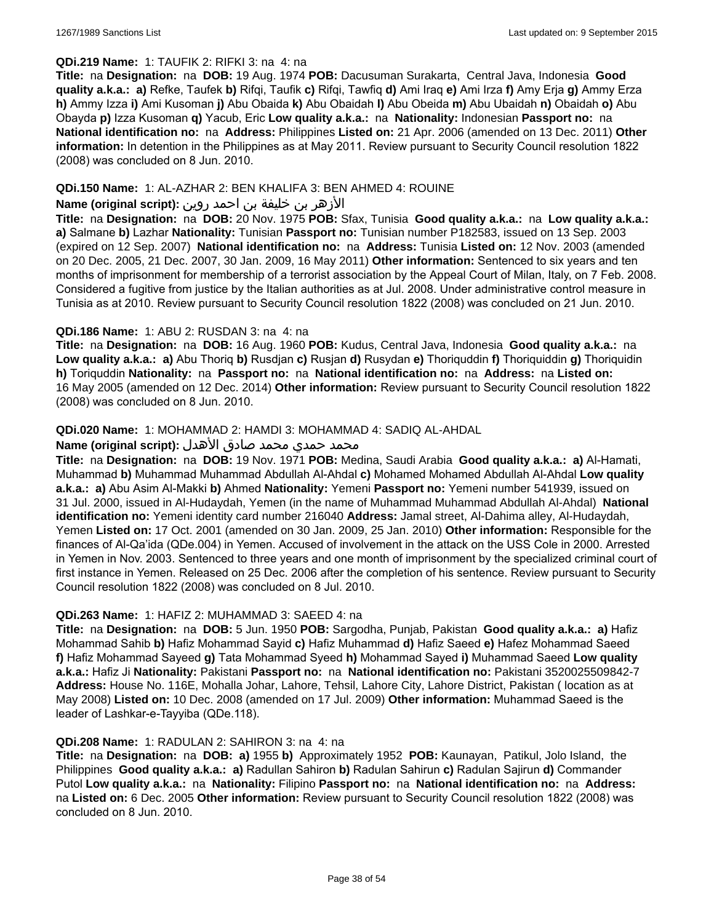# **QDi.219 Name:** 1: TAUFIK 2: RIFKI 3: na 4: na

**Title:** na **Designation:** na **DOB:** 19 Aug. 1974 **POB:** Dacusuman Surakarta, Central Java, Indonesia **Good quality a.k.a.: a)** Refke, Taufek **b)** Rifqi, Taufik **c)** Rifqi, Tawfiq **d)** Ami Iraq **e)** Ami Irza **f)** Amy Erja **g)** Ammy Erza **h)** Ammy Izza **i)** Ami Kusoman **j)** Abu Obaida **k)** Abu Obaidah **l)** Abu Obeida **m)** Abu Ubaidah **n)** Obaidah **o)** Abu Obayda **p)** Izza Kusoman **q)** Yacub, Eric **Low quality a.k.a.:** na **Nationality:** Indonesian **Passport no:** na **National identification no:** na **Address:** Philippines **Listed on:** 21 Apr. 2006 (amended on 13 Dec. 2011) **Other information:** In detention in the Philippines as at May 2011. Review pursuant to Security Council resolution 1822 (2008) was concluded on 8 Jun. 2010.

### **QDi.150 Name:** 1: AL-AZHAR 2: BEN KHALIFA 3: BEN AHMED 4: ROUINE

### الأزهر بن خليفة بن احمد روين **:(script original (Name**

**Title:** na **Designation:** na **DOB:** 20 Nov. 1975 **POB:** Sfax, Tunisia **Good quality a.k.a.:** na **Low quality a.k.a.: a)** Salmane **b)** Lazhar **Nationality:** Tunisian **Passport no:** Tunisian number P182583, issued on 13 Sep. 2003 (expired on 12 Sep. 2007) **National identification no:** na **Address:** Tunisia **Listed on:** 12 Nov. 2003 (amended on 20 Dec. 2005, 21 Dec. 2007, 30 Jan. 2009, 16 May 2011) **Other information:** Sentenced to six years and ten months of imprisonment for membership of a terrorist association by the Appeal Court of Milan, Italy, on 7 Feb. 2008. Considered a fugitive from justice by the Italian authorities as at Jul. 2008. Under administrative control measure in Tunisia as at 2010. Review pursuant to Security Council resolution 1822 (2008) was concluded on 21 Jun. 2010.

### **QDi.186 Name:** 1: ABU 2: RUSDAN 3: na 4: na

**Title:** na **Designation:** na **DOB:** 16 Aug. 1960 **POB:** Kudus, Central Java, Indonesia **Good quality a.k.a.:** na **Low quality a.k.a.: a)** Abu Thoriq **b)** Rusdjan **c)** Rusjan **d)** Rusydan **e)** Thoriquddin **f)** Thoriquiddin **g)** Thoriquidin **h)** Toriquddin **Nationality:** na **Passport no:** na **National identification no:** na **Address:** na **Listed on:** 16 May 2005 (amended on 12 Dec. 2014) **Other information:** Review pursuant to Security Council resolution 1822 (2008) was concluded on 8 Jun. 2010.

# **QDi.020 Name:** 1: MOHAMMAD 2: HAMDI 3: MOHAMMAD 4: SADIQ AL-AHDAL

# محمد حمدي محمد صادق الأهدل **:Name (original script)**

**Title:** na **Designation:** na **DOB:** 19 Nov. 1971 **POB:** Medina, Saudi Arabia **Good quality a.k.a.: a)** Al-Hamati, Muhammad **b)** Muhammad Muhammad Abdullah Al-Ahdal **c)** Mohamed Mohamed Abdullah Al-Ahdal **Low quality a.k.a.: a)** Abu Asim Al-Makki **b)** Ahmed **Nationality:** Yemeni **Passport no:** Yemeni number 541939, issued on 31 Jul. 2000, issued in Al-Hudaydah, Yemen (in the name of Muhammad Muhammad Abdullah Al-Ahdal) **National identification no:** Yemeni identity card number 216040 **Address:** Jamal street, Al-Dahima alley, Al-Hudaydah, Yemen **Listed on:** 17 Oct. 2001 (amended on 30 Jan. 2009, 25 Jan. 2010) **Other information:** Responsible for the finances of Al-Qa'ida (QDe.004) in Yemen. Accused of involvement in the attack on the USS Cole in 2000. Arrested in Yemen in Nov. 2003. Sentenced to three years and one month of imprisonment by the specialized criminal court of first instance in Yemen. Released on 25 Dec. 2006 after the completion of his sentence. Review pursuant to Security Council resolution 1822 (2008) was concluded on 8 Jul. 2010.

#### **QDi.263 Name:** 1: HAFIZ 2: MUHAMMAD 3: SAEED 4: na

**Title:** na **Designation:** na **DOB:** 5 Jun. 1950 **POB:** Sargodha, Punjab, Pakistan **Good quality a.k.a.: a)** Hafiz Mohammad Sahib **b)** Hafiz Mohammad Sayid **c)** Hafiz Muhammad **d)** Hafiz Saeed **e)** Hafez Mohammad Saeed **f)** Hafiz Mohammad Sayeed **g)** Tata Mohammad Syeed **h)** Mohammad Sayed **i)** Muhammad Saeed **Low quality a.k.a.:** Hafiz Ji **Nationality:** Pakistani **Passport no:** na **National identification no:** Pakistani 3520025509842-7 **Address:** House No. 116E, Mohalla Johar, Lahore, Tehsil, Lahore City, Lahore District, Pakistan ( location as at May 2008) **Listed on:** 10 Dec. 2008 (amended on 17 Jul. 2009) **Other information:** Muhammad Saeed is the leader of Lashkar-e-Tayyiba (QDe.118).

#### **QDi.208 Name:** 1: RADULAN 2: SAHIRON 3: na 4: na

**Title:** na **Designation:** na **DOB: a)** 1955 **b)** Approximately 1952 **POB:** Kaunayan, Patikul, Jolo Island, the Philippines **Good quality a.k.a.: a)** Radullan Sahiron **b)** Radulan Sahirun **c)** Radulan Sajirun **d)** Commander Putol **Low quality a.k.a.:** na **Nationality:** Filipino **Passport no:** na **National identification no:** na **Address:**  na **Listed on:** 6 Dec. 2005 **Other information:** Review pursuant to Security Council resolution 1822 (2008) was concluded on 8 Jun. 2010.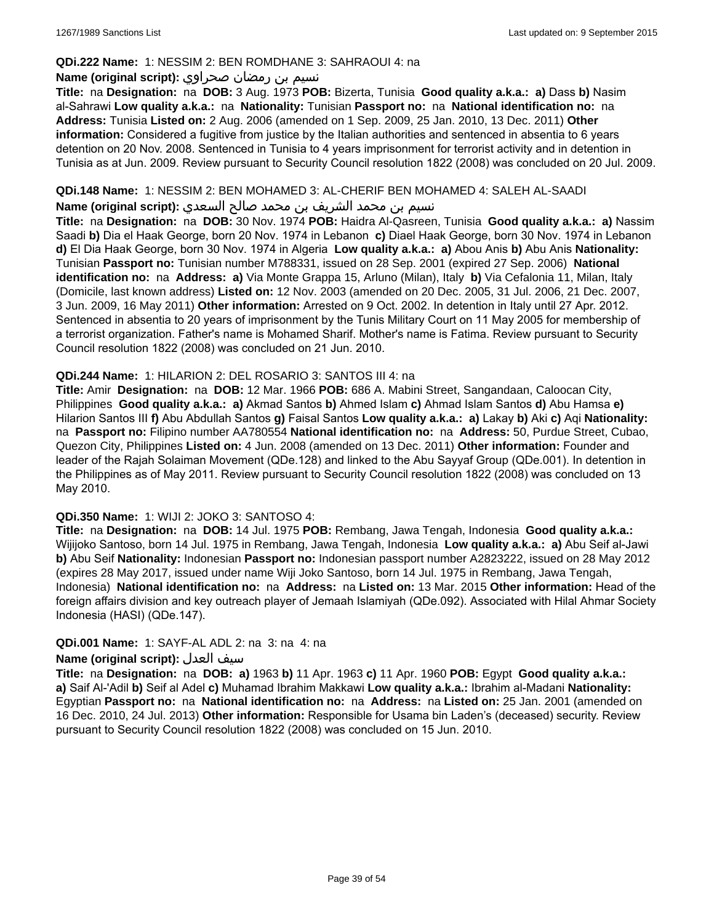### **QDi.222 Name:** 1: NESSIM 2: BEN ROMDHANE 3: SAHRAOUI 4: na

### نسيم بن رمضان صحراوي **:(script original (Name**

**Title:** na **Designation:** na **DOB:** 3 Aug. 1973 **POB:** Bizerta, Tunisia **Good quality a.k.a.: a)** Dass **b)** Nasim al-Sahrawi **Low quality a.k.a.:** na **Nationality:** Tunisian **Passport no:** na **National identification no:** na **Address:** Tunisia **Listed on:** 2 Aug. 2006 (amended on 1 Sep. 2009, 25 Jan. 2010, 13 Dec. 2011) **Other information:** Considered a fugitive from justice by the Italian authorities and sentenced in absentia to 6 years detention on 20 Nov. 2008. Sentenced in Tunisia to 4 years imprisonment for terrorist activity and in detention in Tunisia as at Jun. 2009. Review pursuant to Security Council resolution 1822 (2008) was concluded on 20 Jul. 2009.

### **QDi.148 Name:** 1: NESSIM 2: BEN MOHAMED 3: AL-CHERIF BEN MOHAMED 4: SALEH AL-SAADI

نسيم بن محمد الشريف بن محمد صالح السعدي **:(script original (Name**

**Title:** na **Designation:** na **DOB:** 30 Nov. 1974 **POB:** Haidra Al-Qasreen, Tunisia **Good quality a.k.a.: a)** Nassim Saadi **b)** Dia el Haak George, born 20 Nov. 1974 in Lebanon **c)** Diael Haak George, born 30 Nov. 1974 in Lebanon **d)** El Dia Haak George, born 30 Nov. 1974 in Algeria **Low quality a.k.a.: a)** Abou Anis **b)** Abu Anis **Nationality:** Tunisian **Passport no:** Tunisian number M788331, issued on 28 Sep. 2001 (expired 27 Sep. 2006) **National identification no:** na **Address: a)** Via Monte Grappa 15, Arluno (Milan), Italy **b)** Via Cefalonia 11, Milan, Italy (Domicile, last known address) **Listed on:** 12 Nov. 2003 (amended on 20 Dec. 2005, 31 Jul. 2006, 21 Dec. 2007, 3 Jun. 2009, 16 May 2011) **Other information:** Arrested on 9 Oct. 2002. In detention in Italy until 27 Apr. 2012. Sentenced in absentia to 20 years of imprisonment by the Tunis Military Court on 11 May 2005 for membership of a terrorist organization. Father's name is Mohamed Sharif. Mother's name is Fatima. Review pursuant to Security Council resolution 1822 (2008) was concluded on 21 Jun. 2010.

### **QDi.244 Name:** 1: HILARION 2: DEL ROSARIO 3: SANTOS III 4: na

**Title:** Amir **Designation:** na **DOB:** 12 Mar. 1966 **POB:** 686 A. Mabini Street, Sangandaan, Caloocan City, Philippines **Good quality a.k.a.: a)** Akmad Santos **b)** Ahmed Islam **c)** Ahmad Islam Santos **d)** Abu Hamsa **e)** Hilarion Santos III **f)** Abu Abdullah Santos **g)** Faisal Santos **Low quality a.k.a.: a)** Lakay **b)** Aki **c)** Aqi **Nationality:**  na **Passport no:** Filipino number AA780554 **National identification no:** na **Address:** 50, Purdue Street, Cubao, Quezon City, Philippines **Listed on:** 4 Jun. 2008 (amended on 13 Dec. 2011) **Other information:** Founder and leader of the Rajah Solaiman Movement (QDe.128) and linked to the Abu Sayyaf Group (QDe.001). In detention in the Philippines as of May 2011. Review pursuant to Security Council resolution 1822 (2008) was concluded on 13 May 2010.

# **QDi.350 Name:** 1: WIJI 2: JOKO 3: SANTOSO 4:

**Title:** na **Designation:** na **DOB:** 14 Jul. 1975 **POB:** Rembang, Jawa Tengah, Indonesia **Good quality a.k.a.:** Wijijoko Santoso, born 14 Jul. 1975 in Rembang, Jawa Tengah, Indonesia **Low quality a.k.a.: a)** Abu Seif al-Jawi **b)** Abu Seif **Nationality:** Indonesian **Passport no:** Indonesian passport number A2823222, issued on 28 May 2012 (expires 28 May 2017, issued under name Wiji Joko Santoso, born 14 Jul. 1975 in Rembang, Jawa Tengah, Indonesia) **National identification no:** na **Address:** na **Listed on:** 13 Mar. 2015 **Other information:** Head of the foreign affairs division and key outreach player of Jemaah Islamiyah (QDe.092). Associated with Hilal Ahmar Society Indonesia (HASI) (QDe.147).

# **QDi.001 Name:** 1: SAYF-AL ADL 2: na 3: na 4: na

#### **Name (original script):** العدل سيف

**Title:** na **Designation:** na **DOB: a)** 1963 **b)** 11 Apr. 1963 **c)** 11 Apr. 1960 **POB:** Egypt **Good quality a.k.a.: a)** Saif Al-'Adil **b)** Seif al Adel **c)** Muhamad Ibrahim Makkawi **Low quality a.k.a.:** Ibrahim al-Madani **Nationality:** Egyptian **Passport no:** na **National identification no:** na **Address:** na **Listed on:** 25 Jan. 2001 (amended on 16 Dec. 2010, 24 Jul. 2013) **Other information:** Responsible for Usama bin Laden's (deceased) security. Review pursuant to Security Council resolution 1822 (2008) was concluded on 15 Jun. 2010.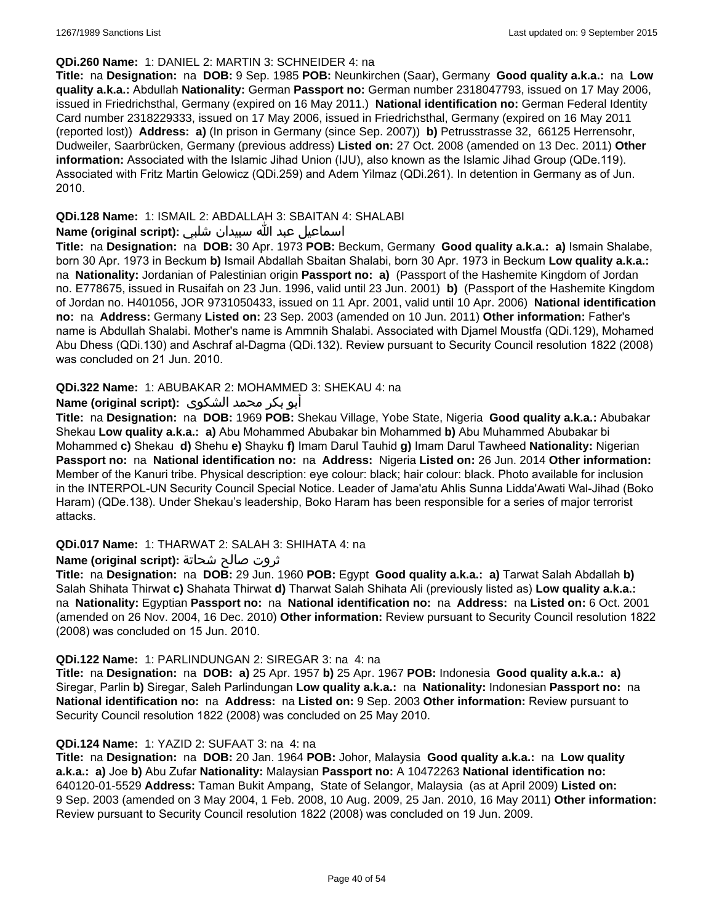### **QDi.260 Name:** 1: DANIEL 2: MARTIN 3: SCHNEIDER 4: na

**Title:** na **Designation:** na **DOB:** 9 Sep. 1985 **POB:** Neunkirchen (Saar), Germany **Good quality a.k.a.:** na **Low quality a.k.a.:** Abdullah **Nationality:** German **Passport no:** German number 2318047793, issued on 17 May 2006, issued in Friedrichsthal, Germany (expired on 16 May 2011.) **National identification no:** German Federal Identity Card number 2318229333, issued on 17 May 2006, issued in Friedrichsthal, Germany (expired on 16 May 2011 (reported lost)) **Address: a)** (In prison in Germany (since Sep. 2007)) **b)** Petrusstrasse 32, 66125 Herrensohr, Dudweiler, Saarbrücken, Germany (previous address) **Listed on:** 27 Oct. 2008 (amended on 13 Dec. 2011) **Other information:** Associated with the Islamic Jihad Union (IJU), also known as the Islamic Jihad Group (QDe.119). Associated with Fritz Martin Gelowicz (QDi.259) and Adem Yilmaz (QDi.261). In detention in Germany as of Jun. 2010.

## **QDi.128 Name:** 1: ISMAIL 2: ABDALLAH 3: SBAITAN 4: SHALABI

### اسماعيل عبد الله سبيدان شلبي **:(script original (Name**

**Title:** na **Designation:** na **DOB:** 30 Apr. 1973 **POB:** Beckum, Germany **Good quality a.k.a.: a)** Ismain Shalabe, born 30 Apr. 1973 in Beckum **b)** Ismail Abdallah Sbaitan Shalabi, born 30 Apr. 1973 in Beckum **Low quality a.k.a.:**  na **Nationality:** Jordanian of Palestinian origin **Passport no: a)** (Passport of the Hashemite Kingdom of Jordan no. E778675, issued in Rusaifah on 23 Jun. 1996, valid until 23 Jun. 2001) **b)** (Passport of the Hashemite Kingdom of Jordan no. H401056, JOR 9731050433, issued on 11 Apr. 2001, valid until 10 Apr. 2006) **National identification no:** na **Address:** Germany **Listed on:** 23 Sep. 2003 (amended on 10 Jun. 2011) **Other information:** Father's name is Abdullah Shalabi. Mother's name is Ammnih Shalabi. Associated with Djamel Moustfa (QDi.129), Mohamed Abu Dhess (QDi.130) and Aschraf al-Dagma (QDi.132). Review pursuant to Security Council resolution 1822 (2008) was concluded on 21 Jun. 2010.

### **QDi.322 Name:** 1: ABUBAKAR 2: MOHAMMED 3: SHEKAU 4: na

# أبو بكر محمد الشكوى **:(script original (Name**

**Title:** na **Designation:** na **DOB:** 1969 **POB:** Shekau Village, Yobe State, Nigeria **Good quality a.k.a.:** Abubakar Shekau **Low quality a.k.a.: a)** Abu Mohammed Abubakar bin Mohammed **b)** Abu Muhammed Abubakar bi Mohammed **c)** Shekau **d)** Shehu **e)** Shayku **f)** Imam Darul Tauhid **g)** Imam Darul Tawheed **Nationality:** Nigerian **Passport no:** na **National identification no:** na **Address:** Nigeria **Listed on:** 26 Jun. 2014 **Other information:** Member of the Kanuri tribe. Physical description: eye colour: black; hair colour: black. Photo available for inclusion in the INTERPOL-UN Security Council Special Notice. Leader of Jama'atu Ahlis Sunna Lidda'Awati Wal-Jihad (Boko Haram) (QDe.138). Under Shekau's leadership, Boko Haram has been responsible for a series of major terrorist attacks.

#### **QDi.017 Name:** 1: THARWAT 2: SALAH 3: SHIHATA 4: na

# ثروت صالح شحاتة **:(script original (Name**

**Title:** na **Designation:** na **DOB:** 29 Jun. 1960 **POB:** Egypt **Good quality a.k.a.: a)** Tarwat Salah Abdallah **b)** Salah Shihata Thirwat **c)** Shahata Thirwat **d)** Tharwat Salah Shihata Ali (previously listed as) **Low quality a.k.a.:**  na **Nationality:** Egyptian **Passport no:** na **National identification no:** na **Address:** na **Listed on:** 6 Oct. 2001 (amended on 26 Nov. 2004, 16 Dec. 2010) **Other information:** Review pursuant to Security Council resolution 1822 (2008) was concluded on 15 Jun. 2010.

#### **QDi.122 Name:** 1: PARLINDUNGAN 2: SIREGAR 3: na 4: na

**Title:** na **Designation:** na **DOB: a)** 25 Apr. 1957 **b)** 25 Apr. 1967 **POB:** Indonesia **Good quality a.k.a.: a)** Siregar, Parlin **b)** Siregar, Saleh Parlindungan **Low quality a.k.a.:** na **Nationality:** Indonesian **Passport no:** na **National identification no:** na **Address:** na **Listed on:** 9 Sep. 2003 **Other information:** Review pursuant to Security Council resolution 1822 (2008) was concluded on 25 May 2010.

# **QDi.124 Name:** 1: YAZID 2: SUFAAT 3: na 4: na

**Title:** na **Designation:** na **DOB:** 20 Jan. 1964 **POB:** Johor, Malaysia **Good quality a.k.a.:** na **Low quality a.k.a.: a)** Joe **b)** Abu Zufar **Nationality:** Malaysian **Passport no:** A 10472263 **National identification no:** 640120-01-5529 **Address:** Taman Bukit Ampang, State of Selangor, Malaysia (as at April 2009) **Listed on:** 9 Sep. 2003 (amended on 3 May 2004, 1 Feb. 2008, 10 Aug. 2009, 25 Jan. 2010, 16 May 2011) **Other information:** Review pursuant to Security Council resolution 1822 (2008) was concluded on 19 Jun. 2009.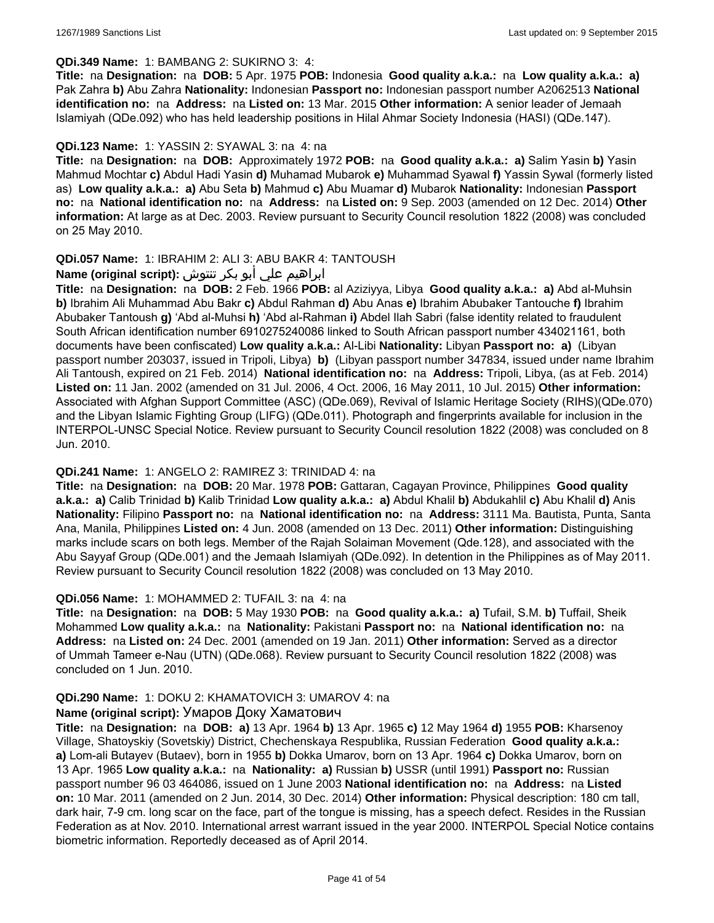### **QDi.349 Name:** 1: BAMBANG 2: SUKIRNO 3: 4:

**Title:** na **Designation:** na **DOB:** 5 Apr. 1975 **POB:** Indonesia **Good quality a.k.a.:** na **Low quality a.k.a.: a)** Pak Zahra **b)** Abu Zahra **Nationality:** Indonesian **Passport no:** Indonesian passport number A2062513 **National identification no:** na **Address:** na **Listed on:** 13 Mar. 2015 **Other information:** A senior leader of Jemaah Islamiyah (QDe.092) who has held leadership positions in Hilal Ahmar Society Indonesia (HASI) (QDe.147).

### **QDi.123 Name:** 1: YASSIN 2: SYAWAL 3: na 4: na

**Title:** na **Designation:** na **DOB:** Approximately 1972 **POB:** na **Good quality a.k.a.: a)** Salim Yasin **b)** Yasin Mahmud Mochtar **c)** Abdul Hadi Yasin **d)** Muhamad Mubarok **e)** Muhammad Syawal **f)** Yassin Sywal (formerly listed as) **Low quality a.k.a.: a)** Abu Seta **b)** Mahmud **c)** Abu Muamar **d)** Mubarok **Nationality:** Indonesian **Passport no:** na **National identification no:** na **Address:** na **Listed on:** 9 Sep. 2003 (amended on 12 Dec. 2014) **Other information:** At large as at Dec. 2003. Review pursuant to Security Council resolution 1822 (2008) was concluded on 25 May 2010.

### **QDi.057 Name:** 1: IBRAHIM 2: ALI 3: ABU BAKR 4: TANTOUSH

# ابراهيم علي أبو بكر تنتوش **:(script original (Name**

**Title:** na **Designation:** na **DOB:** 2 Feb. 1966 **POB:** al Aziziyya, Libya **Good quality a.k.a.: a)** Abd al-Muhsin **b)** Ibrahim Ali Muhammad Abu Bakr **c)** Abdul Rahman **d)** Abu Anas **e)** Ibrahim Abubaker Tantouche **f)** Ibrahim Abubaker Tantoush **g)** 'Abd al-Muhsi **h)** 'Abd al-Rahman **i)** Abdel Ilah Sabri (false identity related to fraudulent South African identification number 6910275240086 linked to South African passport number 434021161, both documents have been confiscated) **Low quality a.k.a.:** Al-Libi **Nationality:** Libyan **Passport no: a)** (Libyan passport number 203037, issued in Tripoli, Libya) **b)** (Libyan passport number 347834, issued under name Ibrahim Ali Tantoush, expired on 21 Feb. 2014) **National identification no:** na **Address:** Tripoli, Libya, (as at Feb. 2014) **Listed on:** 11 Jan. 2002 (amended on 31 Jul. 2006, 4 Oct. 2006, 16 May 2011, 10 Jul. 2015) **Other information:** Associated with Afghan Support Committee (ASC) (QDe.069), Revival of Islamic Heritage Society (RIHS)(QDe.070) and the Libyan Islamic Fighting Group (LIFG) (QDe.011). Photograph and fingerprints available for inclusion in the INTERPOL-UNSC Special Notice. Review pursuant to Security Council resolution 1822 (2008) was concluded on 8 Jun. 2010.

#### **QDi.241 Name:** 1: ANGELO 2: RAMIREZ 3: TRINIDAD 4: na

**Title:** na **Designation:** na **DOB:** 20 Mar. 1978 **POB:** Gattaran, Cagayan Province, Philippines **Good quality a.k.a.: a)** Calib Trinidad **b)** Kalib Trinidad **Low quality a.k.a.: a)** Abdul Khalil **b)** Abdukahlil **c)** Abu Khalil **d)** Anis **Nationality:** Filipino **Passport no:** na **National identification no:** na **Address:** 3111 Ma. Bautista, Punta, Santa Ana, Manila, Philippines **Listed on:** 4 Jun. 2008 (amended on 13 Dec. 2011) **Other information:** Distinguishing marks include scars on both legs. Member of the Rajah Solaiman Movement (Qde.128), and associated with the Abu Sayyaf Group (QDe.001) and the Jemaah Islamiyah (QDe.092). In detention in the Philippines as of May 2011. Review pursuant to Security Council resolution 1822 (2008) was concluded on 13 May 2010.

#### **QDi.056 Name:** 1: MOHAMMED 2: TUFAIL 3: na 4: na

**Title:** na **Designation:** na **DOB:** 5 May 1930 **POB:** na **Good quality a.k.a.: a)** Tufail, S.M. **b)** Tuffail, Sheik Mohammed **Low quality a.k.a.:** na **Nationality:** Pakistani **Passport no:** na **National identification no:** na **Address:** na **Listed on:** 24 Dec. 2001 (amended on 19 Jan. 2011) **Other information:** Served as a director of Ummah Tameer e-Nau (UTN) (QDe.068). Review pursuant to Security Council resolution 1822 (2008) was concluded on 1 Jun. 2010.

# **QDi.290 Name:** 1: DOKU 2: KHAMATOVICH 3: UMAROV 4: na

#### **Name (original script):** Умаров Доку Хаматович

**Title:** na **Designation:** na **DOB: a)** 13 Apr. 1964 **b)** 13 Apr. 1965 **c)** 12 May 1964 **d)** 1955 **POB:** Kharsenoy Village, Shatoyskiy (Sovetskiy) District, Chechenskaya Respublika, Russian Federation **Good quality a.k.a.: a)** Lom-ali Butayev (Butaev), born in 1955 **b)** Dokka Umarov, born on 13 Apr. 1964 **c)** Dokka Umarov, born on 13 Apr. 1965 **Low quality a.k.a.:** na **Nationality: a)** Russian **b)** USSR (until 1991) **Passport no:** Russian passport number 96 03 464086, issued on 1 June 2003 **National identification no:** na **Address:** na **Listed on:** 10 Mar. 2011 (amended on 2 Jun. 2014, 30 Dec. 2014) **Other information:** Physical description: 180 cm tall, dark hair, 7-9 cm. long scar on the face, part of the tongue is missing, has a speech defect. Resides in the Russian Federation as at Nov. 2010. International arrest warrant issued in the year 2000. INTERPOL Special Notice contains biometric information. Reportedly deceased as of April 2014.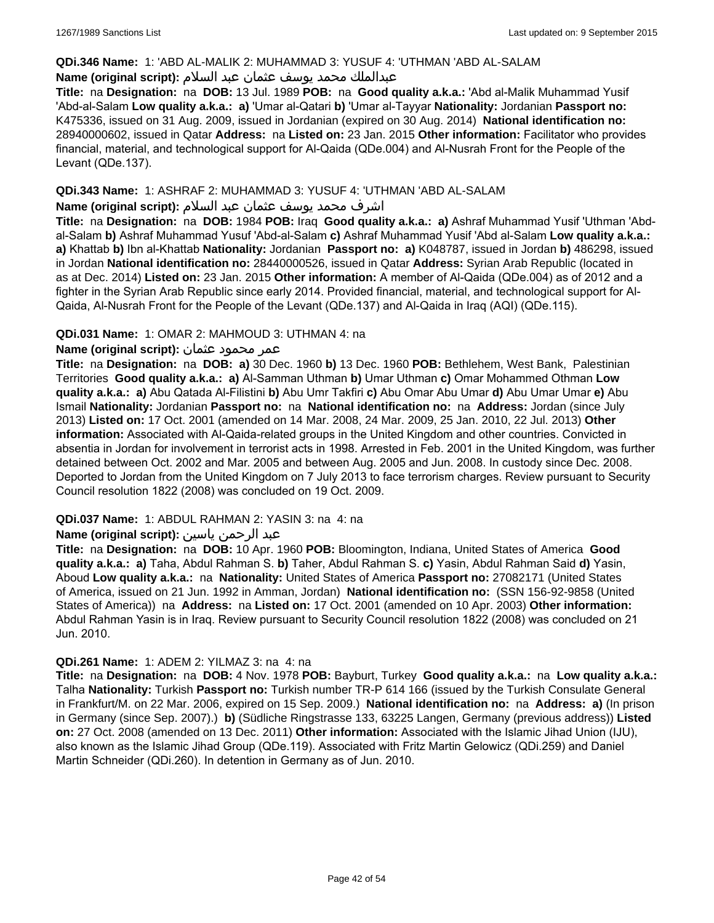### **QDi.346 Name:** 1: 'ABD AL-MALIK 2: MUHAMMAD 3: YUSUF 4: 'UTHMAN 'ABD AL-SALAM

### عبدالملك محمد يوسف عثمان عبد السلام **:(script original (Name**

**Title:** na **Designation:** na **DOB:** 13 Jul. 1989 **POB:** na **Good quality a.k.a.:** 'Abd al-Malik Muhammad Yusif 'Abd-al-Salam **Low quality a.k.a.: a)** 'Umar al-Qatari **b)** 'Umar al-Tayyar **Nationality:** Jordanian **Passport no:** K475336, issued on 31 Aug. 2009, issued in Jordanian (expired on 30 Aug. 2014) **National identification no:** 28940000602, issued in Qatar **Address:** na **Listed on:** 23 Jan. 2015 **Other information:** Facilitator who provides financial, material, and technological support for Al-Qaida (QDe.004) and Al-Nusrah Front for the People of the Levant (QDe.137).

### **QDi.343 Name:** 1: ASHRAF 2: MUHAMMAD 3: YUSUF 4: 'UTHMAN 'ABD AL-SALAM

### اشرف محمد يوسف عثمان عبد السلام **:(script original (Name**

**Title:** na **Designation:** na **DOB:** 1984 **POB:** Iraq **Good quality a.k.a.: a)** Ashraf Muhammad Yusif 'Uthman 'Abdal-Salam **b)** Ashraf Muhammad Yusuf 'Abd-al-Salam **c)** Ashraf Muhammad Yusif 'Abd al-Salam **Low quality a.k.a.: a)** Khattab **b)** Ibn al-Khattab **Nationality:** Jordanian **Passport no: a)** K048787, issued in Jordan **b)** 486298, issued in Jordan **National identification no:** 28440000526, issued in Qatar **Address:** Syrian Arab Republic (located in as at Dec. 2014) **Listed on:** 23 Jan. 2015 **Other information:** A member of Al-Qaida (QDe.004) as of 2012 and a fighter in the Syrian Arab Republic since early 2014. Provided financial, material, and technological support for Al-Qaida, Al-Nusrah Front for the People of the Levant (QDe.137) and Al-Qaida in Iraq (AQI) (QDe.115).

### **QDi.031 Name:** 1: OMAR 2: MAHMOUD 3: UTHMAN 4: na

### عمر محمود عثمان **:(script original (Name**

**Title:** na **Designation:** na **DOB: a)** 30 Dec. 1960 **b)** 13 Dec. 1960 **POB:** Bethlehem, West Bank, Palestinian Territories **Good quality a.k.a.: a)** Al-Samman Uthman **b)** Umar Uthman **c)** Omar Mohammed Othman **Low quality a.k.a.: a)** Abu Qatada Al-Filistini **b)** Abu Umr Takfiri **c)** Abu Omar Abu Umar **d)** Abu Umar Umar **e)** Abu Ismail **Nationality:** Jordanian **Passport no:** na **National identification no:** na **Address:** Jordan (since July 2013) **Listed on:** 17 Oct. 2001 (amended on 14 Mar. 2008, 24 Mar. 2009, 25 Jan. 2010, 22 Jul. 2013) **Other information:** Associated with Al-Qaida-related groups in the United Kingdom and other countries. Convicted in absentia in Jordan for involvement in terrorist acts in 1998. Arrested in Feb. 2001 in the United Kingdom, was further detained between Oct. 2002 and Mar. 2005 and between Aug. 2005 and Jun. 2008. In custody since Dec. 2008. Deported to Jordan from the United Kingdom on 7 July 2013 to face terrorism charges. Review pursuant to Security Council resolution 1822 (2008) was concluded on 19 Oct. 2009.

# **QDi.037 Name:** 1: ABDUL RAHMAN 2: YASIN 3: na 4: na

### عبد الرحمن ياسين **:(script original (Name**

**Title:** na **Designation:** na **DOB:** 10 Apr. 1960 **POB:** Bloomington, Indiana, United States of America **Good quality a.k.a.: a)** Taha, Abdul Rahman S. **b)** Taher, Abdul Rahman S. **c)** Yasin, Abdul Rahman Said **d)** Yasin, Aboud **Low quality a.k.a.:** na **Nationality:** United States of America **Passport no:** 27082171 (United States of America, issued on 21 Jun. 1992 in Amman, Jordan) **National identification no:** (SSN 156-92-9858 (United States of America)) na **Address:** na **Listed on:** 17 Oct. 2001 (amended on 10 Apr. 2003) **Other information:** Abdul Rahman Yasin is in Iraq. Review pursuant to Security Council resolution 1822 (2008) was concluded on 21 Jun. 2010.

#### **QDi.261 Name:** 1: ADEM 2: YILMAZ 3: na 4: na

**Title:** na **Designation:** na **DOB:** 4 Nov. 1978 **POB:** Bayburt, Turkey **Good quality a.k.a.:** na **Low quality a.k.a.:** Talha **Nationality:** Turkish **Passport no:** Turkish number TR-P 614 166 (issued by the Turkish Consulate General in Frankfurt/M. on 22 Mar. 2006, expired on 15 Sep. 2009.) **National identification no:** na **Address: a)** (In prison in Germany (since Sep. 2007).) **b)** (Südliche Ringstrasse 133, 63225 Langen, Germany (previous address)) **Listed on:** 27 Oct. 2008 (amended on 13 Dec. 2011) **Other information:** Associated with the Islamic Jihad Union (IJU), also known as the Islamic Jihad Group (QDe.119). Associated with Fritz Martin Gelowicz (QDi.259) and Daniel Martin Schneider (QDi.260). In detention in Germany as of Jun. 2010.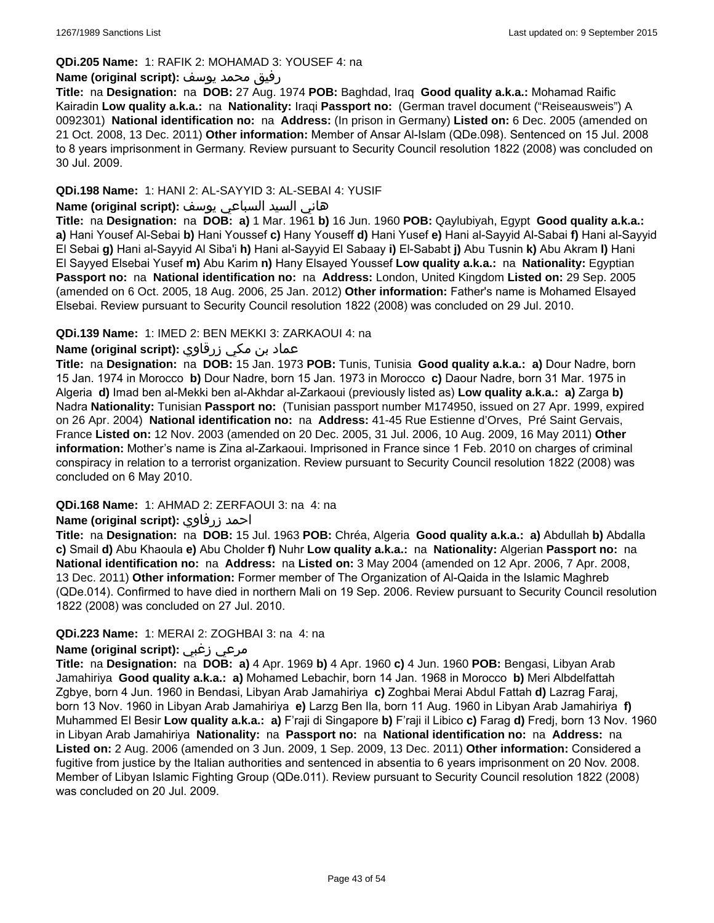### **QDi.205 Name:** 1: RAFIK 2: MOHAMAD 3: YOUSEF 4: na

### رفيق محمد يوسف **:(script original (Name**

**Title:** na **Designation:** na **DOB:** 27 Aug. 1974 **POB:** Baghdad, Iraq **Good quality a.k.a.:** Mohamad Raific Kairadin **Low quality a.k.a.:** na **Nationality:** Iraqi **Passport no:** (German travel document ("Reiseausweis") A 0092301) **National identification no:** na **Address:** (In prison in Germany) **Listed on:** 6 Dec. 2005 (amended on 21 Oct. 2008, 13 Dec. 2011) **Other information:** Member of Ansar Al-Islam (QDe.098). Sentenced on 15 Jul. 2008 to 8 years imprisonment in Germany. Review pursuant to Security Council resolution 1822 (2008) was concluded on 30 Jul. 2009.

### **QDi.198 Name:** 1: HANI 2: AL-SAYYID 3: AL-SEBAI 4: YUSIF

# هاني السيد السباعي يوسف **:(script original (Name**

**Title:** na **Designation:** na **DOB: a)** 1 Mar. 1961 **b)** 16 Jun. 1960 **POB:** Qaylubiyah, Egypt **Good quality a.k.a.: a)** Hani Yousef Al-Sebai **b)** Hani Youssef **c)** Hany Youseff **d)** Hani Yusef **e)** Hani al-Sayyid Al-Sabai **f)** Hani al-Sayyid El Sebai **g)** Hani al-Sayyid Al Siba'i **h)** Hani al-Sayyid El Sabaay **i)** El-Sababt **j)** Abu Tusnin **k)** Abu Akram **l)** Hani El Sayyed Elsebai Yusef **m)** Abu Karim **n)** Hany Elsayed Youssef **Low quality a.k.a.:** na **Nationality:** Egyptian **Passport no:** na **National identification no:** na **Address:** London, United Kingdom **Listed on:** 29 Sep. 2005 (amended on 6 Oct. 2005, 18 Aug. 2006, 25 Jan. 2012) **Other information:** Father's name is Mohamed Elsayed Elsebai. Review pursuant to Security Council resolution 1822 (2008) was concluded on 29 Jul. 2010.

### **QDi.139 Name:** 1: IMED 2: BEN MEKKI 3: ZARKAOUI 4: na

# عماد بن مكي زرقاوي **:(script original (Name**

**Title:** na **Designation:** na **DOB:** 15 Jan. 1973 **POB:** Tunis, Tunisia **Good quality a.k.a.: a)** Dour Nadre, born 15 Jan. 1974 in Morocco **b)** Dour Nadre, born 15 Jan. 1973 in Morocco **c)** Daour Nadre, born 31 Mar. 1975 in Algeria **d)** Imad ben al-Mekki ben al-Akhdar al-Zarkaoui (previously listed as) **Low quality a.k.a.: a)** Zarga **b)** Nadra **Nationality:** Tunisian **Passport no:** (Tunisian passport number M174950, issued on 27 Apr. 1999, expired on 26 Apr. 2004) **National identification no:** na **Address:** 41-45 Rue Estienne d'Orves, Pré Saint Gervais, France **Listed on:** 12 Nov. 2003 (amended on 20 Dec. 2005, 31 Jul. 2006, 10 Aug. 2009, 16 May 2011) **Other information:** Mother's name is Zina al-Zarkaoui. Imprisoned in France since 1 Feb. 2010 on charges of criminal conspiracy in relation to a terrorist organization. Review pursuant to Security Council resolution 1822 (2008) was concluded on 6 May 2010.

#### **QDi.168 Name:** 1: AHMAD 2: ZERFAOUI 3: na 4: na

# **Name (original script):** زرفاوي احمد

**Title:** na **Designation:** na **DOB:** 15 Jul. 1963 **POB:** Chréa, Algeria **Good quality a.k.a.: a)** Abdullah **b)** Abdalla **c)** Smail **d)** Abu Khaoula **e)** Abu Cholder **f)** Nuhr **Low quality a.k.a.:** na **Nationality:** Algerian **Passport no:** na **National identification no:** na **Address:** na **Listed on:** 3 May 2004 (amended on 12 Apr. 2006, 7 Apr. 2008, 13 Dec. 2011) **Other information:** Former member of The Organization of Al-Qaida in the Islamic Maghreb (QDe.014). Confirmed to have died in northern Mali on 19 Sep. 2006. Review pursuant to Security Council resolution 1822 (2008) was concluded on 27 Jul. 2010.

#### **QDi.223 Name:** 1: MERAI 2: ZOGHBAI 3: na 4: na

## **Name (original script):** زغبي مرعي

**Title:** na **Designation:** na **DOB: a)** 4 Apr. 1969 **b)** 4 Apr. 1960 **c)** 4 Jun. 1960 **POB:** Bengasi, Libyan Arab Jamahiriya **Good quality a.k.a.: a)** Mohamed Lebachir, born 14 Jan. 1968 in Morocco **b)** Meri Albdelfattah Zgbye, born 4 Jun. 1960 in Bendasi, Libyan Arab Jamahiriya **c)** Zoghbai Merai Abdul Fattah **d)** Lazrag Faraj, born 13 Nov. 1960 in Libyan Arab Jamahiriya **e)** Larzg Ben Ila, born 11 Aug. 1960 in Libyan Arab Jamahiriya **f)** Muhammed El Besir **Low quality a.k.a.: a)** F'raji di Singapore **b)** F'raji il Libico **c)** Farag **d)** Fredj, born 13 Nov. 1960 in Libyan Arab Jamahiriya **Nationality:** na **Passport no:** na **National identification no:** na **Address:** na **Listed on:** 2 Aug. 2006 (amended on 3 Jun. 2009, 1 Sep. 2009, 13 Dec. 2011) **Other information:** Considered a fugitive from justice by the Italian authorities and sentenced in absentia to 6 years imprisonment on 20 Nov. 2008. Member of Libyan Islamic Fighting Group (QDe.011). Review pursuant to Security Council resolution 1822 (2008) was concluded on 20 Jul. 2009.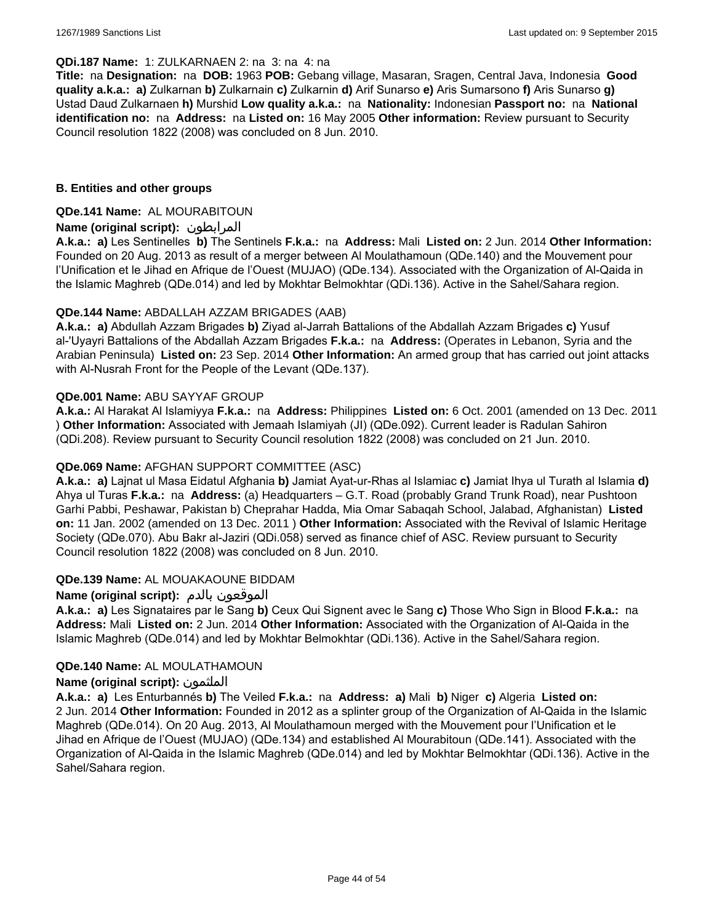#### **QDi.187 Name:** 1: ZULKARNAEN 2: na 3: na 4: na

**Title:** na **Designation:** na **DOB:** 1963 **POB:** Gebang village, Masaran, Sragen, Central Java, Indonesia **Good quality a.k.a.: a)** Zulkarnan **b)** Zulkarnain **c)** Zulkarnin **d)** Arif Sunarso **e)** Aris Sumarsono **f)** Aris Sunarso **g)** Ustad Daud Zulkarnaen **h)** Murshid **Low quality a.k.a.:** na **Nationality:** Indonesian **Passport no:** na **National identification no:** na **Address:** na **Listed on:** 16 May 2005 **Other information:** Review pursuant to Security Council resolution 1822 (2008) was concluded on 8 Jun. 2010.

### **B. Entities and other groups**

### **QDe.141 Name:** AL MOURABITOUN

### **Name (original script):** المرابطون

**A.k.a.: a)** Les Sentinelles **b)** The Sentinels **F.k.a.:** na **Address:** Mali **Listed on:** 2 Jun. 2014 **Other Information:**  Founded on 20 Aug. 2013 as result of a merger between Al Moulathamoun (QDe.140) and the Mouvement pour l'Unification et le Jihad en Afrique de l'Ouest (MUJAO) (QDe.134). Associated with the Organization of Al-Qaida in the Islamic Maghreb (QDe.014) and led by Mokhtar Belmokhtar (QDi.136). Active in the Sahel/Sahara region.

### **QDe.144 Name:** ABDALLAH AZZAM BRIGADES (AAB)

**A.k.a.: a)** Abdullah Azzam Brigades **b)** Ziyad al-Jarrah Battalions of the Abdallah Azzam Brigades **c)** Yusuf al-'Uyayri Battalions of the Abdallah Azzam Brigades **F.k.a.:** na **Address:** (Operates in Lebanon, Syria and the Arabian Peninsula) **Listed on:** 23 Sep. 2014 **Other Information:** An armed group that has carried out joint attacks with Al-Nusrah Front for the People of the Levant (QDe.137).

### **QDe.001 Name:** ABU SAYYAF GROUP

**A.k.a.:** Al Harakat Al Islamiyya **F.k.a.:** na **Address:** Philippines **Listed on:** 6 Oct. 2001 (amended on 13 Dec. 2011 ) **Other Information:** Associated with Jemaah Islamiyah (JI) (QDe.092). Current leader is Radulan Sahiron (QDi.208). Review pursuant to Security Council resolution 1822 (2008) was concluded on 21 Jun. 2010.

## **QDe.069 Name:** AFGHAN SUPPORT COMMITTEE (ASC)

**A.k.a.: a)** Lajnat ul Masa Eidatul Afghania **b)** Jamiat Ayat-ur-Rhas al Islamiac **c)** Jamiat Ihya ul Turath al Islamia **d)** Ahya ul Turas **F.k.a.:** na **Address:** (a) Headquarters – G.T. Road (probably Grand Trunk Road), near Pushtoon Garhi Pabbi, Peshawar, Pakistan b) Cheprahar Hadda, Mia Omar Sabaqah School, Jalabad, Afghanistan) **Listed on:** 11 Jan. 2002 (amended on 13 Dec. 2011 ) **Other Information:** Associated with the Revival of Islamic Heritage Society (QDe.070). Abu Bakr al-Jaziri (QDi.058) served as finance chief of ASC. Review pursuant to Security Council resolution 1822 (2008) was concluded on 8 Jun. 2010.

#### **QDe.139 Name:** AL MOUAKAOUNE BIDDAM

# **Name (original script):** بالدم الموقعون

**A.k.a.: a)** Les Signataires par le Sang **b)** Ceux Qui Signent avec le Sang **c)** Those Who Sign in Blood **F.k.a.:** na **Address:** Mali **Listed on:** 2 Jun. 2014 **Other Information:** Associated with the Organization of Al-Qaida in the Islamic Maghreb (QDe.014) and led by Mokhtar Belmokhtar (QDi.136). Active in the Sahel/Sahara region.

#### **QDe.140 Name:** AL MOULATHAMOUN

#### **Name (original script):** الملثمون

**A.k.a.: a)** Les Enturbannés **b)** The Veiled **F.k.a.:** na **Address: a)** Mali **b)** Niger **c)** Algeria **Listed on:** 2 Jun. 2014 **Other Information:** Founded in 2012 as a splinter group of the Organization of Al-Qaida in the Islamic Maghreb (QDe.014). On 20 Aug. 2013, Al Moulathamoun merged with the Mouvement pour l'Unification et le Jihad en Afrique de l'Ouest (MUJAO) (QDe.134) and established Al Mourabitoun (QDe.141). Associated with the Organization of Al-Qaida in the Islamic Maghreb (QDe.014) and led by Mokhtar Belmokhtar (QDi.136). Active in the Sahel/Sahara region.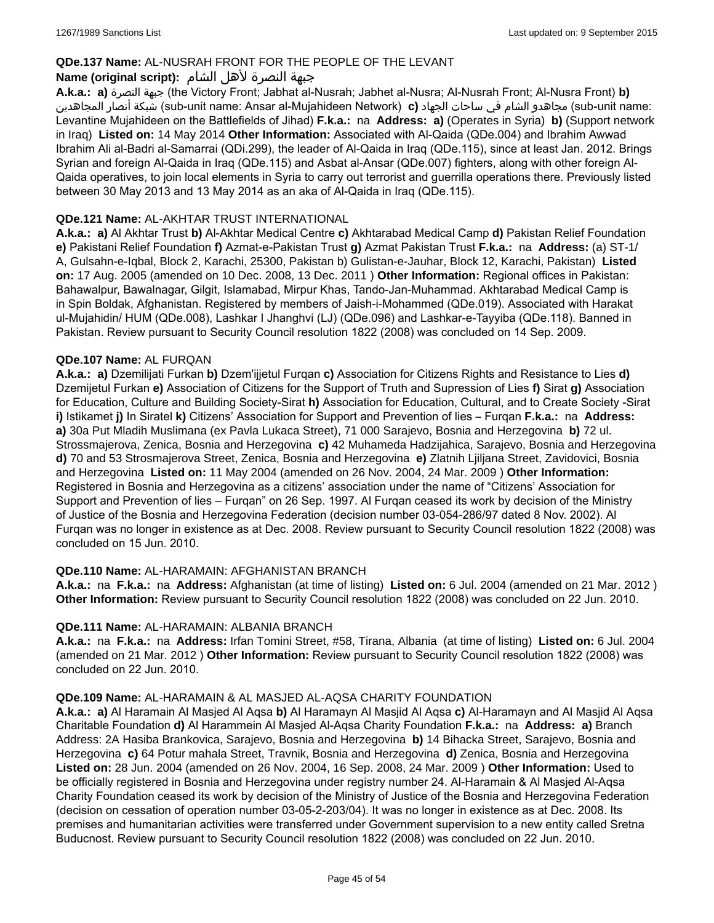# **QDe.137 Name:** AL-NUSRAH FRONT FOR THE PEOPLE OF THE LEVANT

# جبهة النصرة لأهل الشام **:(script original (Name**

**A.k.a.: a)** النصرة جبهة) the Victory Front; Jabhat al-Nusrah; Jabhet al-Nusra; Al-Nusrah Front; Al-Nusra Front) **b)**  المجاهدين أنصار شبكة) sub-unit name: Ansar al-Mujahideen Network) **c)** الجهاد ساحات في الشام مجاهدو) sub-unit name: Levantine Mujahideen on the Battlefields of Jihad) **F.k.a.:** na **Address: a)** (Operates in Syria) **b)** (Support network in Iraq) **Listed on:** 14 May 2014 **Other Information:** Associated with Al-Qaida (QDe.004) and Ibrahim Awwad Ibrahim Ali al-Badri al-Samarrai (QDi.299), the leader of Al-Qaida in Iraq (QDe.115), since at least Jan. 2012. Brings Syrian and foreign Al-Qaida in Iraq (QDe.115) and Asbat al-Ansar (QDe.007) fighters, along with other foreign Al-Qaida operatives, to join local elements in Syria to carry out terrorist and guerrilla operations there. Previously listed between 30 May 2013 and 13 May 2014 as an aka of Al-Qaida in Iraq (QDe.115).

## **QDe.121 Name:** AL-AKHTAR TRUST INTERNATIONAL

**A.k.a.: a)** Al Akhtar Trust **b)** Al-Akhtar Medical Centre **c)** Akhtarabad Medical Camp **d)** Pakistan Relief Foundation **e)** Pakistani Relief Foundation **f)** Azmat-e-Pakistan Trust **g)** Azmat Pakistan Trust **F.k.a.:** na **Address:** (a) ST-1/ A, Gulsahn-e-Iqbal, Block 2, Karachi, 25300, Pakistan b) Gulistan-e-Jauhar, Block 12, Karachi, Pakistan) **Listed on:** 17 Aug. 2005 (amended on 10 Dec. 2008, 13 Dec. 2011 ) **Other Information:** Regional offices in Pakistan: Bahawalpur, Bawalnagar, Gilgit, Islamabad, Mirpur Khas, Tando-Jan-Muhammad. Akhtarabad Medical Camp is in Spin Boldak, Afghanistan. Registered by members of Jaish-i-Mohammed (QDe.019). Associated with Harakat ul-Mujahidin/ HUM (QDe.008), Lashkar I Jhanghvi (LJ) (QDe.096) and Lashkar-e-Tayyiba (QDe.118). Banned in Pakistan. Review pursuant to Security Council resolution 1822 (2008) was concluded on 14 Sep. 2009.

### **QDe.107 Name:** AL FURQAN

**A.k.a.: a)** Dzemilijati Furkan **b)** Dzem'ijjetul Furqan **c)** Association for Citizens Rights and Resistance to Lies **d)** Dzemijetul Furkan **e)** Association of Citizens for the Support of Truth and Supression of Lies **f)** Sirat **g)** Association for Education, Culture and Building Society-Sirat **h)** Association for Education, Cultural, and to Create Society -Sirat **i)** Istikamet **j)** In Siratel **k)** Citizens' Association for Support and Prevention of lies – Furqan **F.k.a.:** na **Address: a)** 30a Put Mladih Muslimana (ex Pavla Lukaca Street), 71 000 Sarajevo, Bosnia and Herzegovina **b)** 72 ul. Strossmajerova, Zenica, Bosnia and Herzegovina **c)** 42 Muhameda Hadzijahica, Sarajevo, Bosnia and Herzegovina **d)** 70 and 53 Strosmajerova Street, Zenica, Bosnia and Herzegovina **e)** Zlatnih Ljiljana Street, Zavidovici, Bosnia and Herzegovina **Listed on:** 11 May 2004 (amended on 26 Nov. 2004, 24 Mar. 2009 ) **Other Information:** Registered in Bosnia and Herzegovina as a citizens' association under the name of "Citizens' Association for Support and Prevention of lies – Furqan" on 26 Sep. 1997. Al Furqan ceased its work by decision of the Ministry of Justice of the Bosnia and Herzegovina Federation (decision number 03-054-286/97 dated 8 Nov. 2002). Al Furqan was no longer in existence as at Dec. 2008. Review pursuant to Security Council resolution 1822 (2008) was concluded on 15 Jun. 2010.

# **QDe.110 Name:** AL-HARAMAIN: AFGHANISTAN BRANCH

**A.k.a.:** na **F.k.a.:** na **Address:** Afghanistan (at time of listing) **Listed on:** 6 Jul. 2004 (amended on 21 Mar. 2012 ) **Other Information:** Review pursuant to Security Council resolution 1822 (2008) was concluded on 22 Jun. 2010.

#### **QDe.111 Name:** AL-HARAMAIN: ALBANIA BRANCH

**A.k.a.:** na **F.k.a.:** na **Address:** Irfan Tomini Street, #58, Tirana, Albania (at time of listing) **Listed on:** 6 Jul. 2004 (amended on 21 Mar. 2012 ) **Other Information:** Review pursuant to Security Council resolution 1822 (2008) was concluded on 22 Jun. 2010.

#### **QDe.109 Name:** AL-HARAMAIN & AL MASJED AL-AQSA CHARITY FOUNDATION

**A.k.a.: a)** Al Haramain Al Masjed Al Aqsa **b)** Al Haramayn Al Masjid Al Aqsa **c)** Al-Haramayn and Al Masjid Al Aqsa Charitable Foundation **d)** Al Harammein Al Masjed Al-Aqsa Charity Foundation **F.k.a.:** na **Address: a)** Branch Address: 2A Hasiba Brankovica, Sarajevo, Bosnia and Herzegovina **b)** 14 Bihacka Street, Sarajevo, Bosnia and Herzegovina **c)** 64 Potur mahala Street, Travnik, Bosnia and Herzegovina **d)** Zenica, Bosnia and Herzegovina **Listed on:** 28 Jun. 2004 (amended on 26 Nov. 2004, 16 Sep. 2008, 24 Mar. 2009 ) **Other Information:** Used to be officially registered in Bosnia and Herzegovina under registry number 24. Al-Haramain & Al Masjed Al-Aqsa Charity Foundation ceased its work by decision of the Ministry of Justice of the Bosnia and Herzegovina Federation (decision on cessation of operation number 03-05-2-203/04). It was no longer in existence as at Dec. 2008. Its premises and humanitarian activities were transferred under Government supervision to a new entity called Sretna Buducnost. Review pursuant to Security Council resolution 1822 (2008) was concluded on 22 Jun. 2010.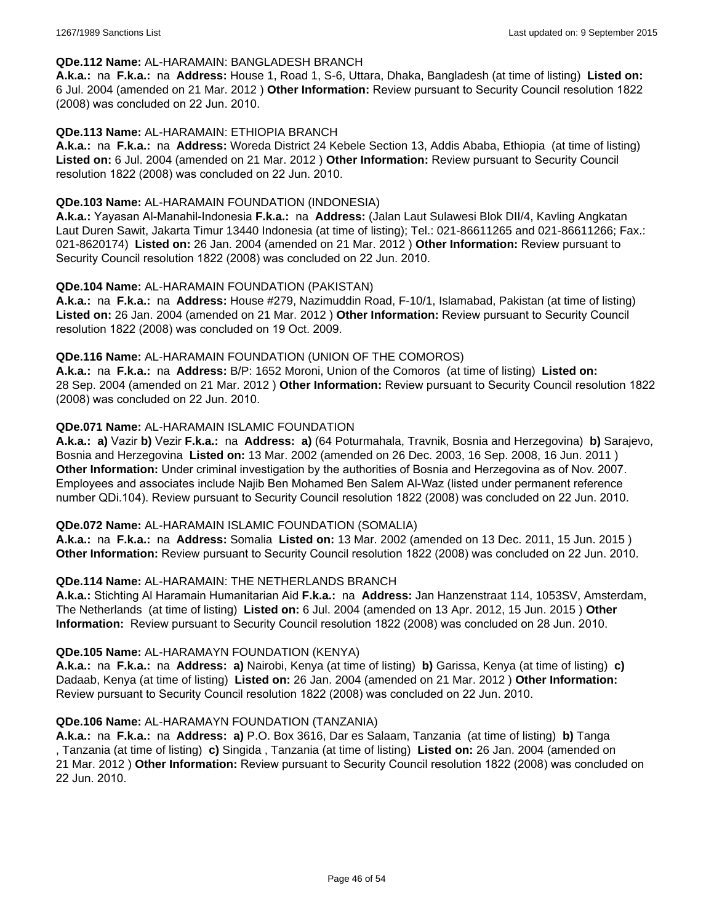#### **QDe.112 Name:** AL-HARAMAIN: BANGLADESH BRANCH

**A.k.a.:** na **F.k.a.:** na **Address:** House 1, Road 1, S-6, Uttara, Dhaka, Bangladesh (at time of listing) **Listed on:** 6 Jul. 2004 (amended on 21 Mar. 2012 ) **Other Information:** Review pursuant to Security Council resolution 1822 (2008) was concluded on 22 Jun. 2010.

### **QDe.113 Name:** AL-HARAMAIN: ETHIOPIA BRANCH

**A.k.a.:** na **F.k.a.:** na **Address:** Woreda District 24 Kebele Section 13, Addis Ababa, Ethiopia (at time of listing) **Listed on:** 6 Jul. 2004 (amended on 21 Mar. 2012 ) **Other Information:** Review pursuant to Security Council resolution 1822 (2008) was concluded on 22 Jun. 2010.

### **QDe.103 Name:** AL-HARAMAIN FOUNDATION (INDONESIA)

**A.k.a.:** Yayasan Al-Manahil-Indonesia **F.k.a.:** na **Address:** (Jalan Laut Sulawesi Blok DII/4, Kavling Angkatan Laut Duren Sawit, Jakarta Timur 13440 Indonesia (at time of listing); Tel.: 021-86611265 and 021-86611266; Fax.: 021-8620174) **Listed on:** 26 Jan. 2004 (amended on 21 Mar. 2012 ) **Other Information:** Review pursuant to Security Council resolution 1822 (2008) was concluded on 22 Jun. 2010.

### **QDe.104 Name:** AL-HARAMAIN FOUNDATION (PAKISTAN)

**A.k.a.:** na **F.k.a.:** na **Address:** House #279, Nazimuddin Road, F-10/1, Islamabad, Pakistan (at time of listing) **Listed on:** 26 Jan. 2004 (amended on 21 Mar. 2012 ) **Other Information:** Review pursuant to Security Council resolution 1822 (2008) was concluded on 19 Oct. 2009.

### **QDe.116 Name:** AL-HARAMAIN FOUNDATION (UNION OF THE COMOROS)

**A.k.a.:** na **F.k.a.:** na **Address:** B/P: 1652 Moroni, Union of the Comoros (at time of listing) **Listed on:** 28 Sep. 2004 (amended on 21 Mar. 2012 ) **Other Information:** Review pursuant to Security Council resolution 1822 (2008) was concluded on 22 Jun. 2010.

### **QDe.071 Name:** AL-HARAMAIN ISLAMIC FOUNDATION

**A.k.a.: a)** Vazir **b)** Vezir **F.k.a.:** na **Address: a)** (64 Poturmahala, Travnik, Bosnia and Herzegovina) **b)** Sarajevo, Bosnia and Herzegovina **Listed on:** 13 Mar. 2002 (amended on 26 Dec. 2003, 16 Sep. 2008, 16 Jun. 2011 ) **Other Information:** Under criminal investigation by the authorities of Bosnia and Herzegovina as of Nov. 2007. Employees and associates include Najib Ben Mohamed Ben Salem Al-Waz (listed under permanent reference number QDi.104). Review pursuant to Security Council resolution 1822 (2008) was concluded on 22 Jun. 2010.

#### **QDe.072 Name:** AL-HARAMAIN ISLAMIC FOUNDATION (SOMALIA)

**A.k.a.:** na **F.k.a.:** na **Address:** Somalia **Listed on:** 13 Mar. 2002 (amended on 13 Dec. 2011, 15 Jun. 2015 ) **Other Information:** Review pursuant to Security Council resolution 1822 (2008) was concluded on 22 Jun. 2010.

#### **QDe.114 Name:** AL-HARAMAIN: THE NETHERLANDS BRANCH

**A.k.a.:** Stichting Al Haramain Humanitarian Aid **F.k.a.:** na **Address:** Jan Hanzenstraat 114, 1053SV, Amsterdam, The Netherlands (at time of listing) **Listed on:** 6 Jul. 2004 (amended on 13 Apr. 2012, 15 Jun. 2015 ) **Other Information:** Review pursuant to Security Council resolution 1822 (2008) was concluded on 28 Jun. 2010.

#### **QDe.105 Name:** AL-HARAMAYN FOUNDATION (KENYA)

**A.k.a.:** na **F.k.a.:** na **Address: a)** Nairobi, Kenya (at time of listing) **b)** Garissa, Kenya (at time of listing) **c)** Dadaab, Kenya (at time of listing) **Listed on:** 26 Jan. 2004 (amended on 21 Mar. 2012 ) **Other Information:** Review pursuant to Security Council resolution 1822 (2008) was concluded on 22 Jun. 2010.

#### **QDe.106 Name:** AL-HARAMAYN FOUNDATION (TANZANIA)

**A.k.a.:** na **F.k.a.:** na **Address: a)** P.O. Box 3616, Dar es Salaam, Tanzania (at time of listing) **b)** Tanga , Tanzania (at time of listing) **c)** Singida , Tanzania (at time of listing) **Listed on:** 26 Jan. 2004 (amended on 21 Mar. 2012 ) **Other Information:** Review pursuant to Security Council resolution 1822 (2008) was concluded on 22 Jun. 2010.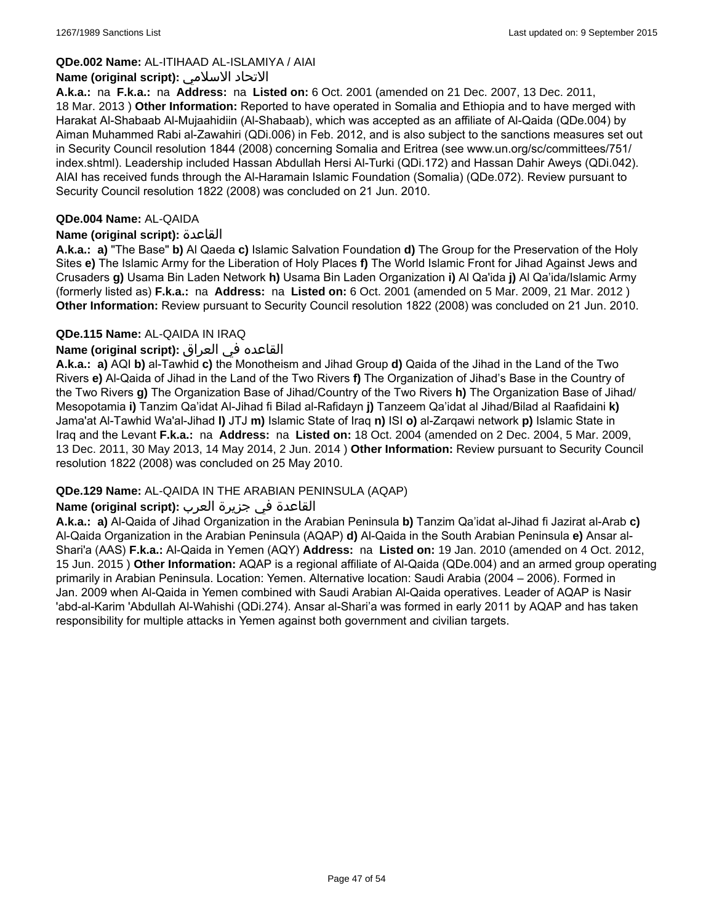## **QDe.002 Name:** AL-ITIHAAD AL-ISLAMIYA / AIAI

### **Name (original script):** الاسلامي الاتحاد

**A.k.a.:** na **F.k.a.:** na **Address:** na **Listed on:** 6 Oct. 2001 (amended on 21 Dec. 2007, 13 Dec. 2011, 18 Mar. 2013 ) **Other Information:** Reported to have operated in Somalia and Ethiopia and to have merged with Harakat Al-Shabaab Al-Mujaahidiin (Al-Shabaab), which was accepted as an affiliate of Al-Qaida (QDe.004) by Aiman Muhammed Rabi al-Zawahiri (QDi.006) in Feb. 2012, and is also subject to the sanctions measures set out in Security Council resolution 1844 (2008) concerning Somalia and Eritrea (see www.un.org/sc/committees/751/ index.shtml). Leadership included Hassan Abdullah Hersi Al-Turki (QDi.172) and Hassan Dahir Aweys (QDi.042). AIAI has received funds through the Al-Haramain Islamic Foundation (Somalia) (QDe.072). Review pursuant to Security Council resolution 1822 (2008) was concluded on 21 Jun. 2010.

### **QDe.004 Name:** AL-QAIDA

### **Name (original script):** القاعدة

**A.k.a.: a)** "The Base" **b)** Al Qaeda **c)** Islamic Salvation Foundation **d)** The Group for the Preservation of the Holy Sites **e)** The Islamic Army for the Liberation of Holy Places **f)** The World Islamic Front for Jihad Against Jews and Crusaders **g)** Usama Bin Laden Network **h)** Usama Bin Laden Organization **i)** Al Qa'ida **j)** Al Qa'ida/Islamic Army (formerly listed as) **F.k.a.:** na **Address:** na **Listed on:** 6 Oct. 2001 (amended on 5 Mar. 2009, 21 Mar. 2012 ) **Other Information:** Review pursuant to Security Council resolution 1822 (2008) was concluded on 21 Jun. 2010.

### **QDe.115 Name:** AL-QAIDA IN IRAQ

### القاعده في العراق **:(script original (Name**

**A.k.a.: a)** AQI **b)** al-Tawhid **c)** the Monotheism and Jihad Group **d)** Qaida of the Jihad in the Land of the Two Rivers **e)** Al-Qaida of Jihad in the Land of the Two Rivers **f)** The Organization of Jihad's Base in the Country of the Two Rivers **g)** The Organization Base of Jihad/Country of the Two Rivers **h)** The Organization Base of Jihad/ Mesopotamia **i)** Tanzim Qa'idat Al-Jihad fi Bilad al-Rafidayn **j)** Tanzeem Qa'idat al Jihad/Bilad al Raafidaini **k)** Jama'at Al-Tawhid Wa'al-Jihad **l)** JTJ **m)** Islamic State of Iraq **n)** ISI **o)** al-Zarqawi network **p)** Islamic State in Iraq and the Levant **F.k.a.:** na **Address:** na **Listed on:** 18 Oct. 2004 (amended on 2 Dec. 2004, 5 Mar. 2009, 13 Dec. 2011, 30 May 2013, 14 May 2014, 2 Jun. 2014 ) **Other Information:** Review pursuant to Security Council resolution 1822 (2008) was concluded on 25 May 2010.

# **QDe.129 Name:** AL-QAIDA IN THE ARABIAN PENINSULA (AQAP)

# القاعدة في جزيرة العرب **:(script original (Name**

**A.k.a.: a)** Al-Qaida of Jihad Organization in the Arabian Peninsula **b)** Tanzim Qa'idat al-Jihad fi Jazirat al-Arab **c)** Al-Qaida Organization in the Arabian Peninsula (AQAP) **d)** Al-Qaida in the South Arabian Peninsula **e)** Ansar al-Shari'a (AAS) **F.k.a.:** Al-Qaida in Yemen (AQY) **Address:** na **Listed on:** 19 Jan. 2010 (amended on 4 Oct. 2012, 15 Jun. 2015 ) **Other Information:** AQAP is a regional affiliate of Al-Qaida (QDe.004) and an armed group operating primarily in Arabian Peninsula. Location: Yemen. Alternative location: Saudi Arabia (2004 – 2006). Formed in Jan. 2009 when Al-Qaida in Yemen combined with Saudi Arabian Al-Qaida operatives. Leader of AQAP is Nasir 'abd-al-Karim 'Abdullah Al-Wahishi (QDi.274). Ansar al-Shari'a was formed in early 2011 by AQAP and has taken responsibility for multiple attacks in Yemen against both government and civilian targets.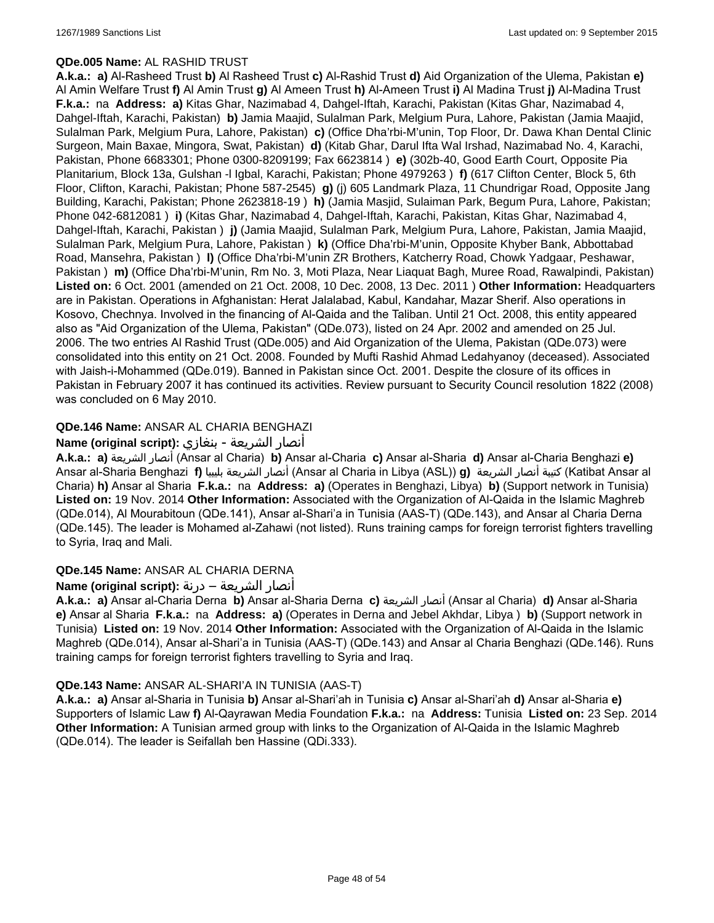### **QDe.005 Name:** AL RASHID TRUST

**A.k.a.: a)** Al-Rasheed Trust **b)** Al Rasheed Trust **c)** Al-Rashid Trust **d)** Aid Organization of the Ulema, Pakistan **e)** Al Amin Welfare Trust **f)** Al Amin Trust **g)** Al Ameen Trust **h)** Al-Ameen Trust **i)** Al Madina Trust **j)** Al-Madina Trust **F.k.a.:** na **Address: a)** Kitas Ghar, Nazimabad 4, Dahgel-Iftah, Karachi, Pakistan (Kitas Ghar, Nazimabad 4, Dahgel-Iftah, Karachi, Pakistan) **b)** Jamia Maajid, Sulalman Park, Melgium Pura, Lahore, Pakistan (Jamia Maajid, Sulalman Park, Melgium Pura, Lahore, Pakistan) **c)** (Office Dha'rbi-M'unin, Top Floor, Dr. Dawa Khan Dental Clinic Surgeon, Main Baxae, Mingora, Swat, Pakistan) **d)** (Kitab Ghar, Darul Ifta Wal Irshad, Nazimabad No. 4, Karachi, Pakistan, Phone 6683301; Phone 0300-8209199; Fax 6623814 ) **e)** (302b-40, Good Earth Court, Opposite Pia Planitarium, Block 13a, Gulshan -l Igbal, Karachi, Pakistan; Phone 4979263 ) **f)** (617 Clifton Center, Block 5, 6th Floor, Clifton, Karachi, Pakistan; Phone 587-2545) **g)** (j) 605 Landmark Plaza, 11 Chundrigar Road, Opposite Jang Building, Karachi, Pakistan; Phone 2623818-19 ) **h)** (Jamia Masjid, Sulaiman Park, Begum Pura, Lahore, Pakistan; Phone 042-6812081 ) **i)** (Kitas Ghar, Nazimabad 4, Dahgel-Iftah, Karachi, Pakistan, Kitas Ghar, Nazimabad 4, Dahgel-Iftah, Karachi, Pakistan ) **j)** (Jamia Maajid, Sulalman Park, Melgium Pura, Lahore, Pakistan, Jamia Maajid, Sulalman Park, Melgium Pura, Lahore, Pakistan ) **k)** (Office Dha'rbi-M'unin, Opposite Khyber Bank, Abbottabad Road, Mansehra, Pakistan ) **l)** (Office Dha'rbi-M'unin ZR Brothers, Katcherry Road, Chowk Yadgaar, Peshawar, Pakistan ) **m)** (Office Dha'rbi-M'unin, Rm No. 3, Moti Plaza, Near Liaquat Bagh, Muree Road, Rawalpindi, Pakistan) **Listed on:** 6 Oct. 2001 (amended on 21 Oct. 2008, 10 Dec. 2008, 13 Dec. 2011 ) **Other Information:** Headquarters are in Pakistan. Operations in Afghanistan: Herat Jalalabad, Kabul, Kandahar, Mazar Sherif. Also operations in Kosovo, Chechnya. Involved in the financing of Al-Qaida and the Taliban. Until 21 Oct. 2008, this entity appeared also as "Aid Organization of the Ulema, Pakistan" (QDe.073), listed on 24 Apr. 2002 and amended on 25 Jul. 2006. The two entries Al Rashid Trust (QDe.005) and Aid Organization of the Ulema, Pakistan (QDe.073) were consolidated into this entity on 21 Oct. 2008. Founded by Mufti Rashid Ahmad Ledahyanoy (deceased). Associated with Jaish-i-Mohammed (QDe.019). Banned in Pakistan since Oct. 2001. Despite the closure of its offices in Pakistan in February 2007 it has continued its activities. Review pursuant to Security Council resolution 1822 (2008) was concluded on 6 May 2010.

# **QDe.146 Name:** ANSAR AL CHARIA BENGHAZI

# أنصار الشريعة - بنغازي **:(script original (Name**

**A.k.a.: a)** الشريعة أنصار) Ansar al Charia) **b)** Ansar al-Charia **c)** Ansar al-Sharia **d)** Ansar al-Charia Benghazi **e)** Ansar al-Sharia Benghazi **f)** بليبيا الشريعة أنصار) Ansar al Charia in Libya (ASL)) **g)** الشريعة أنصار كتيبة) Katibat Ansar al Charia) **h)** Ansar al Sharia **F.k.a.:** na **Address: a)** (Operates in Benghazi, Libya) **b)** (Support network in Tunisia) **Listed on:** 19 Nov. 2014 **Other Information:** Associated with the Organization of Al-Qaida in the Islamic Maghreb (QDe.014), Al Mourabitoun (QDe.141), Ansar al-Shari'a in Tunisia (AAS-T) (QDe.143), and Ansar al Charia Derna (QDe.145). The leader is Mohamed al-Zahawi (not listed). Runs training camps for foreign terrorist fighters travelling to Syria, Iraq and Mali.

# **QDe.145 Name:** ANSAR AL CHARIA DERNA

# أنصار الشريعة – درنة **:(script original (Name**

**A.k.a.: a)** Ansar al-Charia Derna **b)** Ansar al-Sharia Derna **c)** الشريعة أنصار) Ansar al Charia) **d)** Ansar al-Sharia **e)** Ansar al Sharia **F.k.a.:** na **Address: a)** (Operates in Derna and Jebel Akhdar, Libya ) **b)** (Support network in Tunisia) **Listed on:** 19 Nov. 2014 **Other Information:** Associated with the Organization of Al-Qaida in the Islamic Maghreb (QDe.014), Ansar al-Shari'a in Tunisia (AAS-T) (QDe.143) and Ansar al Charia Benghazi (QDe.146). Runs training camps for foreign terrorist fighters travelling to Syria and Iraq.

# **QDe.143 Name:** ANSAR AL-SHARI'A IN TUNISIA (AAS-T)

**A.k.a.: a)** Ansar al-Sharia in Tunisia **b)** Ansar al-Shari'ah in Tunisia **c)** Ansar al-Shari'ah **d)** Ansar al-Sharia **e)** Supporters of Islamic Law **f)** Al-Qayrawan Media Foundation **F.k.a.:** na **Address:** Tunisia **Listed on:** 23 Sep. 2014 **Other Information:** A Tunisian armed group with links to the Organization of Al-Qaida in the Islamic Maghreb (QDe.014). The leader is Seifallah ben Hassine (QDi.333).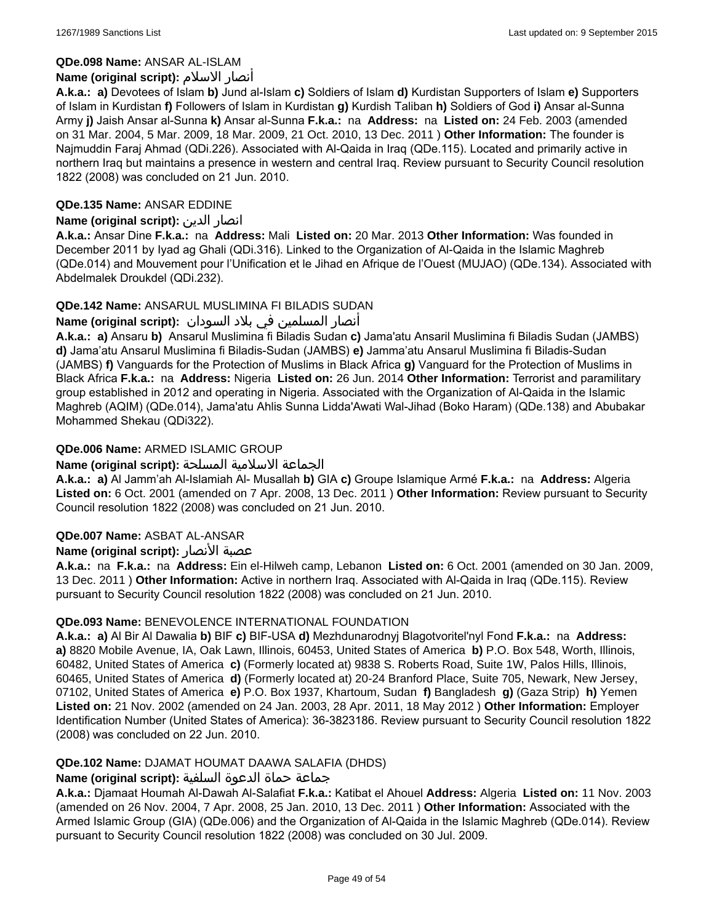# **QDe.098 Name:** ANSAR AL-ISLAM

# **Name (original script):** الاسلام أنصار

**A.k.a.: a)** Devotees of Islam **b)** Jund al-Islam **c)** Soldiers of Islam **d)** Kurdistan Supporters of Islam **e)** Supporters of Islam in Kurdistan **f)** Followers of Islam in Kurdistan **g)** Kurdish Taliban **h)** Soldiers of God **i)** Ansar al-Sunna Army **j)** Jaish Ansar al-Sunna **k)** Ansar al-Sunna **F.k.a.:** na **Address:** na **Listed on:** 24 Feb. 2003 (amended on 31 Mar. 2004, 5 Mar. 2009, 18 Mar. 2009, 21 Oct. 2010, 13 Dec. 2011 ) **Other Information:** The founder is Najmuddin Faraj Ahmad (QDi.226). Associated with Al-Qaida in Iraq (QDe.115). Located and primarily active in northern Iraq but maintains a presence in western and central Iraq. Review pursuant to Security Council resolution 1822 (2008) was concluded on 21 Jun. 2010.

# **QDe.135 Name:** ANSAR EDDINE

# **Name (original script):** الدين انصار

**A.k.a.:** Ansar Dine **F.k.a.:** na **Address:** Mali **Listed on:** 20 Mar. 2013 **Other Information:** Was founded in December 2011 by Iyad ag Ghali (QDi.316). Linked to the Organization of Al-Qaida in the Islamic Maghreb (QDe.014) and Mouvement pour l'Unification et le Jihad en Afrique de l'Ouest (MUJAO) (QDe.134). Associated with Abdelmalek Droukdel (QDi.232).

# **QDe.142 Name:** ANSARUL MUSLIMINA FI BILADIS SUDAN

# انصار المسلمین في بلاد السودان :**(Name (original script**

**A.k.a.: a)** Ansaru **b)** Ansarul Muslimina fi Biladis Sudan **c)** Jama'atu Ansaril Muslimina fi Biladis Sudan (JAMBS) **d)** Jama'atu Ansarul Muslimina fi Biladis-Sudan (JAMBS) **e)** Jamma'atu Ansarul Muslimina fi Biladis-Sudan (JAMBS) **f)** Vanguards for the Protection of Muslims in Black Africa **g)** Vanguard for the Protection of Muslims in Black Africa **F.k.a.:** na **Address:** Nigeria **Listed on:** 26 Jun. 2014 **Other Information:** Terrorist and paramilitary group established in 2012 and operating in Nigeria. Associated with the Organization of Al-Qaida in the Islamic Maghreb (AQIM) (QDe.014), Jama'atu Ahlis Sunna Lidda'Awati Wal-Jihad (Boko Haram) (QDe.138) and Abubakar Mohammed Shekau (QDi322).

# **QDe.006 Name:** ARMED ISLAMIC GROUP

# الجماعة الاسلامية المسلحة **:(script original (Name**

**A.k.a.: a)** Al Jamm'ah Al-Islamiah Al- Musallah **b)** GIA **c)** Groupe Islamique Armé **F.k.a.:** na **Address:** Algeria **Listed on:** 6 Oct. 2001 (amended on 7 Apr. 2008, 13 Dec. 2011 ) **Other Information:** Review pursuant to Security Council resolution 1822 (2008) was concluded on 21 Jun. 2010.

# **QDe.007 Name:** ASBAT AL-ANSAR

# **Name (original script):** الأنصار عصبة

**A.k.a.:** na **F.k.a.:** na **Address:** Ein el-Hilweh camp, Lebanon **Listed on:** 6 Oct. 2001 (amended on 30 Jan. 2009, 13 Dec. 2011 ) **Other Information:** Active in northern Iraq. Associated with Al-Qaida in Iraq (QDe.115). Review pursuant to Security Council resolution 1822 (2008) was concluded on 21 Jun. 2010.

# **QDe.093 Name:** BENEVOLENCE INTERNATIONAL FOUNDATION

**A.k.a.: a)** Al Bir Al Dawalia **b)** BIF **c)** BIF-USA **d)** Mezhdunarodnyj Blagotvoritel'nyl Fond **F.k.a.:** na **Address: a)** 8820 Mobile Avenue, IA, Oak Lawn, Illinois, 60453, United States of America **b)** P.O. Box 548, Worth, Illinois, 60482, United States of America **c)** (Formerly located at) 9838 S. Roberts Road, Suite 1W, Palos Hills, Illinois, 60465, United States of America **d)** (Formerly located at) 20-24 Branford Place, Suite 705, Newark, New Jersey, 07102, United States of America **e)** P.O. Box 1937, Khartoum, Sudan **f)** Bangladesh **g)** (Gaza Strip) **h)** Yemen **Listed on:** 21 Nov. 2002 (amended on 24 Jan. 2003, 28 Apr. 2011, 18 May 2012 ) **Other Information:** Employer Identification Number (United States of America): 36-3823186. Review pursuant to Security Council resolution 1822 (2008) was concluded on 22 Jun. 2010.

# **QDe.102 Name:** DJAMAT HOUMAT DAAWA SALAFIA (DHDS)

# جماعة حماة الدعوة السلفية **:(script original (Name**

**A.k.a.:** Djamaat Houmah Al-Dawah Al-Salafiat **F.k.a.:** Katibat el Ahouel **Address:** Algeria **Listed on:** 11 Nov. 2003 (amended on 26 Nov. 2004, 7 Apr. 2008, 25 Jan. 2010, 13 Dec. 2011 ) **Other Information:** Associated with the Armed Islamic Group (GIA) (QDe.006) and the Organization of Al-Qaida in the Islamic Maghreb (QDe.014). Review pursuant to Security Council resolution 1822 (2008) was concluded on 30 Jul. 2009.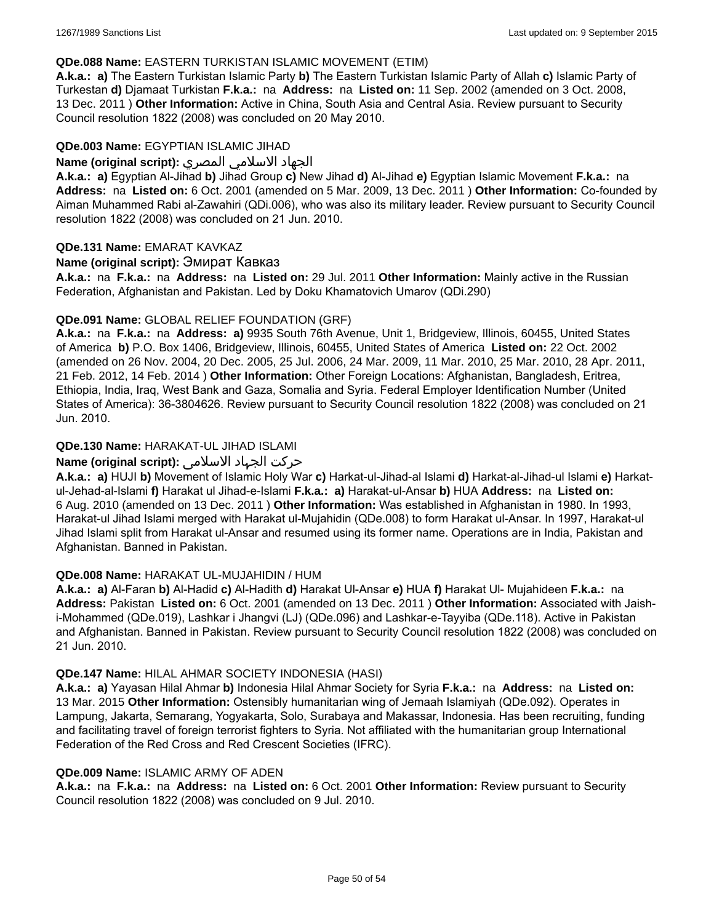### **QDe.088 Name:** EASTERN TURKISTAN ISLAMIC MOVEMENT (ETIM)

**A.k.a.: a)** The Eastern Turkistan Islamic Party **b)** The Eastern Turkistan Islamic Party of Allah **c)** Islamic Party of Turkestan **d)** Djamaat Turkistan **F.k.a.:** na **Address:** na **Listed on:** 11 Sep. 2002 (amended on 3 Oct. 2008, 13 Dec. 2011 ) **Other Information:** Active in China, South Asia and Central Asia. Review pursuant to Security Council resolution 1822 (2008) was concluded on 20 May 2010.

#### **QDe.003 Name:** EGYPTIAN ISLAMIC JIHAD

### الجهاد الاسلامي المصري **:(script original (Name**

**A.k.a.: a)** Egyptian Al-Jihad **b)** Jihad Group **c)** New Jihad **d)** Al-Jihad **e)** Egyptian Islamic Movement **F.k.a.:** na **Address:** na **Listed on:** 6 Oct. 2001 (amended on 5 Mar. 2009, 13 Dec. 2011 ) **Other Information:** Co-founded by Aiman Muhammed Rabi al-Zawahiri (QDi.006), who was also its military leader. Review pursuant to Security Council resolution 1822 (2008) was concluded on 21 Jun. 2010.

### **QDe.131 Name:** EMARAT KAVKAZ

### **Name (original script):** Эмират Кавказ

**A.k.a.:** na **F.k.a.:** na **Address:** na **Listed on:** 29 Jul. 2011 **Other Information:** Mainly active in the Russian Federation, Afghanistan and Pakistan. Led by Doku Khamatovich Umarov (QDi.290)

### **QDe.091 Name:** GLOBAL RELIEF FOUNDATION (GRF)

**A.k.a.:** na **F.k.a.:** na **Address: a)** 9935 South 76th Avenue, Unit 1, Bridgeview, Illinois, 60455, United States of America **b)** P.O. Box 1406, Bridgeview, Illinois, 60455, United States of America **Listed on:** 22 Oct. 2002 (amended on 26 Nov. 2004, 20 Dec. 2005, 25 Jul. 2006, 24 Mar. 2009, 11 Mar. 2010, 25 Mar. 2010, 28 Apr. 2011, 21 Feb. 2012, 14 Feb. 2014 ) **Other Information:** Other Foreign Locations: Afghanistan, Bangladesh, Eritrea, Ethiopia, India, Iraq, West Bank and Gaza, Somalia and Syria. Federal Employer Identification Number (United States of America): 36-3804626. Review pursuant to Security Council resolution 1822 (2008) was concluded on 21 Jun. 2010.

# **QDe.130 Name:** HARAKAT-UL JIHAD ISLAMI

# حرکت الجہاد الاسلامی **:(script original (Name**

**A.k.a.: a)** HUJI **b)** Movement of Islamic Holy War **c)** Harkat-ul-Jihad-al Islami **d)** Harkat-al-Jihad-ul Islami **e)** Harkatul-Jehad-al-Islami **f)** Harakat ul Jihad-e-Islami **F.k.a.: a)** Harakat-ul-Ansar **b)** HUA **Address:** na **Listed on:** 6 Aug. 2010 (amended on 13 Dec. 2011 ) **Other Information:** Was established in Afghanistan in 1980. In 1993, Harakat-ul Jihad Islami merged with Harakat ul-Mujahidin (QDe.008) to form Harakat ul-Ansar. In 1997, Harakat-ul Jihad Islami split from Harakat ul-Ansar and resumed using its former name. Operations are in India, Pakistan and Afghanistan. Banned in Pakistan.

#### **QDe.008 Name:** HARAKAT UL-MUJAHIDIN / HUM

**A.k.a.: a)** Al-Faran **b)** Al-Hadid **c)** Al-Hadith **d)** Harakat Ul-Ansar **e)** HUA **f)** Harakat Ul- Mujahideen **F.k.a.:** na **Address:** Pakistan **Listed on:** 6 Oct. 2001 (amended on 13 Dec. 2011 ) **Other Information:** Associated with Jaishi-Mohammed (QDe.019), Lashkar i Jhangvi (LJ) (QDe.096) and Lashkar-e-Tayyiba (QDe.118). Active in Pakistan and Afghanistan. Banned in Pakistan. Review pursuant to Security Council resolution 1822 (2008) was concluded on 21 Jun. 2010.

#### **QDe.147 Name:** HILAL AHMAR SOCIETY INDONESIA (HASI)

**A.k.a.: a)** Yayasan Hilal Ahmar **b)** Indonesia Hilal Ahmar Society for Syria **F.k.a.:** na **Address:** na **Listed on:** 13 Mar. 2015 **Other Information:** Ostensibly humanitarian wing of Jemaah Islamiyah (QDe.092). Operates in Lampung, Jakarta, Semarang, Yogyakarta, Solo, Surabaya and Makassar, Indonesia. Has been recruiting, funding and facilitating travel of foreign terrorist fighters to Syria. Not affiliated with the humanitarian group International Federation of the Red Cross and Red Crescent Societies (IFRC).

#### **QDe.009 Name:** ISLAMIC ARMY OF ADEN

**A.k.a.:** na **F.k.a.:** na **Address:** na **Listed on:** 6 Oct. 2001 **Other Information:** Review pursuant to Security Council resolution 1822 (2008) was concluded on 9 Jul. 2010.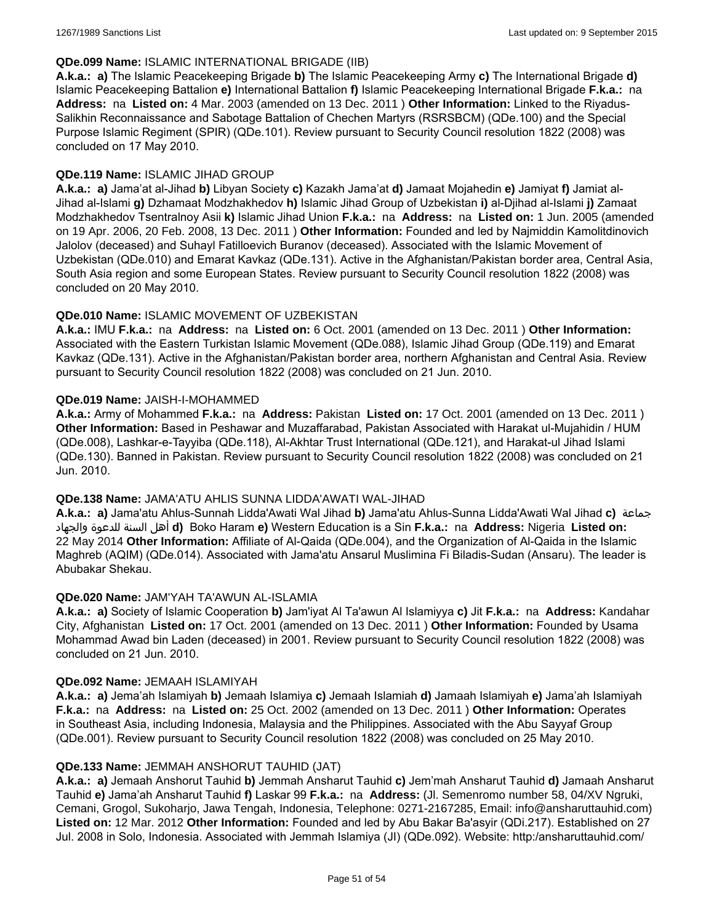### **QDe.099 Name:** ISLAMIC INTERNATIONAL BRIGADE (IIB)

**A.k.a.: a)** The Islamic Peacekeeping Brigade **b)** The Islamic Peacekeeping Army **c)** The International Brigade **d)** Islamic Peacekeeping Battalion **e)** International Battalion **f)** Islamic Peacekeeping International Brigade **F.k.a.:** na **Address:** na **Listed on:** 4 Mar. 2003 (amended on 13 Dec. 2011 ) **Other Information:** Linked to the Riyadus-Salikhin Reconnaissance and Sabotage Battalion of Chechen Martyrs (RSRSBCM) (QDe.100) and the Special Purpose Islamic Regiment (SPIR) (QDe.101). Review pursuant to Security Council resolution 1822 (2008) was concluded on 17 May 2010.

## **QDe.119 Name:** ISLAMIC JIHAD GROUP

**A.k.a.: a)** Jama'at al-Jihad **b)** Libyan Society **c)** Kazakh Jama'at **d)** Jamaat Mojahedin **e)** Jamiyat **f)** Jamiat al-Jihad al-Islami **g)** Dzhamaat Modzhakhedov **h)** Islamic Jihad Group of Uzbekistan **i)** al-Djihad al-Islami **j)** Zamaat Modzhakhedov Tsentralnoy Asii **k)** Islamic Jihad Union **F.k.a.:** na **Address:** na **Listed on:** 1 Jun. 2005 (amended on 19 Apr. 2006, 20 Feb. 2008, 13 Dec. 2011 ) **Other Information:** Founded and led by Najmiddin Kamolitdinovich Jalolov (deceased) and Suhayl Fatilloevich Buranov (deceased). Associated with the Islamic Movement of Uzbekistan (QDe.010) and Emarat Kavkaz (QDe.131). Active in the Afghanistan/Pakistan border area, Central Asia, South Asia region and some European States. Review pursuant to Security Council resolution 1822 (2008) was concluded on 20 May 2010.

### **QDe.010 Name:** ISLAMIC MOVEMENT OF UZBEKISTAN

**A.k.a.:** IMU **F.k.a.:** na **Address:** na **Listed on:** 6 Oct. 2001 (amended on 13 Dec. 2011 ) **Other Information:** Associated with the Eastern Turkistan Islamic Movement (QDe.088), Islamic Jihad Group (QDe.119) and Emarat Kavkaz (QDe.131). Active in the Afghanistan/Pakistan border area, northern Afghanistan and Central Asia. Review pursuant to Security Council resolution 1822 (2008) was concluded on 21 Jun. 2010.

### **QDe.019 Name:** JAISH-I-MOHAMMED

**A.k.a.:** Army of Mohammed **F.k.a.:** na **Address:** Pakistan **Listed on:** 17 Oct. 2001 (amended on 13 Dec. 2011 ) **Other Information:** Based in Peshawar and Muzaffarabad, Pakistan Associated with Harakat ul-Mujahidin / HUM (QDe.008), Lashkar-e-Tayyiba (QDe.118), Al-Akhtar Trust International (QDe.121), and Harakat-ul Jihad Islami (QDe.130). Banned in Pakistan. Review pursuant to Security Council resolution 1822 (2008) was concluded on 21 Jun. 2010.

#### **QDe.138 Name:** JAMA'ATU AHLIS SUNNA LIDDA'AWATI WAL-JIHAD

**A.k.a.: a)** Jama'atu Ahlus-Sunnah Lidda'Awati Wal Jihad **b)** Jama'atu Ahlus-Sunna Lidda'Awati Wal Jihad **c)** جماعة والجهاد للدعوة السنة أهل **d)** Boko Haram **e)** Western Education is a Sin **F.k.a.:** na **Address:** Nigeria **Listed on:** 22 May 2014 **Other Information:** Affiliate of Al-Qaida (QDe.004), and the Organization of Al-Qaida in the Islamic Maghreb (AQIM) (QDe.014). Associated with Jama'atu Ansarul Muslimina Fi Biladis-Sudan (Ansaru). The leader is Abubakar Shekau.

# **QDe.020 Name:** JAM'YAH TA'AWUN AL-ISLAMIA

**A.k.a.: a)** Society of Islamic Cooperation **b)** Jam'iyat Al Ta'awun Al Islamiyya **c)** Jit **F.k.a.:** na **Address:** Kandahar City, Afghanistan **Listed on:** 17 Oct. 2001 (amended on 13 Dec. 2011 ) **Other Information:** Founded by Usama Mohammad Awad bin Laden (deceased) in 2001. Review pursuant to Security Council resolution 1822 (2008) was concluded on 21 Jun. 2010.

#### **QDe.092 Name:** JEMAAH ISLAMIYAH

**A.k.a.: a)** Jema'ah Islamiyah **b)** Jemaah Islamiya **c)** Jemaah Islamiah **d)** Jamaah Islamiyah **e)** Jama'ah Islamiyah **F.k.a.:** na **Address:** na **Listed on:** 25 Oct. 2002 (amended on 13 Dec. 2011 ) **Other Information:** Operates in Southeast Asia, including Indonesia, Malaysia and the Philippines. Associated with the Abu Sayyaf Group (QDe.001). Review pursuant to Security Council resolution 1822 (2008) was concluded on 25 May 2010.

#### **QDe.133 Name:** JEMMAH ANSHORUT TAUHID (JAT)

**A.k.a.: a)** Jemaah Anshorut Tauhid **b)** Jemmah Ansharut Tauhid **c)** Jem'mah Ansharut Tauhid **d)** Jamaah Ansharut Tauhid **e)** Jama'ah Ansharut Tauhid **f)** Laskar 99 **F.k.a.:** na **Address:** (Jl. Semenromo number 58, 04/XV Ngruki, Cemani, Grogol, Sukoharjo, Jawa Tengah, Indonesia, Telephone: 0271-2167285, Email: info@ansharuttauhid.com) **Listed on:** 12 Mar. 2012 **Other Information:** Founded and led by Abu Bakar Ba'asyir (QDi.217). Established on 27 Jul. 2008 in Solo, Indonesia. Associated with Jemmah Islamiya (JI) (QDe.092). Website: http:/ansharuttauhid.com/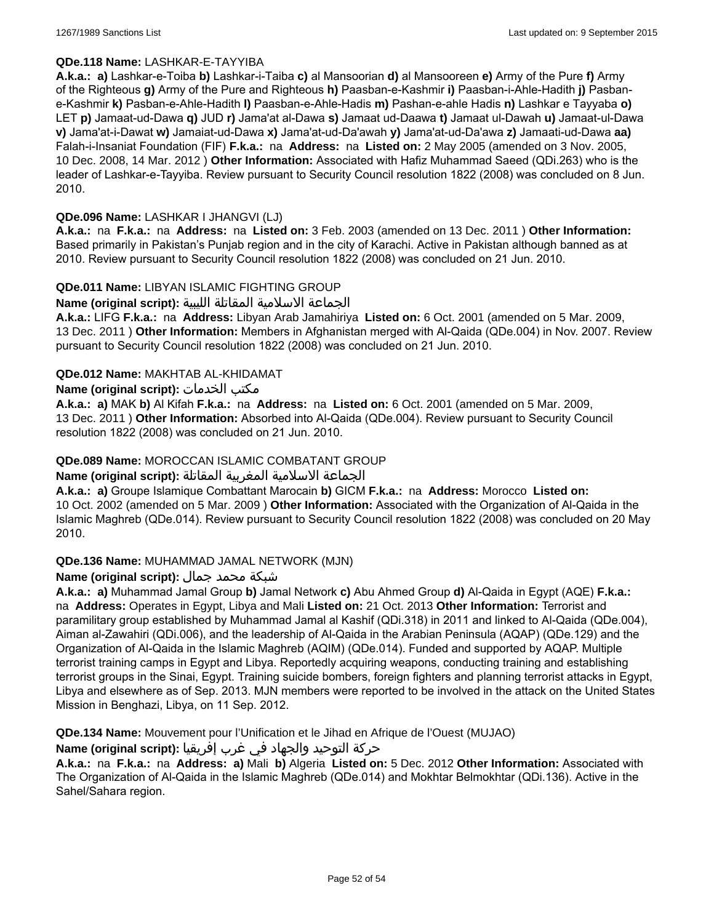### **QDe.118 Name:** LASHKAR-E-TAYYIBA

**A.k.a.: a)** Lashkar-e-Toiba **b)** Lashkar-i-Taiba **c)** al Mansoorian **d)** al Mansooreen **e)** Army of the Pure **f)** Army of the Righteous **g)** Army of the Pure and Righteous **h)** Paasban-e-Kashmir **i)** Paasban-i-Ahle-Hadith **j)** Pasbane-Kashmir **k)** Pasban-e-Ahle-Hadith **l)** Paasban-e-Ahle-Hadis **m)** Pashan-e-ahle Hadis **n)** Lashkar e Tayyaba **o)** LET **p)** Jamaat-ud-Dawa **q)** JUD **r)** Jama'at al-Dawa **s)** Jamaat ud-Daawa **t)** Jamaat ul-Dawah **u)** Jamaat-ul-Dawa **v)** Jama'at-i-Dawat **w)** Jamaiat-ud-Dawa **x)** Jama'at-ud-Da'awah **y)** Jama'at-ud-Da'awa **z)** Jamaati-ud-Dawa **aa)** Falah-i-Insaniat Foundation (FIF) **F.k.a.:** na **Address:** na **Listed on:** 2 May 2005 (amended on 3 Nov. 2005, 10 Dec. 2008, 14 Mar. 2012 ) **Other Information:** Associated with Hafiz Muhammad Saeed (QDi.263) who is the leader of Lashkar-e-Tayyiba. Review pursuant to Security Council resolution 1822 (2008) was concluded on 8 Jun. 2010.

### **QDe.096 Name:** LASHKAR I JHANGVI (LJ)

**A.k.a.:** na **F.k.a.:** na **Address:** na **Listed on:** 3 Feb. 2003 (amended on 13 Dec. 2011 ) **Other Information:** Based primarily in Pakistan's Punjab region and in the city of Karachi. Active in Pakistan although banned as at 2010. Review pursuant to Security Council resolution 1822 (2008) was concluded on 21 Jun. 2010.

### **QDe.011 Name:** LIBYAN ISLAMIC FIGHTING GROUP

الجماعة الاسلامية المقاتلة الليبية **:(script original (Name**

**A.k.a.:** LIFG **F.k.a.:** na **Address:** Libyan Arab Jamahiriya **Listed on:** 6 Oct. 2001 (amended on 5 Mar. 2009, 13 Dec. 2011 ) **Other Information:** Members in Afghanistan merged with Al-Qaida (QDe.004) in Nov. 2007. Review pursuant to Security Council resolution 1822 (2008) was concluded on 21 Jun. 2010.

### **QDe.012 Name:** MAKHTAB AL-KHIDAMAT

### **Name (original script):** الخدمات مكتب

**A.k.a.: a)** MAK **b)** Al Kifah **F.k.a.:** na **Address:** na **Listed on:** 6 Oct. 2001 (amended on 5 Mar. 2009, 13 Dec. 2011 ) **Other Information:** Absorbed into Al-Qaida (QDe.004). Review pursuant to Security Council resolution 1822 (2008) was concluded on 21 Jun. 2010.

### **QDe.089 Name:** MOROCCAN ISLAMIC COMBATANT GROUP

# الجماعة الاسلامية المغربية المقاتلة **:(script original (Name**

**A.k.a.: a)** Groupe Islamique Combattant Marocain **b)** GICM **F.k.a.:** na **Address:** Morocco **Listed on:** 10 Oct. 2002 (amended on 5 Mar. 2009 ) **Other Information:** Associated with the Organization of Al-Qaida in the Islamic Maghreb (QDe.014). Review pursuant to Security Council resolution 1822 (2008) was concluded on 20 May 2010.

#### **QDe.136 Name:** MUHAMMAD JAMAL NETWORK (MJN)

# شبكة محمد جمال **:(script original (Name**

**A.k.a.: a)** Muhammad Jamal Group **b)** Jamal Network **c)** Abu Ahmed Group **d)** Al-Qaida in Egypt (AQE) **F.k.a.:**  na **Address:** Operates in Egypt, Libya and Mali **Listed on:** 21 Oct. 2013 **Other Information:** Terrorist and paramilitary group established by Muhammad Jamal al Kashif (QDi.318) in 2011 and linked to Al-Qaida (QDe.004), Aiman al-Zawahiri (QDi.006), and the leadership of Al-Qaida in the Arabian Peninsula (AQAP) (QDe.129) and the Organization of Al-Qaida in the Islamic Maghreb (AQIM) (QDe.014). Funded and supported by AQAP. Multiple terrorist training camps in Egypt and Libya. Reportedly acquiring weapons, conducting training and establishing terrorist groups in the Sinai, Egypt. Training suicide bombers, foreign fighters and planning terrorist attacks in Egypt, Libya and elsewhere as of Sep. 2013. MJN members were reported to be involved in the attack on the United States Mission in Benghazi, Libya, on 11 Sep. 2012.

**QDe.134 Name:** Mouvement pour l'Unification et le Jihad en Afrique de l'Ouest (MUJAO)

### حركة التوحيد والجهاد في غرب إفريقيا **:Name (original script)**

**A.k.a.:** na **F.k.a.:** na **Address: a)** Mali **b)** Algeria **Listed on:** 5 Dec. 2012 **Other Information:** Associated with The Organization of Al-Qaida in the Islamic Maghreb (QDe.014) and Mokhtar Belmokhtar (QDi.136). Active in the Sahel/Sahara region.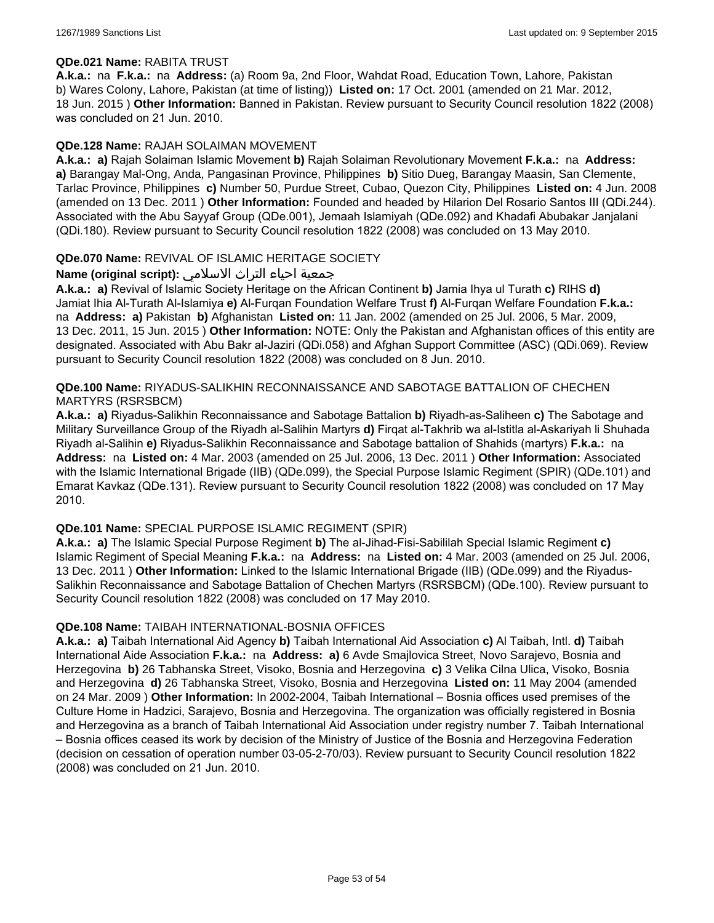### **QDe.021 Name:** RABITA TRUST

**A.k.a.:** na **F.k.a.:** na **Address:** (a) Room 9a, 2nd Floor, Wahdat Road, Education Town, Lahore, Pakistan b) Wares Colony, Lahore, Pakistan (at time of listing)) **Listed on:** 17 Oct. 2001 (amended on 21 Mar. 2012, 18 Jun. 2015 ) **Other Information:** Banned in Pakistan. Review pursuant to Security Council resolution 1822 (2008) was concluded on 21 Jun. 2010.

### **QDe.128 Name:** RAJAH SOLAIMAN MOVEMENT

**A.k.a.: a)** Rajah Solaiman Islamic Movement **b)** Rajah Solaiman Revolutionary Movement **F.k.a.:** na **Address: a)** Barangay Mal-Ong, Anda, Pangasinan Province, Philippines **b)** Sitio Dueg, Barangay Maasin, San Clemente, Tarlac Province, Philippines **c)** Number 50, Purdue Street, Cubao, Quezon City, Philippines **Listed on:** 4 Jun. 2008 (amended on 13 Dec. 2011 ) **Other Information:** Founded and headed by Hilarion Del Rosario Santos III (QDi.244). Associated with the Abu Sayyaf Group (QDe.001), Jemaah Islamiyah (QDe.092) and Khadafi Abubakar Janjalani (QDi.180). Review pursuant to Security Council resolution 1822 (2008) was concluded on 13 May 2010.

### **QDe.070 Name:** REVIVAL OF ISLAMIC HERITAGE SOCIETY

# جمعية احياء التراث الاسلامي **:(script original (Name**

**A.k.a.: a)** Revival of Islamic Society Heritage on the African Continent **b)** Jamia Ihya ul Turath **c)** RIHS **d)** Jamiat Ihia Al-Turath Al-Islamiya **e)** Al-Furqan Foundation Welfare Trust **f)** Al-Furqan Welfare Foundation **F.k.a.:**  na **Address: a)** Pakistan **b)** Afghanistan **Listed on:** 11 Jan. 2002 (amended on 25 Jul. 2006, 5 Mar. 2009, 13 Dec. 2011, 15 Jun. 2015 ) **Other Information:** NOTE: Only the Pakistan and Afghanistan offices of this entity are designated. Associated with Abu Bakr al-Jaziri (QDi.058) and Afghan Support Committee (ASC) (QDi.069). Review pursuant to Security Council resolution 1822 (2008) was concluded on 8 Jun. 2010.

## **QDe.100 Name:** RIYADUS-SALIKHIN RECONNAISSANCE AND SABOTAGE BATTALION OF CHECHEN MARTYRS (RSRSBCM)

**A.k.a.: a)** Riyadus-Salikhin Reconnaissance and Sabotage Battalion **b)** Riyadh-as-Saliheen **c)** The Sabotage and Military Surveillance Group of the Riyadh al-Salihin Martyrs **d)** Firqat al-Takhrib wa al-Istitla al-Askariyah li Shuhada Riyadh al-Salihin **e)** Riyadus-Salikhin Reconnaissance and Sabotage battalion of Shahids (martyrs) **F.k.a.:** na **Address:** na **Listed on:** 4 Mar. 2003 (amended on 25 Jul. 2006, 13 Dec. 2011 ) **Other Information:** Associated with the Islamic International Brigade (IIB) (QDe.099), the Special Purpose Islamic Regiment (SPIR) (QDe.101) and Emarat Kavkaz (QDe.131). Review pursuant to Security Council resolution 1822 (2008) was concluded on 17 May 2010.

#### **QDe.101 Name:** SPECIAL PURPOSE ISLAMIC REGIMENT (SPIR)

**A.k.a.: a)** The Islamic Special Purpose Regiment **b)** The al-Jihad-Fisi-Sabililah Special Islamic Regiment **c)** Islamic Regiment of Special Meaning **F.k.a.:** na **Address:** na **Listed on:** 4 Mar. 2003 (amended on 25 Jul. 2006, 13 Dec. 2011 ) **Other Information:** Linked to the Islamic International Brigade (IIB) (QDe.099) and the Riyadus-Salikhin Reconnaissance and Sabotage Battalion of Chechen Martyrs (RSRSBCM) (QDe.100). Review pursuant to Security Council resolution 1822 (2008) was concluded on 17 May 2010.

#### **QDe.108 Name:** TAIBAH INTERNATIONAL-BOSNIA OFFICES

**A.k.a.: a)** Taibah International Aid Agency **b)** Taibah International Aid Association **c)** Al Taibah, Intl. **d)** Taibah International Aide Association **F.k.a.:** na **Address: a)** 6 Avde Smajlovica Street, Novo Sarajevo, Bosnia and Herzegovina **b)** 26 Tabhanska Street, Visoko, Bosnia and Herzegovina **c)** 3 Velika Cilna Ulica, Visoko, Bosnia and Herzegovina **d)** 26 Tabhanska Street, Visoko, Bosnia and Herzegovina **Listed on:** 11 May 2004 (amended on 24 Mar. 2009 ) **Other Information:** In 2002-2004, Taibah International – Bosnia offices used premises of the Culture Home in Hadzici, Sarajevo, Bosnia and Herzegovina. The organization was officially registered in Bosnia and Herzegovina as a branch of Taibah International Aid Association under registry number 7. Taibah International – Bosnia offices ceased its work by decision of the Ministry of Justice of the Bosnia and Herzegovina Federation (decision on cessation of operation number 03-05-2-70/03). Review pursuant to Security Council resolution 1822 (2008) was concluded on 21 Jun. 2010.